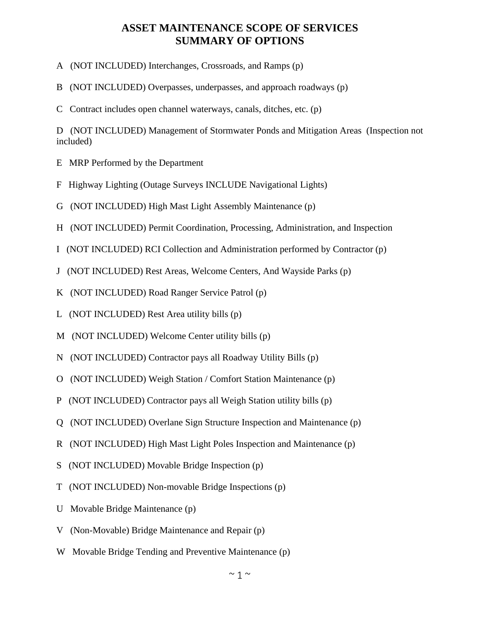## **ASSET MAINTENANCE SCOPE OF SERVICES SUMMARY OF OPTIONS**

- A (NOT INCLUDED) Interchanges, Crossroads, and Ramps (p)
- B (NOT INCLUDED) Overpasses, underpasses, and approach roadways (p)
- C Contract includes open channel waterways, canals, ditches, etc. (p)

D (NOT INCLUDED) Management of Stormwater Ponds and Mitigation Areas (Inspection not included)

- E MRP Performed by the Department
- F Highway Lighting (Outage Surveys INCLUDE Navigational Lights)
- G (NOT INCLUDED) High Mast Light Assembly Maintenance (p)
- H (NOT INCLUDED) Permit Coordination, Processing, Administration, and Inspection
- I (NOT INCLUDED) RCI Collection and Administration performed by Contractor (p)
- J (NOT INCLUDED) Rest Areas, Welcome Centers, And Wayside Parks (p)
- K (NOT INCLUDED) Road Ranger Service Patrol (p)
- L (NOT INCLUDED) Rest Area utility bills (p)
- M (NOT INCLUDED) Welcome Center utility bills (p)
- N (NOT INCLUDED) Contractor pays all Roadway Utility Bills (p)
- O (NOT INCLUDED) Weigh Station / Comfort Station Maintenance (p)
- P (NOT INCLUDED) Contractor pays all Weigh Station utility bills (p)
- Q (NOT INCLUDED) Overlane Sign Structure Inspection and Maintenance (p)
- R (NOT INCLUDED) High Mast Light Poles Inspection and Maintenance (p)
- S (NOT INCLUDED) Movable Bridge Inspection (p)
- T (NOT INCLUDED) Non-movable Bridge Inspections (p)
- U Movable Bridge Maintenance (p)
- V (Non-Movable) Bridge Maintenance and Repair (p)
- W Movable Bridge Tending and Preventive Maintenance (p)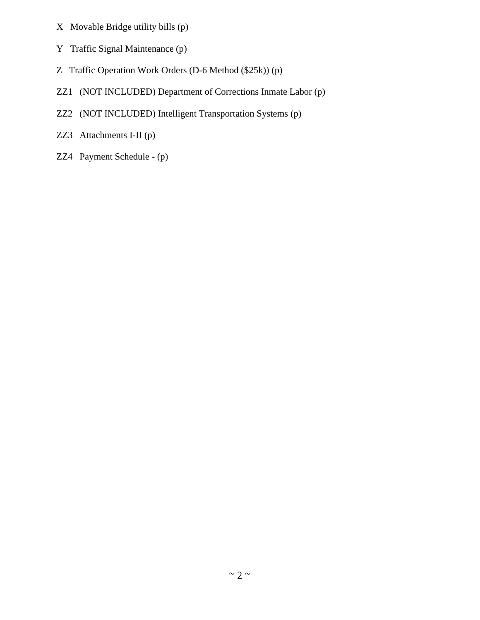- X Movable Bridge utility bills (p)
- Y Traffic Signal Maintenance (p)
- Z Traffic Operation Work Orders (D-6 Method (\$25k)) (p)
- ZZ1 (NOT INCLUDED) Department of Corrections Inmate Labor (p)
- ZZ2 (NOT INCLUDED) Intelligent Transportation Systems (p)
- ZZ3 Attachments I-II (p)
- ZZ4 Payment Schedule (p)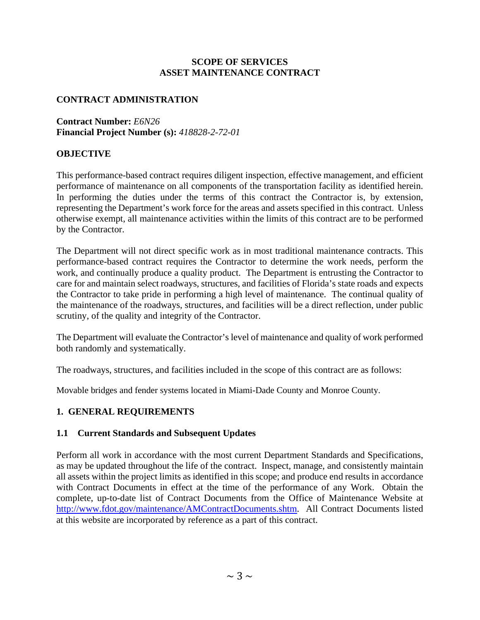#### **SCOPE OF SERVICES ASSET MAINTENANCE CONTRACT**

### **CONTRACT ADMINISTRATION**

**Contract Number:** *E6N26* **Financial Project Number (s):** *418828-2-72-01* 

#### **OBJECTIVE**

This performance-based contract requires diligent inspection, effective management, and efficient performance of maintenance on all components of the transportation facility as identified herein. In performing the duties under the terms of this contract the Contractor is, by extension, representing the Department's work force for the areas and assets specified in this contract. Unless otherwise exempt, all maintenance activities within the limits of this contract are to be performed by the Contractor.

The Department will not direct specific work as in most traditional maintenance contracts. This performance-based contract requires the Contractor to determine the work needs, perform the work, and continually produce a quality product. The Department is entrusting the Contractor to care for and maintain select roadways, structures, and facilities of Florida's state roads and expects the Contractor to take pride in performing a high level of maintenance. The continual quality of the maintenance of the roadways, structures, and facilities will be a direct reflection, under public scrutiny, of the quality and integrity of the Contractor.

The Department will evaluate the Contractor's level of maintenance and quality of work performed both randomly and systematically.

The roadways, structures, and facilities included in the scope of this contract are as follows:

Movable bridges and fender systems located in Miami-Dade County and Monroe County.

### **1. GENERAL REQUIREMENTS**

#### **1.1 Current Standards and Subsequent Updates**

Perform all work in accordance with the most current Department Standards and Specifications, as may be updated throughout the life of the contract. Inspect, manage, and consistently maintain all assets within the project limits as identified in this scope; and produce end results in accordance with Contract Documents in effect at the time of the performance of any Work. Obtain the complete, up-to-date list of Contract Documents from the Office of Maintenance Website at http://www.fdot.gov/maintenance/AMContractDocuments.shtm. All Contract Documents listed at this website are incorporated by reference as a part of this contract.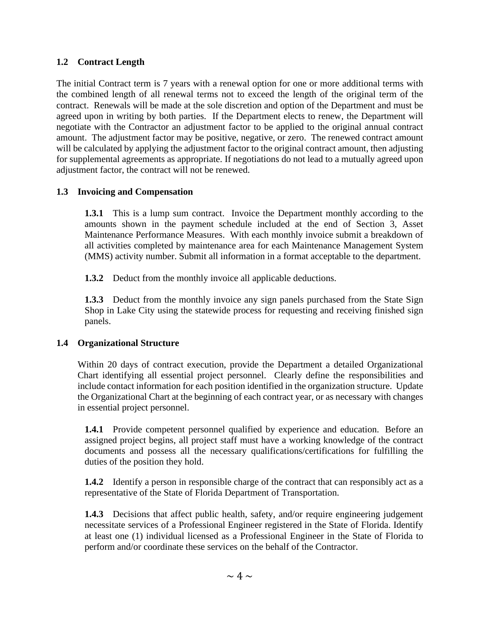## **1.2 Contract Length**

The initial Contract term is 7 years with a renewal option for one or more additional terms with the combined length of all renewal terms not to exceed the length of the original term of the contract. Renewals will be made at the sole discretion and option of the Department and must be agreed upon in writing by both parties. If the Department elects to renew, the Department will negotiate with the Contractor an adjustment factor to be applied to the original annual contract amount. The adjustment factor may be positive, negative, or zero. The renewed contract amount will be calculated by applying the adjustment factor to the original contract amount, then adjusting for supplemental agreements as appropriate. If negotiations do not lead to a mutually agreed upon adjustment factor, the contract will not be renewed.

## **1.3 Invoicing and Compensation**

**1.3.1** This is a lump sum contract. Invoice the Department monthly according to the amounts shown in the payment schedule included at the end of Section 3, Asset Maintenance Performance Measures. With each monthly invoice submit a breakdown of all activities completed by maintenance area for each Maintenance Management System (MMS) activity number. Submit all information in a format acceptable to the department.

**1.3.2** Deduct from the monthly invoice all applicable deductions.

**1.3.3** Deduct from the monthly invoice any sign panels purchased from the State Sign Shop in Lake City using the statewide process for requesting and receiving finished sign panels.

## **1.4 Organizational Structure**

Within 20 days of contract execution, provide the Department a detailed Organizational Chart identifying all essential project personnel. Clearly define the responsibilities and include contact information for each position identified in the organization structure. Update the Organizational Chart at the beginning of each contract year, or as necessary with changes in essential project personnel.

**1.4.1** Provide competent personnel qualified by experience and education. Before an assigned project begins, all project staff must have a working knowledge of the contract documents and possess all the necessary qualifications/certifications for fulfilling the duties of the position they hold.

**1.4.2** Identify a person in responsible charge of the contract that can responsibly act as a representative of the State of Florida Department of Transportation.

**1.4.3** Decisions that affect public health, safety, and/or require engineering judgement necessitate services of a Professional Engineer registered in the State of Florida. Identify at least one (1) individual licensed as a Professional Engineer in the State of Florida to perform and/or coordinate these services on the behalf of the Contractor.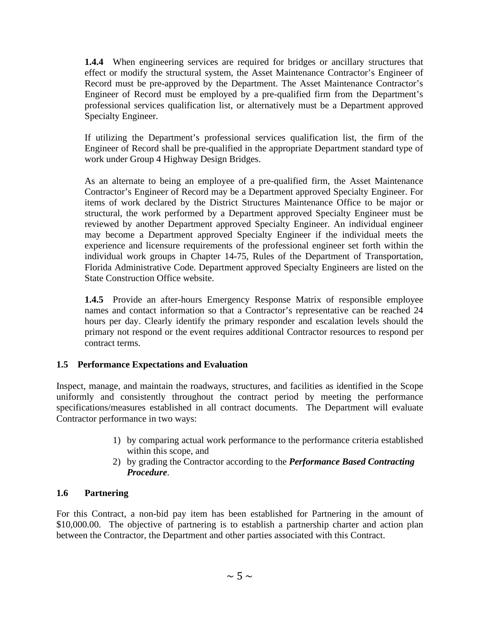**1.4.4** When engineering services are required for bridges or ancillary structures that effect or modify the structural system, the Asset Maintenance Contractor's Engineer of Record must be pre-approved by the Department. The Asset Maintenance Contractor's Engineer of Record must be employed by a pre-qualified firm from the Department's professional services qualification list, or alternatively must be a Department approved Specialty Engineer.

If utilizing the Department's professional services qualification list, the firm of the Engineer of Record shall be pre-qualified in the appropriate Department standard type of work under Group 4 Highway Design Bridges.

As an alternate to being an employee of a pre-qualified firm, the Asset Maintenance Contractor's Engineer of Record may be a Department approved Specialty Engineer. For items of work declared by the District Structures Maintenance Office to be major or structural, the work performed by a Department approved Specialty Engineer must be reviewed by another Department approved Specialty Engineer. An individual engineer may become a Department approved Specialty Engineer if the individual meets the experience and licensure requirements of the professional engineer set forth within the individual work groups in Chapter 14-75, Rules of the Department of Transportation, Florida Administrative Code. Department approved Specialty Engineers are listed on the State Construction Office website.

**1.4.5** Provide an after-hours Emergency Response Matrix of responsible employee names and contact information so that a Contractor's representative can be reached 24 hours per day. Clearly identify the primary responder and escalation levels should the primary not respond or the event requires additional Contractor resources to respond per contract terms.

## **1.5 Performance Expectations and Evaluation**

Inspect, manage, and maintain the roadways, structures, and facilities as identified in the Scope uniformly and consistently throughout the contract period by meeting the performance specifications/measures established in all contract documents. The Department will evaluate Contractor performance in two ways:

- 1) by comparing actual work performance to the performance criteria established within this scope, and
- 2) by grading the Contractor according to the *Performance Based Contracting Procedure*.

### **1.6 Partnering**

For this Contract, a non-bid pay item has been established for Partnering in the amount of \$10,000.00. The objective of partnering is to establish a partnership charter and action plan between the Contractor, the Department and other parties associated with this Contract.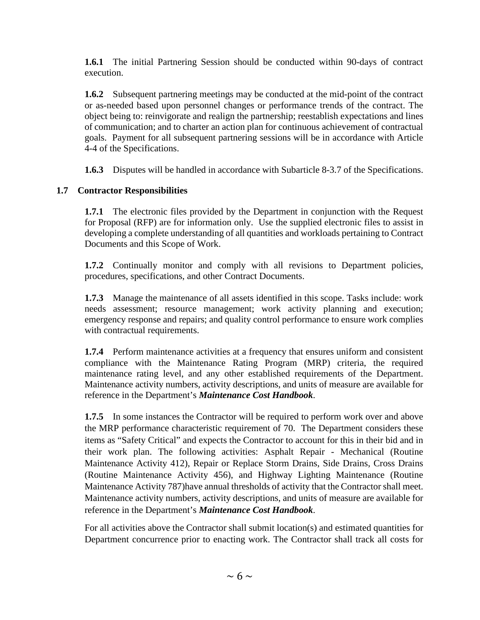**1.6.1** The initial Partnering Session should be conducted within 90-days of contract execution.

**1.6.2** Subsequent partnering meetings may be conducted at the mid-point of the contract or as-needed based upon personnel changes or performance trends of the contract. The object being to: reinvigorate and realign the partnership; reestablish expectations and lines of communication; and to charter an action plan for continuous achievement of contractual goals. Payment for all subsequent partnering sessions will be in accordance with Article 4-4 of the Specifications.

**1.6.3** Disputes will be handled in accordance with Subarticle 8-3.7 of the Specifications.

### **1.7 Contractor Responsibilities**

**1.7.1** The electronic files provided by the Department in conjunction with the Request for Proposal (RFP) are for information only. Use the supplied electronic files to assist in developing a complete understanding of all quantities and workloads pertaining to Contract Documents and this Scope of Work.

**1.7.2** Continually monitor and comply with all revisions to Department policies, procedures, specifications, and other Contract Documents.

**1.7.3** Manage the maintenance of all assets identified in this scope. Tasks include: work needs assessment; resource management; work activity planning and execution; emergency response and repairs; and quality control performance to ensure work complies with contractual requirements.

**1.7.4** Perform maintenance activities at a frequency that ensures uniform and consistent compliance with the Maintenance Rating Program (MRP) criteria, the required maintenance rating level, and any other established requirements of the Department. Maintenance activity numbers, activity descriptions, and units of measure are available for reference in the Department's *Maintenance Cost Handbook*.

**1.7.5** In some instances the Contractor will be required to perform work over and above the MRP performance characteristic requirement of 70. The Department considers these items as "Safety Critical" and expects the Contractor to account for this in their bid and in their work plan. The following activities: Asphalt Repair - Mechanical (Routine Maintenance Activity 412), Repair or Replace Storm Drains, Side Drains, Cross Drains (Routine Maintenance Activity 456), and Highway Lighting Maintenance (Routine Maintenance Activity 787)have annual thresholds of activity that the Contractor shall meet. Maintenance activity numbers, activity descriptions, and units of measure are available for reference in the Department's *Maintenance Cost Handbook*.

For all activities above the Contractor shall submit location(s) and estimated quantities for Department concurrence prior to enacting work. The Contractor shall track all costs for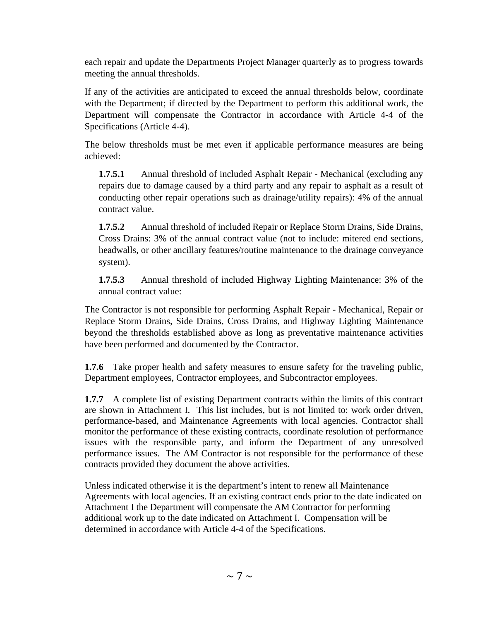each repair and update the Departments Project Manager quarterly as to progress towards meeting the annual thresholds.

If any of the activities are anticipated to exceed the annual thresholds below, coordinate with the Department; if directed by the Department to perform this additional work, the Department will compensate the Contractor in accordance with Article 4-4 of the Specifications (Article 4-4).

The below thresholds must be met even if applicable performance measures are being achieved:

**1.7.5.1** • Annual threshold of included Asphalt Repair - Mechanical (excluding any repairs due to damage caused by a third party and any repair to asphalt as a result of conducting other repair operations such as drainage/utility repairs): 4% of the annual contract value.

**1.7.5.2** Annual threshold of included Repair or Replace Storm Drains, Side Drains, Cross Drains: 3% of the annual contract value (not to include: mitered end sections, headwalls, or other ancillary features/routine maintenance to the drainage conveyance system).

**1.7.5.3** Annual threshold of included Highway Lighting Maintenance: 3% of the annual contract value:

The Contractor is not responsible for performing Asphalt Repair - Mechanical, Repair or Replace Storm Drains, Side Drains, Cross Drains, and Highway Lighting Maintenance beyond the thresholds established above as long as preventative maintenance activities have been performed and documented by the Contractor.

**1.7.6** Take proper health and safety measures to ensure safety for the traveling public, Department employees, Contractor employees, and Subcontractor employees.

**1.7.7** A complete list of existing Department contracts within the limits of this contract are shown in Attachment I. This list includes, but is not limited to: work order driven, performance-based, and Maintenance Agreements with local agencies. Contractor shall monitor the performance of these existing contracts, coordinate resolution of performance issues with the responsible party, and inform the Department of any unresolved performance issues. The AM Contractor is not responsible for the performance of these contracts provided they document the above activities.

Unless indicated otherwise it is the department's intent to renew all Maintenance Agreements with local agencies. If an existing contract ends prior to the date indicated on Attachment I the Department will compensate the AM Contractor for performing additional work up to the date indicated on Attachment I. Compensation will be determined in accordance with Article 4-4 of the Specifications.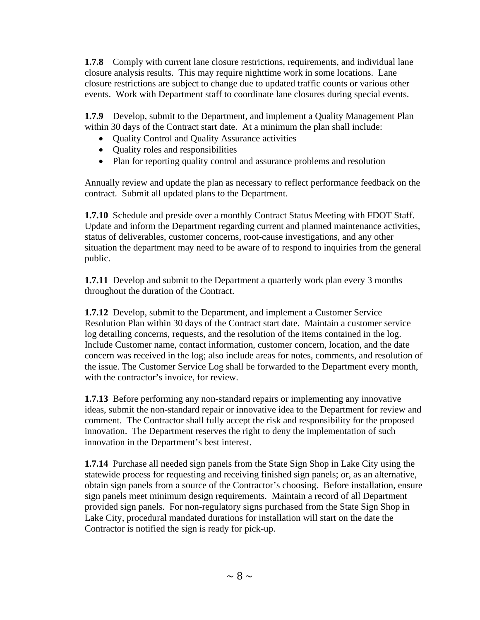**1.7.8** Comply with current lane closure restrictions, requirements, and individual lane closure analysis results. This may require nighttime work in some locations. Lane closure restrictions are subject to change due to updated traffic counts or various other events. Work with Department staff to coordinate lane closures during special events.

**1.7.9** Develop, submit to the Department, and implement a Quality Management Plan within 30 days of the Contract start date. At a minimum the plan shall include:

- Quality Control and Quality Assurance activities
- Quality roles and responsibilities
- Plan for reporting quality control and assurance problems and resolution

Annually review and update the plan as necessary to reflect performance feedback on the contract. Submit all updated plans to the Department.

**1.7.10** Schedule and preside over a monthly Contract Status Meeting with FDOT Staff. Update and inform the Department regarding current and planned maintenance activities, status of deliverables, customer concerns, root-cause investigations, and any other situation the department may need to be aware of to respond to inquiries from the general public.

**1.7.11** Develop and submit to the Department a quarterly work plan every 3 months throughout the duration of the Contract.

**1.7.12** Develop, submit to the Department, and implement a Customer Service Resolution Plan within 30 days of the Contract start date. Maintain a customer service log detailing concerns, requests, and the resolution of the items contained in the log. Include Customer name, contact information, customer concern, location, and the date concern was received in the log; also include areas for notes, comments, and resolution of the issue. The Customer Service Log shall be forwarded to the Department every month, with the contractor's invoice, for review.

**1.7.13** Before performing any non-standard repairs or implementing any innovative ideas, submit the non-standard repair or innovative idea to the Department for review and comment. The Contractor shall fully accept the risk and responsibility for the proposed innovation. The Department reserves the right to deny the implementation of such innovation in the Department's best interest.

**1.7.14** Purchase all needed sign panels from the State Sign Shop in Lake City using the statewide process for requesting and receiving finished sign panels; or, as an alternative, obtain sign panels from a source of the Contractor's choosing. Before installation, ensure sign panels meet minimum design requirements. Maintain a record of all Department provided sign panels. For non-regulatory signs purchased from the State Sign Shop in Lake City, procedural mandated durations for installation will start on the date the Contractor is notified the sign is ready for pick-up.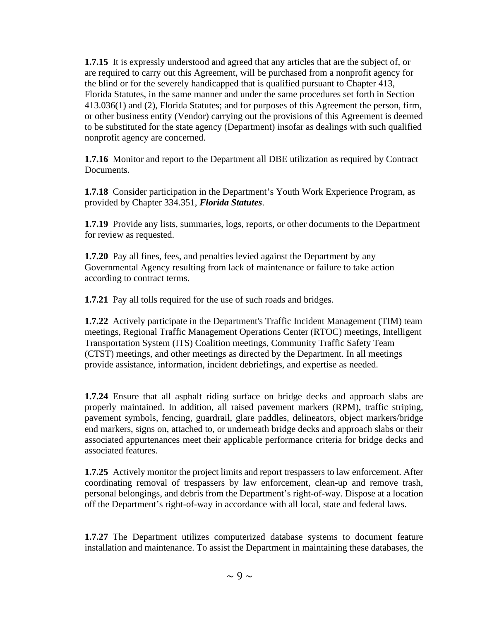**1.7.15** It is expressly understood and agreed that any articles that are the subject of, or are required to carry out this Agreement, will be purchased from a nonprofit agency for the blind or for the severely handicapped that is qualified pursuant to Chapter 413, Florida Statutes, in the same manner and under the same procedures set forth in Section 413.036(1) and (2), Florida Statutes; and for purposes of this Agreement the person, firm, or other business entity (Vendor) carrying out the provisions of this Agreement is deemed to be substituted for the state agency (Department) insofar as dealings with such qualified nonprofit agency are concerned.

**1.7.16** Monitor and report to the Department all DBE utilization as required by Contract Documents.

**1.7.18** Consider participation in the Department's Youth Work Experience Program, as provided by Chapter 334.351, *Florida Statutes*.

**1.7.19** Provide any lists, summaries, logs, reports, or other documents to the Department for review as requested.

**1.7.20** Pay all fines, fees, and penalties levied against the Department by any Governmental Agency resulting from lack of maintenance or failure to take action according to contract terms.

**1.7.21** Pay all tolls required for the use of such roads and bridges.

**1.7.22** Actively participate in the Department's Traffic Incident Management (TIM) team meetings, Regional Traffic Management Operations Center (RTOC) meetings, Intelligent Transportation System (ITS) Coalition meetings, Community Traffic Safety Team (CTST) meetings, and other meetings as directed by the Department. In all meetings provide assistance, information, incident debriefings, and expertise as needed.

**1.7.24** Ensure that all asphalt riding surface on bridge decks and approach slabs are properly maintained. In addition, all raised pavement markers (RPM), traffic striping, pavement symbols, fencing, guardrail, glare paddles, delineators, object markers/bridge end markers, signs on, attached to, or underneath bridge decks and approach slabs or their associated appurtenances meet their applicable performance criteria for bridge decks and associated features.

**1.7.25** Actively monitor the project limits and report trespassers to law enforcement. After coordinating removal of trespassers by law enforcement, clean-up and remove trash, personal belongings, and debris from the Department's right-of-way. Dispose at a location off the Department's right-of-way in accordance with all local, state and federal laws.

**1.7.27** The Department utilizes computerized database systems to document feature installation and maintenance. To assist the Department in maintaining these databases, the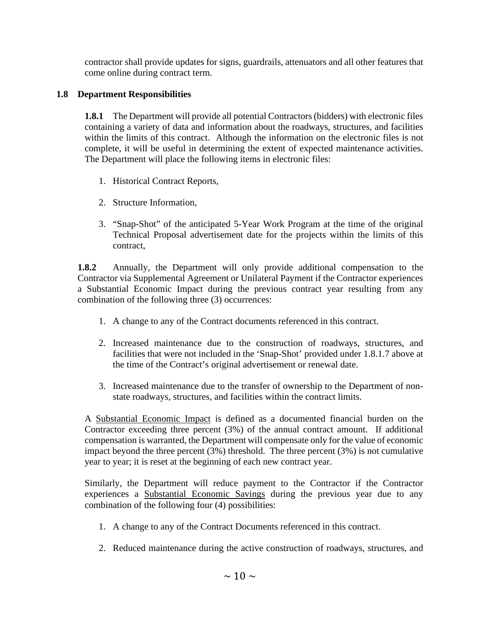contractor shall provide updates for signs, guardrails, attenuators and all other features that come online during contract term.

## **1.8 Department Responsibilities**

**1.8.1** The Department will provide all potential Contractors (bidders) with electronic files containing a variety of data and information about the roadways, structures, and facilities within the limits of this contract. Although the information on the electronic files is not complete, it will be useful in determining the extent of expected maintenance activities. The Department will place the following items in electronic files:

- 1. Historical Contract Reports,
- 2. Structure Information,
- 3. "Snap-Shot" of the anticipated 5-Year Work Program at the time of the original Technical Proposal advertisement date for the projects within the limits of this contract,

**1.8.2** Annually, the Department will only provide additional compensation to the Contractor via Supplemental Agreement or Unilateral Payment if the Contractor experiences a Substantial Economic Impact during the previous contract year resulting from any combination of the following three (3) occurrences:

- 1. A change to any of the Contract documents referenced in this contract.
- 2. Increased maintenance due to the construction of roadways, structures, and facilities that were not included in the 'Snap-Shot' provided under 1.8.1.7 above at the time of the Contract's original advertisement or renewal date.
- 3. Increased maintenance due to the transfer of ownership to the Department of nonstate roadways, structures, and facilities within the contract limits.

A Substantial Economic Impact is defined as a documented financial burden on the Contractor exceeding three percent (3%) of the annual contract amount. If additional compensation is warranted, the Department will compensate only for the value of economic impact beyond the three percent (3%) threshold. The three percent (3%) is not cumulative year to year; it is reset at the beginning of each new contract year.

Similarly, the Department will reduce payment to the Contractor if the Contractor experiences a Substantial Economic Savings during the previous year due to any combination of the following four  $(4)$  possibilities:

- 1. A change to any of the Contract Documents referenced in this contract.
- 2. Reduced maintenance during the active construction of roadways, structures, and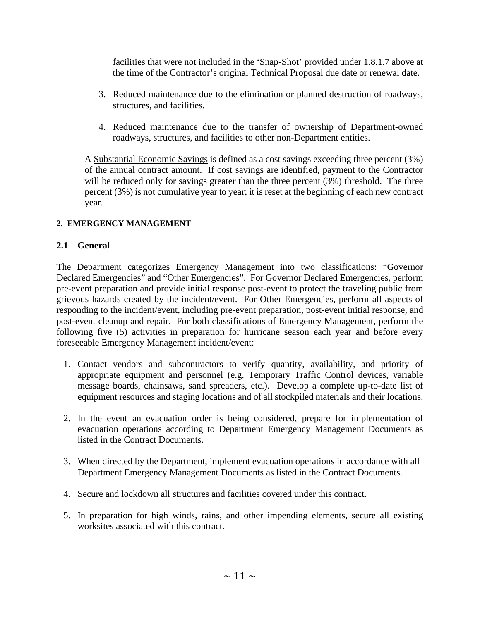facilities that were not included in the 'Snap-Shot' provided under 1.8.1.7 above at the time of the Contractor's original Technical Proposal due date or renewal date.

- 3. Reduced maintenance due to the elimination or planned destruction of roadways, structures, and facilities.
- 4. Reduced maintenance due to the transfer of ownership of Department-owned roadways, structures, and facilities to other non-Department entities.

A Substantial Economic Savings is defined as a cost savings exceeding three percent (3%) of the annual contract amount. If cost savings are identified, payment to the Contractor will be reduced only for savings greater than the three percent (3%) threshold. The three percent (3%) is not cumulative year to year; it is reset at the beginning of each new contract year.

### **2. EMERGENCY MANAGEMENT**

### **2.1 General**

The Department categorizes Emergency Management into two classifications: "Governor Declared Emergencies" and "Other Emergencies". For Governor Declared Emergencies, perform pre-event preparation and provide initial response post-event to protect the traveling public from grievous hazards created by the incident/event. For Other Emergencies, perform all aspects of responding to the incident/event, including pre-event preparation, post-event initial response, and post-event cleanup and repair. For both classifications of Emergency Management, perform the following five (5) activities in preparation for hurricane season each year and before every foreseeable Emergency Management incident/event:

- 1. Contact vendors and subcontractors to verify quantity, availability, and priority of appropriate equipment and personnel (e.g. Temporary Traffic Control devices, variable message boards, chainsaws, sand spreaders, etc.). Develop a complete up-to-date list of equipment resources and staging locations and of all stockpiled materials and their locations.
- 2. In the event an evacuation order is being considered, prepare for implementation of evacuation operations according to Department Emergency Management Documents as listed in the Contract Documents.
- 3. When directed by the Department, implement evacuation operations in accordance with all Department Emergency Management Documents as listed in the Contract Documents.
- 4. Secure and lockdown all structures and facilities covered under this contract.
- 5. In preparation for high winds, rains, and other impending elements, secure all existing worksites associated with this contract.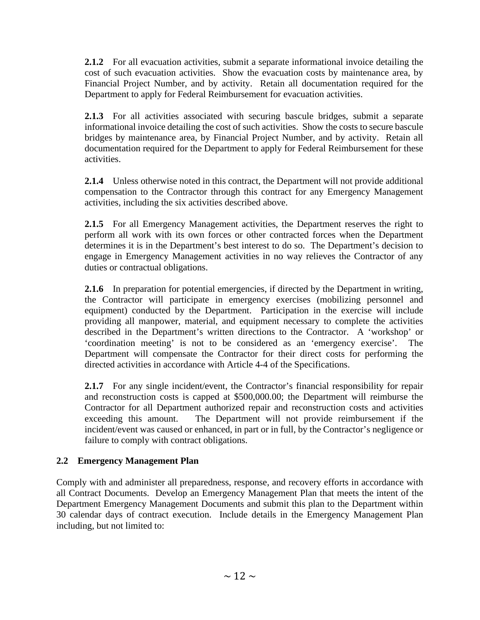**2.1.2** For all evacuation activities, submit a separate informational invoice detailing the cost of such evacuation activities. Show the evacuation costs by maintenance area, by Financial Project Number, and by activity. Retain all documentation required for the Department to apply for Federal Reimbursement for evacuation activities.

**2.1.3** For all activities associated with securing bascule bridges, submit a separate informational invoice detailing the cost of such activities. Show the costs to secure bascule bridges by maintenance area, by Financial Project Number, and by activity. Retain all documentation required for the Department to apply for Federal Reimbursement for these activities.

**2.1.4** Unless otherwise noted in this contract, the Department will not provide additional compensation to the Contractor through this contract for any Emergency Management activities, including the six activities described above.

**2.1.5** For all Emergency Management activities, the Department reserves the right to perform all work with its own forces or other contracted forces when the Department determines it is in the Department's best interest to do so. The Department's decision to engage in Emergency Management activities in no way relieves the Contractor of any duties or contractual obligations.

**2.1.6** In preparation for potential emergencies, if directed by the Department in writing, the Contractor will participate in emergency exercises (mobilizing personnel and equipment) conducted by the Department. Participation in the exercise will include providing all manpower, material, and equipment necessary to complete the activities described in the Department's written directions to the Contractor. A 'workshop' or 'coordination meeting' is not to be considered as an 'emergency exercise'. The Department will compensate the Contractor for their direct costs for performing the directed activities in accordance with Article 4-4 of the Specifications.

**2.1.7** For any single incident/event, the Contractor's financial responsibility for repair and reconstruction costs is capped at \$500,000.00; the Department will reimburse the Contractor for all Department authorized repair and reconstruction costs and activities exceeding this amount. The Department will not provide reimbursement if the incident/event was caused or enhanced, in part or in full, by the Contractor's negligence or failure to comply with contract obligations.

# **2.2 Emergency Management Plan**

Comply with and administer all preparedness, response, and recovery efforts in accordance with all Contract Documents. Develop an Emergency Management Plan that meets the intent of the Department Emergency Management Documents and submit this plan to the Department within 30 calendar days of contract execution. Include details in the Emergency Management Plan including, but not limited to: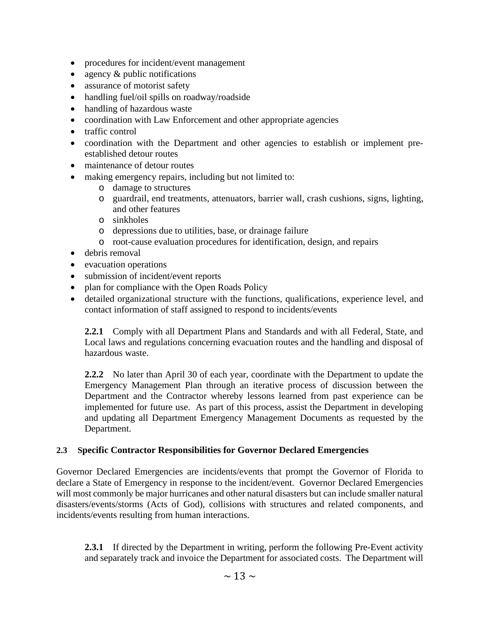- procedures for incident/event management
- agency & public notifications
- assurance of motorist safety
- handling fuel/oil spills on roadway/roadside
- handling of hazardous waste
- coordination with Law Enforcement and other appropriate agencies
- traffic control
- coordination with the Department and other agencies to establish or implement preestablished detour routes
- maintenance of detour routes
- making emergency repairs, including but not limited to:
	- o damage to structures
	- o guardrail, end treatments, attenuators, barrier wall, crash cushions, signs, lighting, and other features
	- o sinkholes
	- o depressions due to utilities, base, or drainage failure
	- o root-cause evaluation procedures for identification, design, and repairs
- debris removal
- evacuation operations
- submission of incident/event reports
- plan for compliance with the Open Roads Policy
- detailed organizational structure with the functions, qualifications, experience level, and contact information of staff assigned to respond to incidents/events

**2.2.1** Comply with all Department Plans and Standards and with all Federal, State, and Local laws and regulations concerning evacuation routes and the handling and disposal of hazardous waste.

**2.2.2** No later than April 30 of each year, coordinate with the Department to update the Emergency Management Plan through an iterative process of discussion between the Department and the Contractor whereby lessons learned from past experience can be implemented for future use. As part of this process, assist the Department in developing and updating all Department Emergency Management Documents as requested by the Department.

### **2.3 Specific Contractor Responsibilities for Governor Declared Emergencies**

Governor Declared Emergencies are incidents/events that prompt the Governor of Florida to declare a State of Emergency in response to the incident/event. Governor Declared Emergencies will most commonly be major hurricanes and other natural disasters but can include smaller natural disasters/events/storms (Acts of God), collisions with structures and related components, and incidents/events resulting from human interactions.

**2.3.1** If directed by the Department in writing, perform the following Pre-Event activity and separately track and invoice the Department for associated costs. The Department will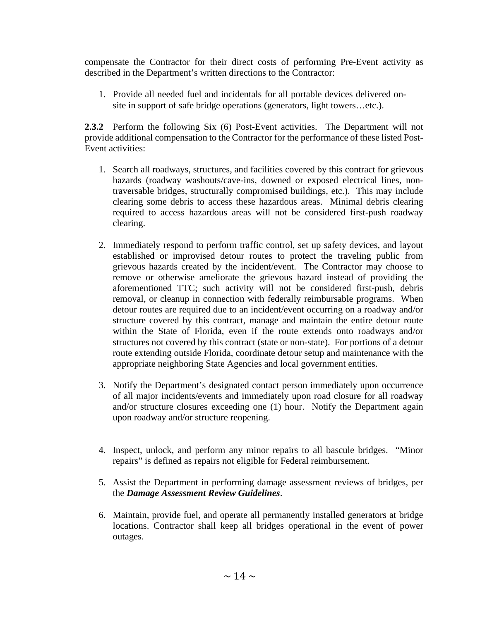compensate the Contractor for their direct costs of performing Pre-Event activity as described in the Department's written directions to the Contractor:

1. Provide all needed fuel and incidentals for all portable devices delivered onsite in support of safe bridge operations (generators, light towers…etc.).

**2.3.2** Perform the following Six (6) Post-Event activities. The Department will not provide additional compensation to the Contractor for the performance of these listed Post-Event activities:

- 1. Search all roadways, structures, and facilities covered by this contract for grievous hazards (roadway washouts/cave-ins, downed or exposed electrical lines, nontraversable bridges, structurally compromised buildings, etc.). This may include clearing some debris to access these hazardous areas. Minimal debris clearing required to access hazardous areas will not be considered first-push roadway clearing.
- 2. Immediately respond to perform traffic control, set up safety devices, and layout established or improvised detour routes to protect the traveling public from grievous hazards created by the incident/event. The Contractor may choose to remove or otherwise ameliorate the grievous hazard instead of providing the aforementioned TTC; such activity will not be considered first-push, debris removal, or cleanup in connection with federally reimbursable programs. When detour routes are required due to an incident/event occurring on a roadway and/or structure covered by this contract, manage and maintain the entire detour route within the State of Florida, even if the route extends onto roadways and/or structures not covered by this contract (state or non-state). For portions of a detour route extending outside Florida, coordinate detour setup and maintenance with the appropriate neighboring State Agencies and local government entities.
- 3. Notify the Department's designated contact person immediately upon occurrence of all major incidents/events and immediately upon road closure for all roadway and/or structure closures exceeding one (1) hour. Notify the Department again upon roadway and/or structure reopening.
- 4. Inspect, unlock, and perform any minor repairs to all bascule bridges. "Minor repairs" is defined as repairs not eligible for Federal reimbursement.
- 5. Assist the Department in performing damage assessment reviews of bridges, per the *Damage Assessment Review Guidelines*.
- 6. Maintain, provide fuel, and operate all permanently installed generators at bridge locations. Contractor shall keep all bridges operational in the event of power outages.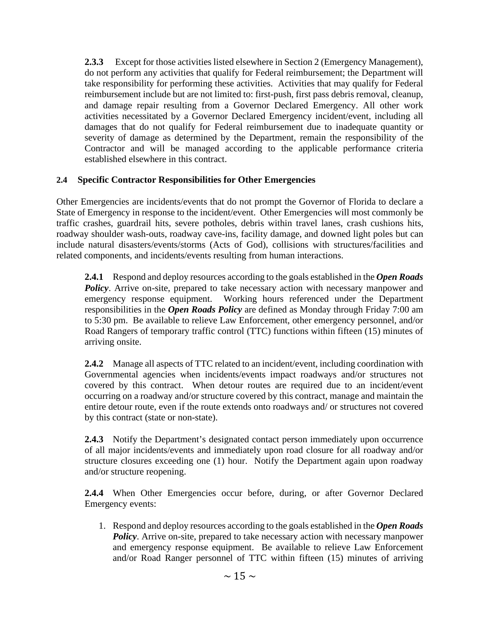**2.3.3** Except for those activities listed elsewhere in Section 2 (Emergency Management), do not perform any activities that qualify for Federal reimbursement; the Department will take responsibility for performing these activities. Activities that may qualify for Federal reimbursement include but are not limited to: first-push, first pass debris removal, cleanup, and damage repair resulting from a Governor Declared Emergency. All other work activities necessitated by a Governor Declared Emergency incident/event, including all damages that do not qualify for Federal reimbursement due to inadequate quantity or severity of damage as determined by the Department, remain the responsibility of the Contractor and will be managed according to the applicable performance criteria established elsewhere in this contract.

### **2.4 Specific Contractor Responsibilities for Other Emergencies**

Other Emergencies are incidents/events that do not prompt the Governor of Florida to declare a State of Emergency in response to the incident/event. Other Emergencies will most commonly be traffic crashes, guardrail hits, severe potholes, debris within travel lanes, crash cushions hits, roadway shoulder wash-outs, roadway cave-ins, facility damage, and downed light poles but can include natural disasters/events/storms (Acts of God), collisions with structures/facilities and related components, and incidents/events resulting from human interactions.

**2.4.1** Respond and deploy resources according to the goals established in the *Open Roads*  **Policy**. Arrive on-site, prepared to take necessary action with necessary manpower and emergency response equipment. Working hours referenced under the Department responsibilities in the *Open Roads Policy* are defined as Monday through Friday 7:00 am to 5:30 pm. Be available to relieve Law Enforcement, other emergency personnel, and/or Road Rangers of temporary traffic control (TTC) functions within fifteen (15) minutes of arriving onsite.

**2.4.2** Manage all aspects of TTC related to an incident/event, including coordination with Governmental agencies when incidents/events impact roadways and/or structures not covered by this contract. When detour routes are required due to an incident/event occurring on a roadway and/or structure covered by this contract, manage and maintain the entire detour route, even if the route extends onto roadways and/ or structures not covered by this contract (state or non-state).

**2.4.3** Notify the Department's designated contact person immediately upon occurrence of all major incidents/events and immediately upon road closure for all roadway and/or structure closures exceeding one (1) hour. Notify the Department again upon roadway and/or structure reopening.

**2.4.4** When Other Emergencies occur before, during, or after Governor Declared Emergency events:

1. Respond and deploy resources according to the goals established in the *Open Roads Policy*. Arrive on-site, prepared to take necessary action with necessary manpower and emergency response equipment. Be available to relieve Law Enforcement and/or Road Ranger personnel of TTC within fifteen (15) minutes of arriving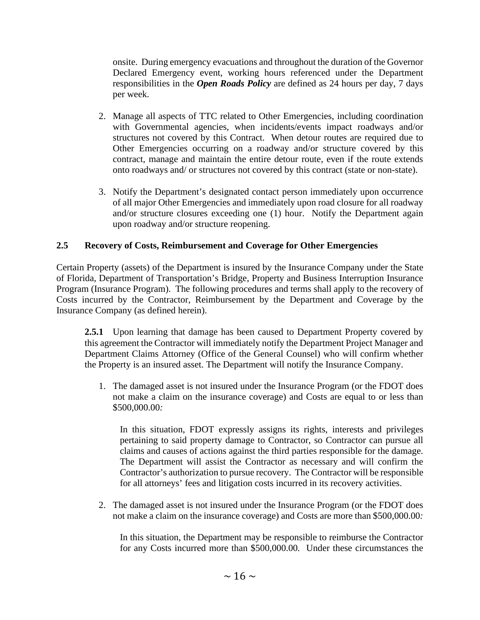onsite. During emergency evacuations and throughout the duration of the Governor Declared Emergency event, working hours referenced under the Department responsibilities in the *Open Roads Policy* are defined as 24 hours per day, 7 days per week.

- 2. Manage all aspects of TTC related to Other Emergencies, including coordination with Governmental agencies, when incidents/events impact roadways and/or structures not covered by this Contract. When detour routes are required due to Other Emergencies occurring on a roadway and/or structure covered by this contract, manage and maintain the entire detour route, even if the route extends onto roadways and/ or structures not covered by this contract (state or non-state).
- 3. Notify the Department's designated contact person immediately upon occurrence of all major Other Emergencies and immediately upon road closure for all roadway and/or structure closures exceeding one (1) hour. Notify the Department again upon roadway and/or structure reopening.

## **2.5 Recovery of Costs, Reimbursement and Coverage for Other Emergencies**

Certain Property (assets) of the Department is insured by the Insurance Company under the State of Florida, Department of Transportation's Bridge, Property and Business Interruption Insurance Program (Insurance Program). The following procedures and terms shall apply to the recovery of Costs incurred by the Contractor, Reimbursement by the Department and Coverage by the Insurance Company (as defined herein).

**2.5.1** Upon learning that damage has been caused to Department Property covered by this agreement the Contractor will immediately notify the Department Project Manager and Department Claims Attorney (Office of the General Counsel) who will confirm whether the Property is an insured asset. The Department will notify the Insurance Company.

1. The damaged asset is not insured under the Insurance Program (or the FDOT does not make a claim on the insurance coverage) and Costs are equal to or less than \$500,000.00*:*

In this situation, FDOT expressly assigns its rights, interests and privileges pertaining to said property damage to Contractor, so Contractor can pursue all claims and causes of actions against the third parties responsible for the damage. The Department will assist the Contractor as necessary and will confirm the Contractor's authorization to pursue recovery. The Contractor will be responsible for all attorneys' fees and litigation costs incurred in its recovery activities.

2. The damaged asset is not insured under the Insurance Program (or the FDOT does not make a claim on the insurance coverage) and Costs are more than \$500,000.00*:*

In this situation, the Department may be responsible to reimburse the Contractor for any Costs incurred more than \$500,000.00*.* Under these circumstances the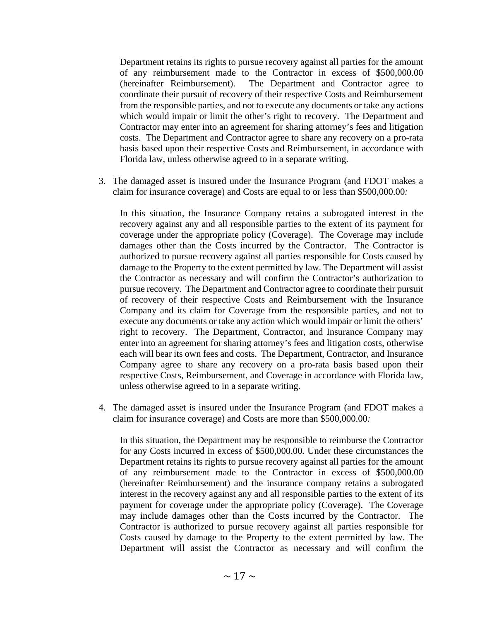Department retains its rights to pursue recovery against all parties for the amount of any reimbursement made to the Contractor in excess of \$500,000.00 (hereinafter Reimbursement). The Department and Contractor agree to coordinate their pursuit of recovery of their respective Costs and Reimbursement from the responsible parties, and not to execute any documents or take any actions which would impair or limit the other's right to recovery. The Department and Contractor may enter into an agreement for sharing attorney's fees and litigation costs. The Department and Contractor agree to share any recovery on a pro-rata basis based upon their respective Costs and Reimbursement, in accordance with Florida law, unless otherwise agreed to in a separate writing.

3. The damaged asset is insured under the Insurance Program (and FDOT makes a claim for insurance coverage) and Costs are equal to or less than \$500,000.00*:*

In this situation, the Insurance Company retains a subrogated interest in the recovery against any and all responsible parties to the extent of its payment for coverage under the appropriate policy (Coverage). The Coverage may include damages other than the Costs incurred by the Contractor. The Contractor is authorized to pursue recovery against all parties responsible for Costs caused by damage to the Property to the extent permitted by law. The Department will assist the Contractor as necessary and will confirm the Contractor's authorization to pursue recovery. The Department and Contractor agree to coordinate their pursuit of recovery of their respective Costs and Reimbursement with the Insurance Company and its claim for Coverage from the responsible parties, and not to execute any documents or take any action which would impair or limit the others' right to recovery. The Department, Contractor, and Insurance Company may enter into an agreement for sharing attorney's fees and litigation costs, otherwise each will bear its own fees and costs. The Department, Contractor, and Insurance Company agree to share any recovery on a pro-rata basis based upon their respective Costs, Reimbursement, and Coverage in accordance with Florida law, unless otherwise agreed to in a separate writing.

4. The damaged asset is insured under the Insurance Program (and FDOT makes a claim for insurance coverage) and Costs are more than \$500,000.00*:*

In this situation, the Department may be responsible to reimburse the Contractor for any Costs incurred in excess of \$500,000.00*.* Under these circumstances the Department retains its rights to pursue recovery against all parties for the amount of any reimbursement made to the Contractor in excess of \$500,000.00 (hereinafter Reimbursement) and the insurance company retains a subrogated interest in the recovery against any and all responsible parties to the extent of its payment for coverage under the appropriate policy (Coverage). The Coverage may include damages other than the Costs incurred by the Contractor. The Contractor is authorized to pursue recovery against all parties responsible for Costs caused by damage to the Property to the extent permitted by law. The Department will assist the Contractor as necessary and will confirm the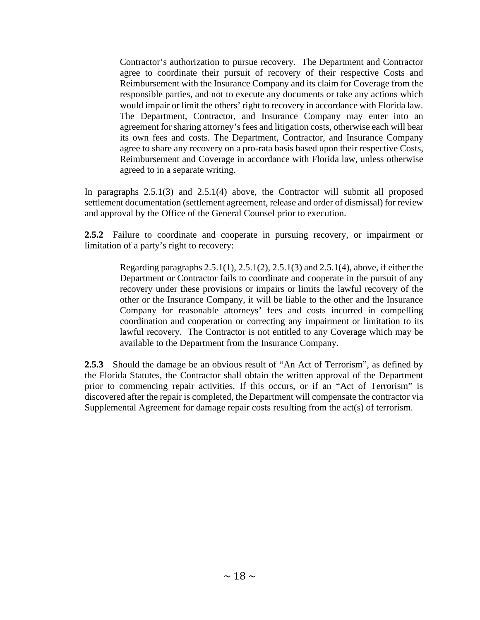Contractor's authorization to pursue recovery. The Department and Contractor agree to coordinate their pursuit of recovery of their respective Costs and Reimbursement with the Insurance Company and its claim for Coverage from the responsible parties, and not to execute any documents or take any actions which would impair or limit the others' right to recovery in accordance with Florida law. The Department, Contractor, and Insurance Company may enter into an agreement for sharing attorney's fees and litigation costs, otherwise each will bear its own fees and costs. The Department, Contractor, and Insurance Company agree to share any recovery on a pro-rata basis based upon their respective Costs, Reimbursement and Coverage in accordance with Florida law, unless otherwise agreed to in a separate writing.

In paragraphs 2.5.1(3) and 2.5.1(4) above, the Contractor will submit all proposed settlement documentation (settlement agreement, release and order of dismissal) for review and approval by the Office of the General Counsel prior to execution.

**2.5.2** Failure to coordinate and cooperate in pursuing recovery, or impairment or limitation of a party's right to recovery:

> Regarding paragraphs  $2.5.1(1)$ ,  $2.5.1(2)$ ,  $2.5.1(3)$  and  $2.5.1(4)$ , above, if either the Department or Contractor fails to coordinate and cooperate in the pursuit of any recovery under these provisions or impairs or limits the lawful recovery of the other or the Insurance Company, it will be liable to the other and the Insurance Company for reasonable attorneys' fees and costs incurred in compelling coordination and cooperation or correcting any impairment or limitation to its lawful recovery. The Contractor is not entitled to any Coverage which may be available to the Department from the Insurance Company.

**2.5.3** Should the damage be an obvious result of "An Act of Terrorism", as defined by the Florida Statutes, the Contractor shall obtain the written approval of the Department prior to commencing repair activities. If this occurs, or if an "Act of Terrorism" is discovered after the repair is completed, the Department will compensate the contractor via Supplemental Agreement for damage repair costs resulting from the act(s) of terrorism.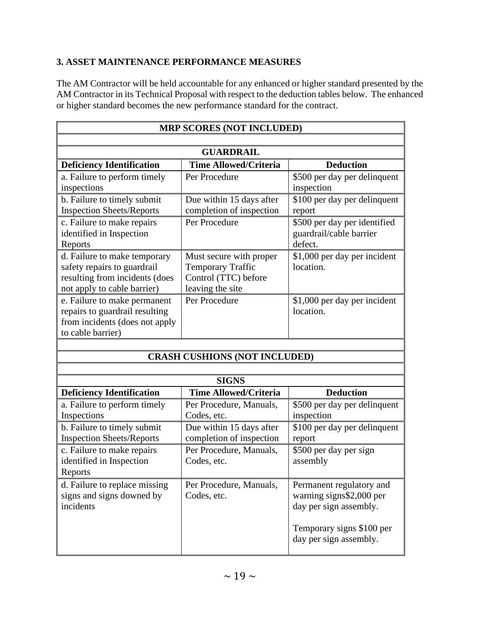## **3. ASSET MAINTENANCE PERFORMANCE MEASURES**

The AM Contractor will be held accountable for any enhanced or higher standard presented by the AM Contractor in its Technical Proposal with respect to the deduction tables below. The enhanced or higher standard becomes the new performance standard for the contract.

| <b>MRP SCORES (NOT INCLUDED)</b>                                                                                             |                                                                                                 |                                                                    |
|------------------------------------------------------------------------------------------------------------------------------|-------------------------------------------------------------------------------------------------|--------------------------------------------------------------------|
|                                                                                                                              |                                                                                                 |                                                                    |
| <b>GUARDRAIL</b>                                                                                                             |                                                                                                 |                                                                    |
| <b>Deficiency Identification</b>                                                                                             | <b>Time Allowed/Criteria</b>                                                                    | <b>Deduction</b>                                                   |
| a. Failure to perform timely<br>inspections                                                                                  | Per Procedure                                                                                   | \$500 per day per delinquent<br>inspection                         |
| b. Failure to timely submit<br><b>Inspection Sheets/Reports</b>                                                              | Due within 15 days after<br>completion of inspection                                            | \$100 per day per delinquent<br>report                             |
| c. Failure to make repairs<br>identified in Inspection<br>Reports                                                            | Per Procedure                                                                                   | \$500 per day per identified<br>guardrail/cable barrier<br>defect. |
| d. Failure to make temporary<br>safety repairs to guardrail<br>resulting from incidents (does<br>not apply to cable barrier) | Must secure with proper<br><b>Temporary Traffic</b><br>Control (TTC) before<br>leaving the site | \$1,000 per day per incident<br>location.                          |
| e. Failure to make permanent<br>repairs to guardrail resulting<br>from incidents (does not apply<br>to cable barrier)        | Per Procedure                                                                                   | \$1,000 per day per incident<br>location.                          |
|                                                                                                                              |                                                                                                 |                                                                    |
|                                                                                                                              | <b>CRASH CUSHIONS (NOT INCLUDED)</b>                                                            |                                                                    |
|                                                                                                                              |                                                                                                 |                                                                    |
|                                                                                                                              | <b>SIGNS</b>                                                                                    |                                                                    |
| <b>Deficiency Identification</b>                                                                                             | <b>Time Allowed/Criteria</b>                                                                    | <b>Deduction</b>                                                   |
| a. Failure to perform timely<br>Inspections                                                                                  | Per Procedure, Manuals,<br>Codes, etc.                                                          | \$500 per day per delinquent<br>inspection                         |
| b. Failure to timely submit<br><b>Inspection Sheets/Reports</b>                                                              | Due within 15 days after<br>completion of inspection                                            | \$100 per day per delinquent<br>report                             |
| c. Failure to make repairs<br>identified in Inspection                                                                       | Per Procedure, Manuals,<br>Codes, etc.                                                          | \$500 per day per sign<br>assembly                                 |

| identified in Inspection<br>Reports                                     | Codes, etc.                            | assembly                                                                       |
|-------------------------------------------------------------------------|----------------------------------------|--------------------------------------------------------------------------------|
| d. Failure to replace missing<br>signs and signs downed by<br>incidents | Per Procedure, Manuals,<br>Codes, etc. | Permanent regulatory and<br>warning signs\$2,000 per<br>day per sign assembly. |
|                                                                         |                                        | Temporary signs \$100 per<br>day per sign assembly.                            |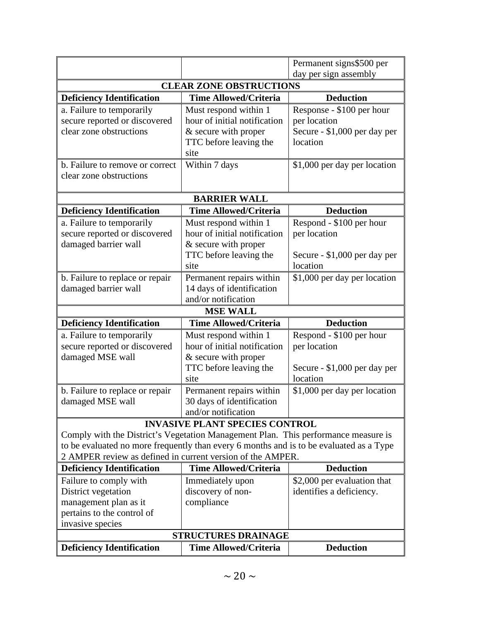|                                                                                         |                                       | Permanent signs\$500 per     |
|-----------------------------------------------------------------------------------------|---------------------------------------|------------------------------|
|                                                                                         |                                       | day per sign assembly        |
| <b>CLEAR ZONE OBSTRUCTIONS</b>                                                          |                                       |                              |
| <b>Deficiency Identification</b>                                                        | <b>Time Allowed/Criteria</b>          | <b>Deduction</b>             |
| a. Failure to temporarily                                                               | Must respond within 1                 | Response - \$100 per hour    |
| secure reported or discovered                                                           | hour of initial notification          | per location                 |
| clear zone obstructions                                                                 | & secure with proper                  | Secure - \$1,000 per day per |
|                                                                                         | TTC before leaving the                | location                     |
|                                                                                         | site                                  |                              |
| b. Failure to remove or correct                                                         | Within 7 days                         | \$1,000 per day per location |
| clear zone obstructions                                                                 |                                       |                              |
|                                                                                         | <b>BARRIER WALL</b>                   |                              |
| <b>Deficiency Identification</b>                                                        | <b>Time Allowed/Criteria</b>          | <b>Deduction</b>             |
|                                                                                         | Must respond within 1                 | Respond - \$100 per hour     |
| a. Failure to temporarily<br>secure reported or discovered                              | hour of initial notification          | per location                 |
| damaged barrier wall                                                                    | & secure with proper                  |                              |
|                                                                                         | TTC before leaving the                | Secure - \$1,000 per day per |
|                                                                                         | site                                  | location                     |
| b. Failure to replace or repair                                                         | Permanent repairs within              | \$1,000 per day per location |
| damaged barrier wall                                                                    | 14 days of identification             |                              |
|                                                                                         | and/or notification                   |                              |
|                                                                                         | <b>MSE WALL</b>                       |                              |
| <b>Deficiency Identification</b>                                                        | <b>Time Allowed/Criteria</b>          | <b>Deduction</b>             |
| a. Failure to temporarily                                                               | Must respond within 1                 | Respond - \$100 per hour     |
| secure reported or discovered                                                           | hour of initial notification          | per location                 |
|                                                                                         |                                       |                              |
| damaged MSE wall                                                                        | & secure with proper                  |                              |
|                                                                                         | TTC before leaving the                | Secure - \$1,000 per day per |
|                                                                                         | site                                  | location                     |
| b. Failure to replace or repair                                                         | Permanent repairs within              | \$1,000 per day per location |
| damaged MSE wall                                                                        | 30 days of identification             |                              |
|                                                                                         | and/or notification                   |                              |
|                                                                                         | <b>INVASIVE PLANT SPECIES CONTROL</b> |                              |
| Comply with the District's Vegetation Management Plan. This performance measure is      |                                       |                              |
| to be evaluated no more frequently than every 6 months and is to be evaluated as a Type |                                       |                              |
| 2 AMPER review as defined in current version of the AMPER.                              |                                       |                              |
| <b>Deficiency Identification</b>                                                        | <b>Time Allowed/Criteria</b>          | <b>Deduction</b>             |
| Failure to comply with                                                                  | Immediately upon                      | \$2,000 per evaluation that  |
| District vegetation                                                                     | discovery of non-                     | identifies a deficiency.     |
| management plan as it                                                                   | compliance                            |                              |
| pertains to the control of                                                              |                                       |                              |
| invasive species                                                                        |                                       |                              |
|                                                                                         | <b>STRUCTURES DRAINAGE</b>            |                              |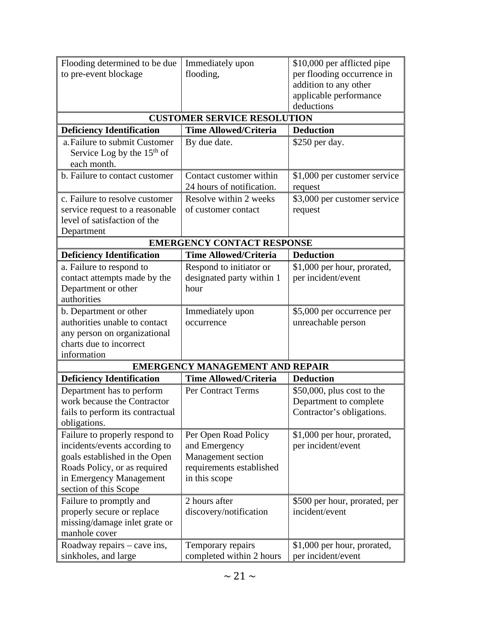| Flooding determined to be due                            | Immediately upon                       | \$10,000 per afflicted pipe                         |
|----------------------------------------------------------|----------------------------------------|-----------------------------------------------------|
| to pre-event blockage                                    | flooding,                              | per flooding occurrence in                          |
|                                                          |                                        | addition to any other                               |
|                                                          |                                        | applicable performance                              |
|                                                          |                                        | deductions                                          |
| <b>CUSTOMER SERVICE RESOLUTION</b>                       |                                        |                                                     |
| <b>Deficiency Identification</b>                         | <b>Time Allowed/Criteria</b>           | <b>Deduction</b>                                    |
| a. Failure to submit Customer                            | By due date.                           | \$250 per day.                                      |
| Service Log by the $15th$ of                             |                                        |                                                     |
| each month.                                              |                                        |                                                     |
| b. Failure to contact customer                           | Contact customer within                | \$1,000 per customer service                        |
|                                                          | 24 hours of notification.              | request                                             |
| c. Failure to resolve customer                           | Resolve within 2 weeks                 | \$3,000 per customer service                        |
| service request to a reasonable                          | of customer contact                    | request                                             |
| level of satisfaction of the                             |                                        |                                                     |
| Department                                               |                                        |                                                     |
|                                                          | <b>EMERGENCY CONTACT RESPONSE</b>      |                                                     |
| <b>Deficiency Identification</b>                         | <b>Time Allowed/Criteria</b>           | <b>Deduction</b>                                    |
| a. Failure to respond to                                 | Respond to initiator or                | \$1,000 per hour, prorated,                         |
| contact attempts made by the                             | designated party within 1              | per incident/event                                  |
| Department or other                                      | hour                                   |                                                     |
| authorities                                              |                                        |                                                     |
| b. Department or other                                   | Immediately upon                       | \$5,000 per occurrence per                          |
| authorities unable to contact                            | occurrence                             | unreachable person                                  |
| any person on organizational<br>charts due to incorrect  |                                        |                                                     |
| information                                              |                                        |                                                     |
|                                                          | <b>EMERGENCY MANAGEMENT AND REPAIR</b> |                                                     |
| <b>Deficiency Identification</b>                         | <b>Time Allowed/Criteria</b>           | <b>Deduction</b>                                    |
|                                                          |                                        |                                                     |
| Department has to perform<br>work because the Contractor | Per Contract Terms                     | $$50,000$ , plus cost to the                        |
| fails to perform its contractual                         |                                        | Department to complete<br>Contractor's obligations. |
| obligations.                                             |                                        |                                                     |
| Failure to properly respond to                           | Per Open Road Policy                   | \$1,000 per hour, prorated,                         |
| incidents/events according to                            | and Emergency                          | per incident/event                                  |
| goals established in the Open                            | Management section                     |                                                     |
| Roads Policy, or as required                             | requirements established               |                                                     |
| in Emergency Management                                  | in this scope                          |                                                     |
| section of this Scope                                    |                                        |                                                     |
| Failure to promptly and                                  | 2 hours after                          | \$500 per hour, prorated, per                       |
| properly secure or replace                               | discovery/notification                 | incident/event                                      |
| missing/damage inlet grate or                            |                                        |                                                     |
| manhole cover                                            |                                        |                                                     |
| Roadway repairs – cave ins,                              | Temporary repairs                      | \$1,000 per hour, prorated,                         |
| sinkholes, and large                                     | completed within 2 hours               | per incident/event                                  |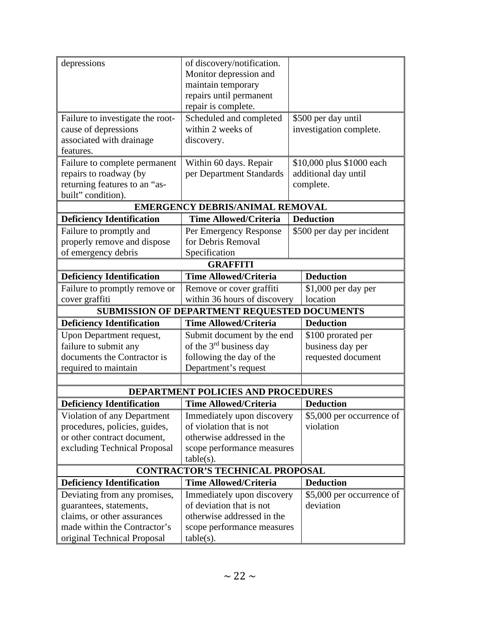| depressions                                         | of discovery/notification.             |                            |
|-----------------------------------------------------|----------------------------------------|----------------------------|
|                                                     | Monitor depression and                 |                            |
|                                                     | maintain temporary                     |                            |
|                                                     | repairs until permanent                |                            |
|                                                     | repair is complete.                    |                            |
| Failure to investigate the root-                    | Scheduled and completed                | \$500 per day until        |
| cause of depressions                                | within 2 weeks of                      | investigation complete.    |
| associated with drainage                            | discovery.                             |                            |
| features.                                           |                                        |                            |
| Failure to complete permanent                       | Within 60 days. Repair                 | \$10,000 plus \$1000 each  |
| repairs to roadway (by                              | per Department Standards               | additional day until       |
| returning features to an "as-                       |                                        | complete.                  |
| built" condition).                                  |                                        |                            |
|                                                     | <b>EMERGENCY DEBRIS/ANIMAL REMOVAL</b> |                            |
| <b>Deficiency Identification</b>                    | <b>Time Allowed/Criteria</b>           | <b>Deduction</b>           |
| Failure to promptly and                             | Per Emergency Response                 | \$500 per day per incident |
| properly remove and dispose                         | for Debris Removal                     |                            |
| of emergency debris                                 | Specification                          |                            |
|                                                     | <b>GRAFFITI</b>                        |                            |
| <b>Deficiency Identification</b>                    | <b>Time Allowed/Criteria</b>           | <b>Deduction</b>           |
| Failure to promptly remove or                       | Remove or cover graffiti               | \$1,000 per day per        |
| cover graffiti                                      | within 36 hours of discovery           | location                   |
| <b>SUBMISSION OF DEPARTMENT REQUESTED DOCUMENTS</b> |                                        |                            |
| <b>Deficiency Identification</b>                    | <b>Time Allowed/Criteria</b>           | <b>Deduction</b>           |
| Upon Department request,                            | Submit document by the end             | \$100 prorated per         |
| failure to submit any                               | of the $3rd$ business day              | business day per           |
| documents the Contractor is                         | following the day of the               | requested document         |
| required to maintain                                | Department's request                   |                            |
|                                                     |                                        |                            |
|                                                     | DEPARTMENT POLICIES AND PROCEDURES     |                            |
| <b>Deficiency Identification</b>                    | <b>Time Allowed/Criteria</b>           | <b>Deduction</b>           |
| Violation of any Department                         | Immediately upon discovery             | \$5,000 per occurrence of  |
| procedures, policies, guides,                       | of violation that is not               | violation                  |
| or other contract document,                         | otherwise addressed in the             |                            |
| excluding Technical Proposal                        | scope performance measures             |                            |
|                                                     | $table(s)$ .                           |                            |
| <b>CONTRACTOR'S TECHNICAL PROPOSAL</b>              |                                        |                            |
| <b>Deficiency Identification</b>                    | <b>Time Allowed/Criteria</b>           | <b>Deduction</b>           |
| Deviating from any promises,                        | Immediately upon discovery             | \$5,000 per occurrence of  |
| guarantees, statements,                             | of deviation that is not               | deviation                  |
| claims, or other assurances                         | otherwise addressed in the             |                            |
| made within the Contractor's                        | scope performance measures             |                            |
| original Technical Proposal                         | $table(s)$ .                           |                            |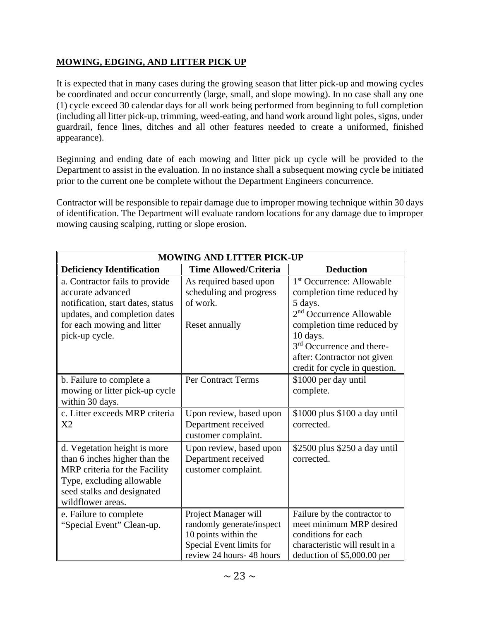## **MOWING, EDGING, AND LITTER PICK UP**

It is expected that in many cases during the growing season that litter pick-up and mowing cycles be coordinated and occur concurrently (large, small, and slope mowing). In no case shall any one (1) cycle exceed 30 calendar days for all work being performed from beginning to full completion (including all litter pick-up, trimming, weed-eating, and hand work around light poles, signs, under guardrail, fence lines, ditches and all other features needed to create a uniformed, finished appearance).

Beginning and ending date of each mowing and litter pick up cycle will be provided to the Department to assist in the evaluation. In no instance shall a subsequent mowing cycle be initiated prior to the current one be complete without the Department Engineers concurrence.

Contractor will be responsible to repair damage due to improper mowing technique within 30 days of identification. The Department will evaluate random locations for any damage due to improper mowing causing scalping, rutting or slope erosion.

| <b>MOWING AND LITTER PICK-UP</b>                                                                                                                                               |                                                                                                                                   |                                                                                                                                                   |  |
|--------------------------------------------------------------------------------------------------------------------------------------------------------------------------------|-----------------------------------------------------------------------------------------------------------------------------------|---------------------------------------------------------------------------------------------------------------------------------------------------|--|
| <b>Deficiency Identification</b>                                                                                                                                               | <b>Time Allowed/Criteria</b>                                                                                                      | <b>Deduction</b>                                                                                                                                  |  |
| a. Contractor fails to provide<br>accurate advanced<br>notification, start dates, status<br>updates, and completion dates                                                      | As required based upon<br>scheduling and progress<br>of work.                                                                     | 1 <sup>st</sup> Occurrence: Allowable<br>completion time reduced by<br>5 days.<br>2 <sup>nd</sup> Occurrence Allowable                            |  |
| for each mowing and litter<br>pick-up cycle.                                                                                                                                   | Reset annually                                                                                                                    | completion time reduced by<br>10 days.<br>3 <sup>rd</sup> Occurrence and there-<br>after: Contractor not given<br>credit for cycle in question.   |  |
| b. Failure to complete a<br>mowing or litter pick-up cycle<br>within 30 days.                                                                                                  | Per Contract Terms                                                                                                                | \$1000 per day until<br>complete.                                                                                                                 |  |
| c. Litter exceeds MRP criteria<br>X <sub>2</sub>                                                                                                                               | Upon review, based upon<br>Department received<br>customer complaint.                                                             | \$1000 plus \$100 a day until<br>corrected.                                                                                                       |  |
| d. Vegetation height is more<br>than 6 inches higher than the<br>MRP criteria for the Facility<br>Type, excluding allowable<br>seed stalks and designated<br>wildflower areas. | Upon review, based upon<br>Department received<br>customer complaint.                                                             | \$2500 plus \$250 a day until<br>corrected.                                                                                                       |  |
| e. Failure to complete<br>"Special Event" Clean-up.                                                                                                                            | Project Manager will<br>randomly generate/inspect<br>10 points within the<br>Special Event limits for<br>review 24 hours-48 hours | Failure by the contractor to<br>meet minimum MRP desired<br>conditions for each<br>characteristic will result in a<br>deduction of \$5,000.00 per |  |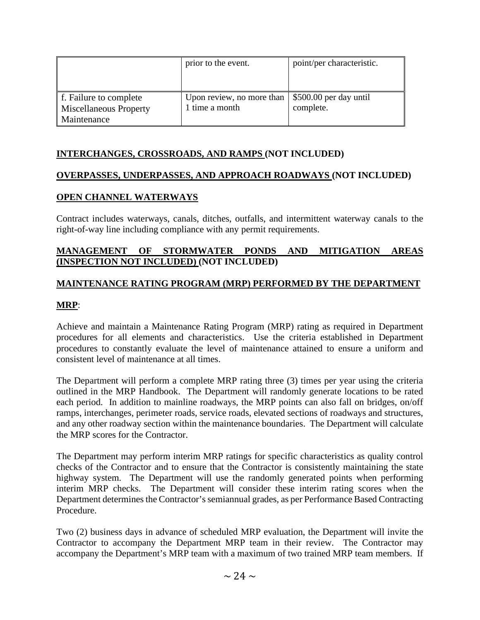|                               | prior to the event.       | point/per characteristic. |
|-------------------------------|---------------------------|---------------------------|
|                               |                           |                           |
| f. Failure to complete        | Upon review, no more than | \$500.00 per day until    |
| <b>Miscellaneous Property</b> | 1 time a month            | complete.                 |
| Maintenance                   |                           |                           |

### **INTERCHANGES, CROSSROADS, AND RAMPS (NOT INCLUDED)**

### **OVERPASSES, UNDERPASSES, AND APPROACH ROADWAYS (NOT INCLUDED)**

### **OPEN CHANNEL WATERWAYS**

Contract includes waterways, canals, ditches, outfalls, and intermittent waterway canals to the right-of-way line including compliance with any permit requirements.

#### **MANAGEMENT OF STORMWATER PONDS AND MITIGATION AREAS (INSPECTION NOT INCLUDED) (NOT INCLUDED)**

#### **MAINTENANCE RATING PROGRAM (MRP) PERFORMED BY THE DEPARTMENT**

#### **MRP**:

Achieve and maintain a Maintenance Rating Program (MRP) rating as required in Department procedures for all elements and characteristics. Use the criteria established in Department procedures to constantly evaluate the level of maintenance attained to ensure a uniform and consistent level of maintenance at all times.

The Department will perform a complete MRP rating three (3) times per year using the criteria outlined in the MRP Handbook. The Department will randomly generate locations to be rated each period. In addition to mainline roadways, the MRP points can also fall on bridges, on/off ramps, interchanges, perimeter roads, service roads, elevated sections of roadways and structures, and any other roadway section within the maintenance boundaries. The Department will calculate the MRP scores for the Contractor.

The Department may perform interim MRP ratings for specific characteristics as quality control checks of the Contractor and to ensure that the Contractor is consistently maintaining the state highway system. The Department will use the randomly generated points when performing interim MRP checks. The Department will consider these interim rating scores when the Department determines the Contractor's semiannual grades, as per Performance Based Contracting Procedure.

Two (2) business days in advance of scheduled MRP evaluation, the Department will invite the Contractor to accompany the Department MRP team in their review. The Contractor may accompany the Department's MRP team with a maximum of two trained MRP team members. If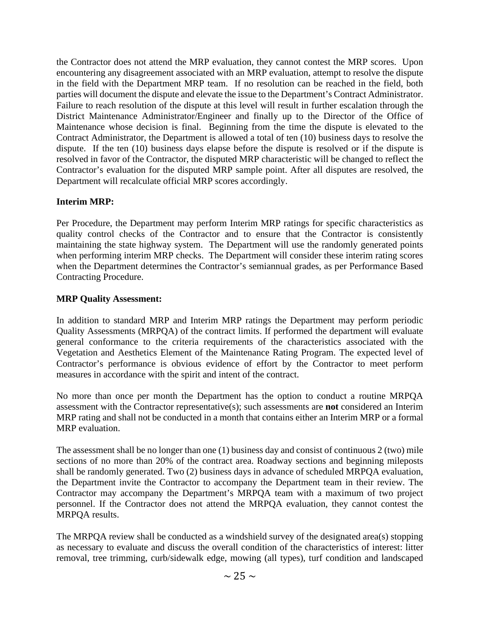the Contractor does not attend the MRP evaluation, they cannot contest the MRP scores. Upon encountering any disagreement associated with an MRP evaluation, attempt to resolve the dispute in the field with the Department MRP team. If no resolution can be reached in the field, both parties will document the dispute and elevate the issue to the Department's Contract Administrator. Failure to reach resolution of the dispute at this level will result in further escalation through the District Maintenance Administrator/Engineer and finally up to the Director of the Office of Maintenance whose decision is final. Beginning from the time the dispute is elevated to the Contract Administrator, the Department is allowed a total of ten (10) business days to resolve the dispute. If the ten (10) business days elapse before the dispute is resolved or if the dispute is resolved in favor of the Contractor, the disputed MRP characteristic will be changed to reflect the Contractor's evaluation for the disputed MRP sample point. After all disputes are resolved, the Department will recalculate official MRP scores accordingly.

### **Interim MRP:**

Per Procedure, the Department may perform Interim MRP ratings for specific characteristics as quality control checks of the Contractor and to ensure that the Contractor is consistently maintaining the state highway system. The Department will use the randomly generated points when performing interim MRP checks. The Department will consider these interim rating scores when the Department determines the Contractor's semiannual grades, as per Performance Based Contracting Procedure.

### **MRP Quality Assessment:**

In addition to standard MRP and Interim MRP ratings the Department may perform periodic Quality Assessments (MRPQA) of the contract limits. If performed the department will evaluate general conformance to the criteria requirements of the characteristics associated with the Vegetation and Aesthetics Element of the Maintenance Rating Program. The expected level of Contractor's performance is obvious evidence of effort by the Contractor to meet perform measures in accordance with the spirit and intent of the contract.

No more than once per month the Department has the option to conduct a routine MRPQA assessment with the Contractor representative(s); such assessments are **not** considered an Interim MRP rating and shall not be conducted in a month that contains either an Interim MRP or a formal MRP evaluation.

The assessment shall be no longer than one (1) business day and consist of continuous 2 (two) mile sections of no more than 20% of the contract area. Roadway sections and beginning mileposts shall be randomly generated. Two (2) business days in advance of scheduled MRPQA evaluation, the Department invite the Contractor to accompany the Department team in their review. The Contractor may accompany the Department's MRPQA team with a maximum of two project personnel. If the Contractor does not attend the MRPQA evaluation, they cannot contest the MRPQA results.

The MRPQA review shall be conducted as a windshield survey of the designated area(s) stopping as necessary to evaluate and discuss the overall condition of the characteristics of interest: litter removal, tree trimming, curb/sidewalk edge, mowing (all types), turf condition and landscaped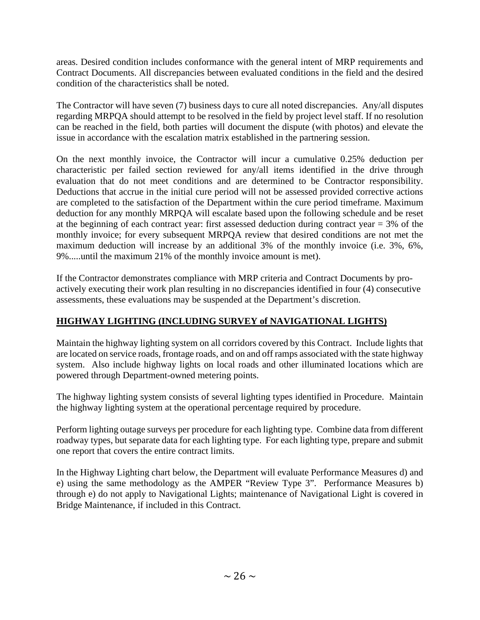areas. Desired condition includes conformance with the general intent of MRP requirements and Contract Documents. All discrepancies between evaluated conditions in the field and the desired condition of the characteristics shall be noted.

The Contractor will have seven (7) business days to cure all noted discrepancies. Any/all disputes regarding MRPQA should attempt to be resolved in the field by project level staff. If no resolution can be reached in the field, both parties will document the dispute (with photos) and elevate the issue in accordance with the escalation matrix established in the partnering session.

On the next monthly invoice, the Contractor will incur a cumulative 0.25% deduction per characteristic per failed section reviewed for any/all items identified in the drive through evaluation that do not meet conditions and are determined to be Contractor responsibility. Deductions that accrue in the initial cure period will not be assessed provided corrective actions are completed to the satisfaction of the Department within the cure period timeframe. Maximum deduction for any monthly MRPQA will escalate based upon the following schedule and be reset at the beginning of each contract year: first assessed deduction during contract year  $=$  3% of the monthly invoice; for every subsequent MRPQA review that desired conditions are not met the maximum deduction will increase by an additional 3% of the monthly invoice (i.e. 3%, 6%, 9%.....until the maximum 21% of the monthly invoice amount is met).

If the Contractor demonstrates compliance with MRP criteria and Contract Documents by proactively executing their work plan resulting in no discrepancies identified in four (4) consecutive assessments, these evaluations may be suspended at the Department's discretion.

# **HIGHWAY LIGHTING (INCLUDING SURVEY of NAVIGATIONAL LIGHTS)**

Maintain the highway lighting system on all corridors covered by this Contract. Include lights that are located on service roads, frontage roads, and on and off ramps associated with the state highway system. Also include highway lights on local roads and other illuminated locations which are powered through Department-owned metering points.

The highway lighting system consists of several lighting types identified in Procedure. Maintain the highway lighting system at the operational percentage required by procedure.

Perform lighting outage surveys per procedure for each lighting type. Combine data from different roadway types, but separate data for each lighting type. For each lighting type, prepare and submit one report that covers the entire contract limits.

In the Highway Lighting chart below, the Department will evaluate Performance Measures d) and e) using the same methodology as the AMPER "Review Type 3". Performance Measures b) through e) do not apply to Navigational Lights; maintenance of Navigational Light is covered in Bridge Maintenance, if included in this Contract.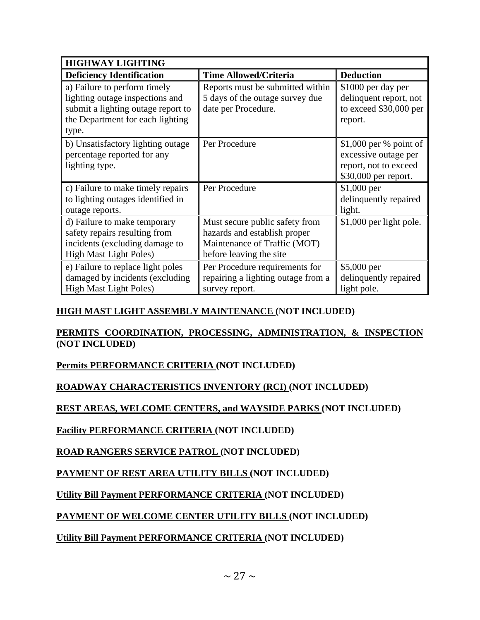| <b>HIGHWAY LIGHTING</b>            |                                    |                         |  |
|------------------------------------|------------------------------------|-------------------------|--|
| <b>Deficiency Identification</b>   | <b>Time Allowed/Criteria</b>       | <b>Deduction</b>        |  |
| a) Failure to perform timely       | Reports must be submitted within   | \$1000 per day per      |  |
| lighting outage inspections and    | 5 days of the outage survey due    | delinquent report, not  |  |
| submit a lighting outage report to | date per Procedure.                | to exceed \$30,000 per  |  |
| the Department for each lighting   |                                    | report.                 |  |
| type.                              |                                    |                         |  |
| b) Unsatisfactory lighting outage  | Per Procedure                      | \$1,000 per % point of  |  |
| percentage reported for any        |                                    | excessive outage per    |  |
| lighting type.                     |                                    | report, not to exceed   |  |
|                                    |                                    | \$30,000 per report.    |  |
| c) Failure to make timely repairs  | Per Procedure                      | $$1,000$ per            |  |
| to lighting outages identified in  |                                    | delinquently repaired   |  |
| outage reports.                    |                                    | light.                  |  |
| d) Failure to make temporary       | Must secure public safety from     | \$1,000 per light pole. |  |
| safety repairs resulting from      | hazards and establish proper       |                         |  |
| incidents (excluding damage to     | Maintenance of Traffic (MOT)       |                         |  |
| <b>High Mast Light Poles)</b>      | before leaving the site            |                         |  |
| e) Failure to replace light poles  | Per Procedure requirements for     | $$5,000$ per            |  |
| damaged by incidents (excluding    | repairing a lighting outage from a | delinquently repaired   |  |
| <b>High Mast Light Poles)</b>      | survey report.                     | light pole.             |  |

### **HIGH MAST LIGHT ASSEMBLY MAINTENANCE (NOT INCLUDED)**

### **PERMITS COORDINATION, PROCESSING, ADMINISTRATION, & INSPECTION (NOT INCLUDED)**

### **Permits PERFORMANCE CRITERIA (NOT INCLUDED)**

## **ROADWAY CHARACTERISTICS INVENTORY (RCI) (NOT INCLUDED)**

### **REST AREAS, WELCOME CENTERS, and WAYSIDE PARKS (NOT INCLUDED)**

### **Facility PERFORMANCE CRITERIA (NOT INCLUDED)**

## **ROAD RANGERS SERVICE PATROL (NOT INCLUDED)**

## **PAYMENT OF REST AREA UTILITY BILLS (NOT INCLUDED)**

## **Utility Bill Payment PERFORMANCE CRITERIA (NOT INCLUDED)**

## **PAYMENT OF WELCOME CENTER UTILITY BILLS (NOT INCLUDED)**

## **Utility Bill Payment PERFORMANCE CRITERIA (NOT INCLUDED)**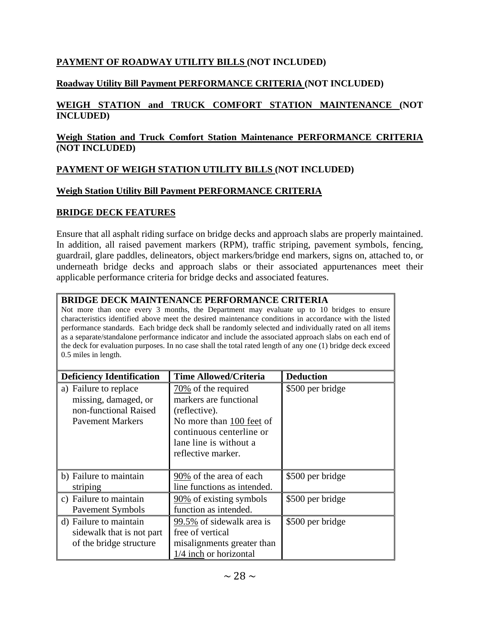### **PAYMENT OF ROADWAY UTILITY BILLS (NOT INCLUDED)**

### **Roadway Utility Bill Payment PERFORMANCE CRITERIA (NOT INCLUDED)**

#### **WEIGH STATION and TRUCK COMFORT STATION MAINTENANCE (NOT INCLUDED)**

#### **Weigh Station and Truck Comfort Station Maintenance PERFORMANCE CRITERIA (NOT INCLUDED)**

### **PAYMENT OF WEIGH STATION UTILITY BILLS (NOT INCLUDED)**

### **Weigh Station Utility Bill Payment PERFORMANCE CRITERIA**

### **BRIDGE DECK FEATURES**

Ensure that all asphalt riding surface on bridge decks and approach slabs are properly maintained. In addition, all raised pavement markers (RPM), traffic striping, pavement symbols, fencing, guardrail, glare paddles, delineators, object markers/bridge end markers, signs on, attached to, or underneath bridge decks and approach slabs or their associated appurtenances meet their applicable performance criteria for bridge decks and associated features.

#### **BRIDGE DECK MAINTENANCE PERFORMANCE CRITERIA**

Not more than once every 3 months, the Department may evaluate up to 10 bridges to ensure characteristics identified above meet the desired maintenance conditions in accordance with the listed performance standards. Each bridge deck shall be randomly selected and individually rated on all items as a separate/standalone performance indicator and include the associated approach slabs on each end of the deck for evaluation purposes. In no case shall the total rated length of any one (1) bridge deck exceed 0.5 miles in length.

| <b>Deficiency Identification</b>                                                                  | <b>Time Allowed/Criteria</b>                                                                                                                                              | <b>Deduction</b> |
|---------------------------------------------------------------------------------------------------|---------------------------------------------------------------------------------------------------------------------------------------------------------------------------|------------------|
| a) Failure to replace<br>missing, damaged, or<br>non-functional Raised<br><b>Pavement Markers</b> | $70\%$ of the required<br>markers are functional<br>(reflective).<br>No more than 100 feet of<br>continuous centerline or<br>lane line is without a<br>reflective marker. | \$500 per bridge |
| b) Failure to maintain<br>striping                                                                | 90% of the area of each<br>line functions as intended.                                                                                                                    | \$500 per bridge |
| c) Failure to maintain<br>Pavement Symbols                                                        | 90% of existing symbols<br>function as intended.                                                                                                                          | \$500 per bridge |
| d) Failure to maintain<br>sidewalk that is not part<br>of the bridge structure                    | 99.5% of sidewalk area is<br>free of vertical<br>misalignments greater than<br>1/4 inch or horizontal                                                                     | \$500 per bridge |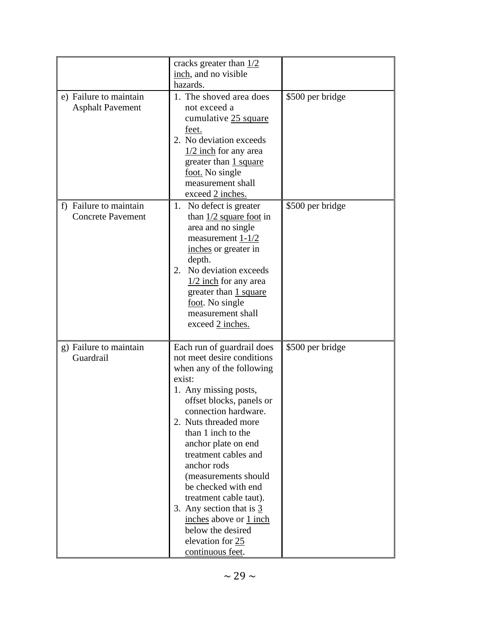|                                                    | cracks greater than $1/2$<br>inch, and no visible                                                                                                                                                                                                                                                                                                                                                                                                                                                 |                  |
|----------------------------------------------------|---------------------------------------------------------------------------------------------------------------------------------------------------------------------------------------------------------------------------------------------------------------------------------------------------------------------------------------------------------------------------------------------------------------------------------------------------------------------------------------------------|------------------|
|                                                    | hazards.                                                                                                                                                                                                                                                                                                                                                                                                                                                                                          |                  |
| e) Failure to maintain<br><b>Asphalt Pavement</b>  | 1. The shoved area does<br>not exceed a<br>cumulative 25 square<br>feet.<br>2. No deviation exceeds<br>$\frac{1}{2}$ inch for any area<br>greater than 1 square<br>foot. No single<br>measurement shall<br>exceed 2 inches.                                                                                                                                                                                                                                                                       | \$500 per bridge |
| f) Failure to maintain<br><b>Concrete Pavement</b> | 1. No defect is greater<br>than $1/2$ square foot in<br>area and no single<br>measurement $1-1/2$<br>inches or greater in<br>depth.<br>No deviation exceeds<br>2.<br>$\frac{1}{2}$ inch for any area<br>greater than 1 square<br>foot. No single<br>measurement shall<br>exceed 2 inches.                                                                                                                                                                                                         | \$500 per bridge |
| g) Failure to maintain<br>Guardrail                | Each run of guardrail does<br>not meet desire conditions<br>when any of the following<br>exist:<br>1. Any missing posts,<br>offset blocks, panels or<br>connection hardware.<br>2. Nuts threaded more<br>than 1 inch to the<br>anchor plate on end<br>treatment cables and<br>anchor rods<br>(measurements should<br>be checked with end<br>treatment cable taut).<br>3. Any section that is $\frac{3}{5}$<br>inches above or 1 inch<br>below the desired<br>elevation for 25<br>continuous feet. | \$500 per bridge |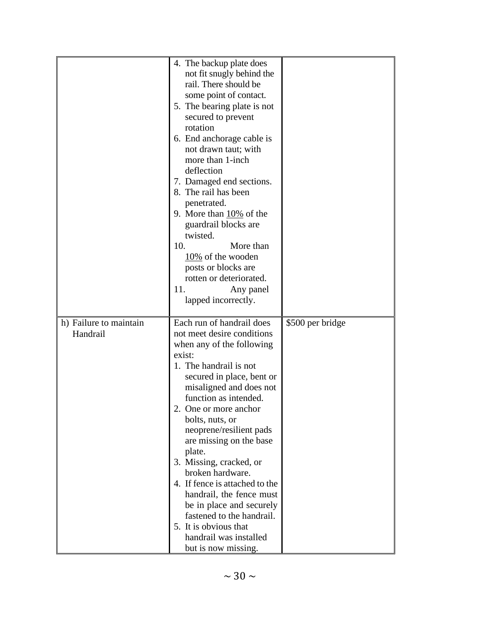|                                    | 4. The backup plate does<br>not fit snugly behind the<br>rail. There should be<br>some point of contact.<br>5. The bearing plate is not<br>secured to prevent<br>rotation<br>6. End anchorage cable is<br>not drawn taut; with<br>more than 1-inch<br>deflection<br>7. Damaged end sections.<br>8. The rail has been<br>penetrated.<br>9. More than $10\%$ of the<br>guardrail blocks are<br>twisted.                                                                                                                                                                 |                  |
|------------------------------------|-----------------------------------------------------------------------------------------------------------------------------------------------------------------------------------------------------------------------------------------------------------------------------------------------------------------------------------------------------------------------------------------------------------------------------------------------------------------------------------------------------------------------------------------------------------------------|------------------|
|                                    | More than<br>10.<br>$10\%$ of the wooden<br>posts or blocks are<br>rotten or deteriorated.<br>11.<br>Any panel<br>lapped incorrectly.                                                                                                                                                                                                                                                                                                                                                                                                                                 |                  |
| h) Failure to maintain<br>Handrail | Each run of handrail does<br>not meet desire conditions<br>when any of the following<br>exist:<br>1. The handrail is not<br>secured in place, bent or<br>misaligned and does not<br>function as intended.<br>2. One or more anchor<br>bolts, nuts, or<br>neoprene/resilient pads<br>are missing on the base<br>plate.<br>3. Missing, cracked, or<br>broken hardware.<br>4. If fence is attached to the<br>handrail, the fence must<br>be in place and securely<br>fastened to the handrail.<br>5. It is obvious that<br>handrail was installed<br>but is now missing. | \$500 per bridge |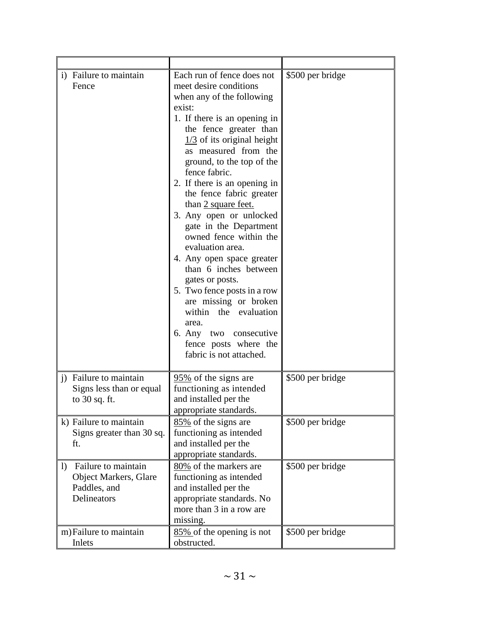| i) Failure to maintain<br>Fence                                                                       | Each run of fence does not<br>meet desire conditions<br>when any of the following<br>exist:<br>1. If there is an opening in<br>the fence greater than<br>$\frac{1}{3}$ of its original height<br>as measured from the<br>ground, to the top of the<br>fence fabric.<br>2. If there is an opening in<br>the fence fabric greater<br>than 2 square feet.<br>3. Any open or unlocked<br>gate in the Department<br>owned fence within the<br>evaluation area.<br>4. Any open space greater<br>than 6 inches between<br>gates or posts.<br>5. Two fence posts in a row<br>are missing or broken<br>within the evaluation<br>area.<br>6. Any two consecutive<br>fence posts where the<br>fabric is not attached. | \$500 per bridge |
|-------------------------------------------------------------------------------------------------------|------------------------------------------------------------------------------------------------------------------------------------------------------------------------------------------------------------------------------------------------------------------------------------------------------------------------------------------------------------------------------------------------------------------------------------------------------------------------------------------------------------------------------------------------------------------------------------------------------------------------------------------------------------------------------------------------------------|------------------|
| j) Failure to maintain<br>Signs less than or equal<br>to $30$ sq. ft.                                 | $\frac{95\%}{2}$ of the signs are<br>functioning as intended<br>and installed per the<br>appropriate standards.                                                                                                                                                                                                                                                                                                                                                                                                                                                                                                                                                                                            | \$500 per bridge |
| k) Failure to maintain<br>Signs greater than 30 sq.<br>ft.                                            | 85% of the signs are<br>functioning as intended<br>and installed per the<br>appropriate standards.                                                                                                                                                                                                                                                                                                                                                                                                                                                                                                                                                                                                         | \$500 per bridge |
| Failure to maintain<br>$\left  \right\rangle$<br>Object Markers, Glare<br>Paddles, and<br>Delineators | 80% of the markers are<br>functioning as intended<br>and installed per the<br>appropriate standards. No<br>more than 3 in a row are<br>missing.                                                                                                                                                                                                                                                                                                                                                                                                                                                                                                                                                            | \$500 per bridge |
| m) Failure to maintain<br>Inlets                                                                      | 85% of the opening is not<br>obstructed.                                                                                                                                                                                                                                                                                                                                                                                                                                                                                                                                                                                                                                                                   | \$500 per bridge |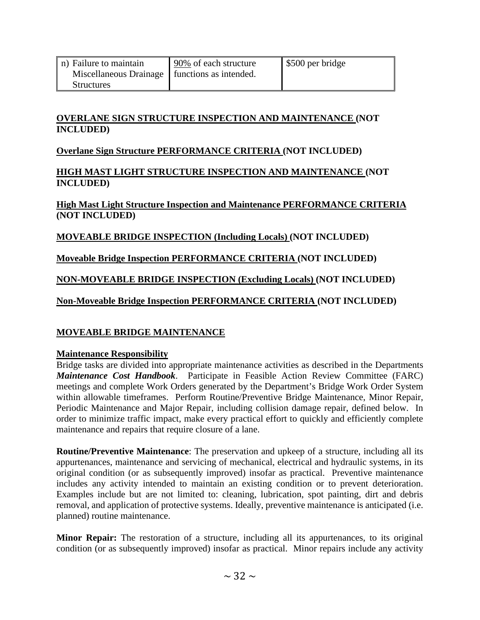| n) Failure to maintain                          | 90% of each structure | \$500 per bridge |
|-------------------------------------------------|-----------------------|------------------|
| Miscellaneous Drainage   functions as intended. |                       |                  |
| <b>Structures</b>                               |                       |                  |

### **OVERLANE SIGN STRUCTURE INSPECTION AND MAINTENANCE (NOT INCLUDED)**

## **Overlane Sign Structure PERFORMANCE CRITERIA (NOT INCLUDED)**

### **HIGH MAST LIGHT STRUCTURE INSPECTION AND MAINTENANCE (NOT INCLUDED)**

### **High Mast Light Structure Inspection and Maintenance PERFORMANCE CRITERIA (NOT INCLUDED)**

# **MOVEABLE BRIDGE INSPECTION (Including Locals) (NOT INCLUDED)**

# **Moveable Bridge Inspection PERFORMANCE CRITERIA (NOT INCLUDED)**

# **NON-MOVEABLE BRIDGE INSPECTION (Excluding Locals) (NOT INCLUDED)**

# **Non-Moveable Bridge Inspection PERFORMANCE CRITERIA (NOT INCLUDED)**

# **MOVEABLE BRIDGE MAINTENANCE**

## **Maintenance Responsibility**

Bridge tasks are divided into appropriate maintenance activities as described in the Departments *Maintenance Cost Handbook*. Participate in Feasible Action Review Committee (FARC) meetings and complete Work Orders generated by the Department's Bridge Work Order System within allowable timeframes. Perform Routine/Preventive Bridge Maintenance, Minor Repair, Periodic Maintenance and Major Repair, including collision damage repair, defined below. In order to minimize traffic impact, make every practical effort to quickly and efficiently complete maintenance and repairs that require closure of a lane.

**Routine/Preventive Maintenance**: The preservation and upkeep of a structure, including all its appurtenances, maintenance and servicing of mechanical, electrical and hydraulic systems, in its original condition (or as subsequently improved) insofar as practical. Preventive maintenance includes any activity intended to maintain an existing condition or to prevent deterioration. Examples include but are not limited to: cleaning, lubrication, spot painting, dirt and debris removal, and application of protective systems. Ideally, preventive maintenance is anticipated (i.e. planned) routine maintenance.

**Minor Repair:** The restoration of a structure, including all its appurtenances, to its original condition (or as subsequently improved) insofar as practical. Minor repairs include any activity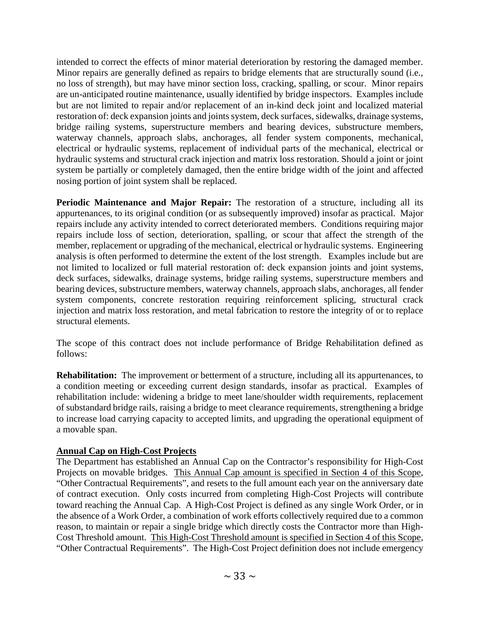intended to correct the effects of minor material deterioration by restoring the damaged member. Minor repairs are generally defined as repairs to bridge elements that are structurally sound (i.e., no loss of strength), but may have minor section loss, cracking, spalling, or scour. Minor repairs are un-anticipated routine maintenance, usually identified by bridge inspectors. Examples include but are not limited to repair and/or replacement of an in-kind deck joint and localized material restoration of: deck expansion joints and joints system, deck surfaces, sidewalks, drainage systems, bridge railing systems, superstructure members and bearing devices, substructure members, waterway channels, approach slabs, anchorages, all fender system components, mechanical, electrical or hydraulic systems, replacement of individual parts of the mechanical, electrical or hydraulic systems and structural crack injection and matrix loss restoration. Should a joint or joint system be partially or completely damaged, then the entire bridge width of the joint and affected nosing portion of joint system shall be replaced.

**Periodic Maintenance and Major Repair:** The restoration of a structure, including all its appurtenances, to its original condition (or as subsequently improved) insofar as practical. Major repairs include any activity intended to correct deteriorated members. Conditions requiring major repairs include loss of section, deterioration, spalling, or scour that affect the strength of the member, replacement or upgrading of the mechanical, electrical or hydraulic systems. Engineering analysis is often performed to determine the extent of the lost strength. Examples include but are not limited to localized or full material restoration of: deck expansion joints and joint systems, deck surfaces, sidewalks, drainage systems, bridge railing systems, superstructure members and bearing devices, substructure members, waterway channels, approach slabs, anchorages, all fender system components, concrete restoration requiring reinforcement splicing, structural crack injection and matrix loss restoration, and metal fabrication to restore the integrity of or to replace structural elements.

The scope of this contract does not include performance of Bridge Rehabilitation defined as follows:

**Rehabilitation:** The improvement or betterment of a structure, including all its appurtenances, to a condition meeting or exceeding current design standards, insofar as practical. Examples of rehabilitation include: widening a bridge to meet lane/shoulder width requirements, replacement of substandard bridge rails, raising a bridge to meet clearance requirements, strengthening a bridge to increase load carrying capacity to accepted limits, and upgrading the operational equipment of a movable span.

### **Annual Cap on High-Cost Projects**

The Department has established an Annual Cap on the Contractor's responsibility for High-Cost Projects on movable bridges. This Annual Cap amount is specified in Section 4 of this Scope, "Other Contractual Requirements", and resets to the full amount each year on the anniversary date of contract execution. Only costs incurred from completing High-Cost Projects will contribute toward reaching the Annual Cap. A High-Cost Project is defined as any single Work Order, or in the absence of a Work Order, a combination of work efforts collectively required due to a common reason, to maintain or repair a single bridge which directly costs the Contractor more than High-Cost Threshold amount. This High-Cost Threshold amount is specified in Section 4 of this Scope, "Other Contractual Requirements". The High-Cost Project definition does not include emergency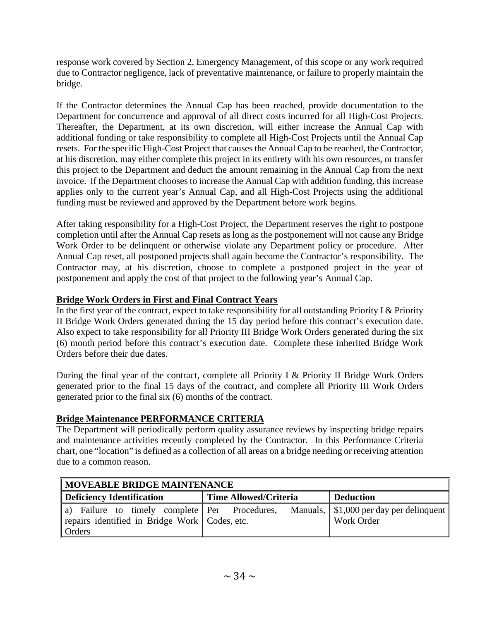response work covered by Section 2, Emergency Management, of this scope or any work required due to Contractor negligence, lack of preventative maintenance, or failure to properly maintain the bridge.

If the Contractor determines the Annual Cap has been reached, provide documentation to the Department for concurrence and approval of all direct costs incurred for all High-Cost Projects. Thereafter, the Department, at its own discretion, will either increase the Annual Cap with additional funding or take responsibility to complete all High-Cost Projects until the Annual Cap resets. For the specific High-Cost Project that causes the Annual Cap to be reached, the Contractor, at his discretion, may either complete this project in its entirety with his own resources, or transfer this project to the Department and deduct the amount remaining in the Annual Cap from the next invoice. If the Department chooses to increase the Annual Cap with addition funding, this increase applies only to the current year's Annual Cap, and all High-Cost Projects using the additional funding must be reviewed and approved by the Department before work begins.

After taking responsibility for a High-Cost Project, the Department reserves the right to postpone completion until after the Annual Cap resets as long as the postponement will not cause any Bridge Work Order to be delinquent or otherwise violate any Department policy or procedure. After Annual Cap reset, all postponed projects shall again become the Contractor's responsibility. The Contractor may, at his discretion, choose to complete a postponed project in the year of postponement and apply the cost of that project to the following year's Annual Cap.

## **Bridge Work Orders in First and Final Contract Years**

In the first year of the contract, expect to take responsibility for all outstanding Priority I & Priority II Bridge Work Orders generated during the 15 day period before this contract's execution date. Also expect to take responsibility for all Priority III Bridge Work Orders generated during the six (6) month period before this contract's execution date. Complete these inherited Bridge Work Orders before their due dates.

During the final year of the contract, complete all Priority I & Priority II Bridge Work Orders generated prior to the final 15 days of the contract, and complete all Priority III Work Orders generated prior to the final six (6) months of the contract.

# **Bridge Maintenance PERFORMANCE CRITERIA**

The Department will periodically perform quality assurance reviews by inspecting bridge repairs and maintenance activities recently completed by the Contractor. In this Performance Criteria chart, one "location" is defined as a collection of all areas on a bridge needing or receiving attention due to a common reason.

| <b>MOVEABLE BRIDGE MAINTENANCE</b>                                                                         |                       |                                                             |  |  |
|------------------------------------------------------------------------------------------------------------|-----------------------|-------------------------------------------------------------|--|--|
| Deficiency Identification                                                                                  | Time Allowed/Criteria | <b>Deduction</b>                                            |  |  |
| a) Failure to timely complete Per Procedures,<br>repairs identified in Bridge Work   Codes, etc.<br>Orders |                       | Manuals, \ \ \ \$1,000 per day per delinquent<br>Work Order |  |  |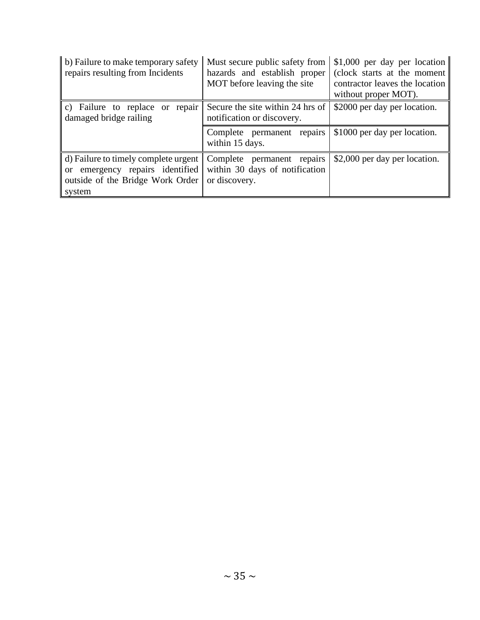| b) Failure to make temporary safety<br>repairs resulting from Incidents                                                             | Must secure public safety from<br>hazards and establish proper<br>MOT before leaving the site | \$1,000 per day per location<br>(clock starts at the moment)<br>contractor leaves the location<br>without proper MOT). |
|-------------------------------------------------------------------------------------------------------------------------------------|-----------------------------------------------------------------------------------------------|------------------------------------------------------------------------------------------------------------------------|
| c) Failure to replace or repair<br>damaged bridge railing                                                                           | Secure the site within 24 hrs of<br>notification or discovery.                                | \$2000 per day per location.                                                                                           |
|                                                                                                                                     | Complete permanent repairs<br>within 15 days.                                                 | \$1000 per day per location.                                                                                           |
| d) Failure to timely complete urgent<br>emergency repairs identified<br><sub>or</sub><br>outside of the Bridge Work Order<br>system | Complete permanent repairs<br>within 30 days of notification<br>or discovery.                 | \$2,000 per day per location.                                                                                          |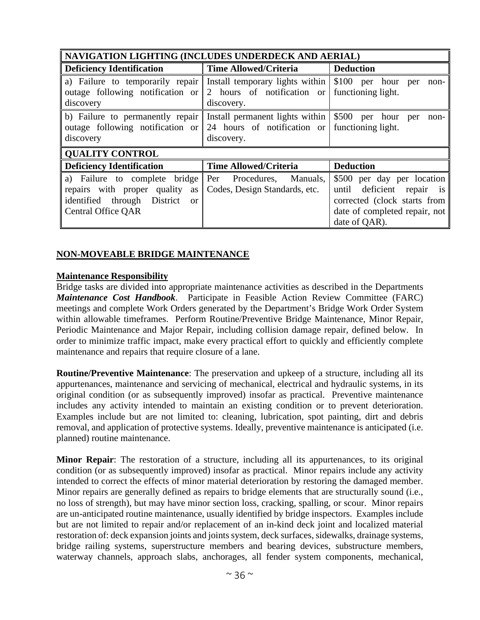| NAVIGATION LIGHTING (INCLUDES UNDERDECK AND AERIAL)                                  |                                                |                               |  |  |
|--------------------------------------------------------------------------------------|------------------------------------------------|-------------------------------|--|--|
| <b>Deficiency Identification</b>                                                     | <b>Time Allowed/Criteria</b>                   | <b>Deduction</b>              |  |  |
| a) Failure to temporarily repair Install temporary lights within \\$100 per hour per |                                                | non-                          |  |  |
| outage following notification or                                                     | 2 hours of notification or                     | functioning light.            |  |  |
| discovery                                                                            | discovery.                                     |                               |  |  |
| b) Failure to permanently repair Install permanent lights within \\$500 per          |                                                | hour<br>per<br>non-           |  |  |
| outage following notification or                                                     | 24 hours of notification or functioning light. |                               |  |  |
| discovery                                                                            | discovery.                                     |                               |  |  |
| <b>QUALITY CONTROL</b>                                                               |                                                |                               |  |  |
| <b>Deficiency Identification</b>                                                     | <b>Time Allowed/Criteria</b>                   | <b>Deduction</b>              |  |  |
| a) Failure to complete bridge                                                        | Per Procedures,<br>Manuals,                    | \$500 per day per location    |  |  |
| repairs with proper quality<br>as                                                    | Codes, Design Standards, etc.                  | deficient repair is<br>until  |  |  |
| identified through District<br><sub>or</sub>                                         |                                                | corrected (clock starts from  |  |  |
| <b>Central Office QAR</b>                                                            |                                                | date of completed repair, not |  |  |
|                                                                                      |                                                | date of QAR).                 |  |  |

#### **NON-MOVEABLE BRIDGE MAINTENANCE**

#### **Maintenance Responsibility**

Bridge tasks are divided into appropriate maintenance activities as described in the Departments *Maintenance Cost Handbook*. Participate in Feasible Action Review Committee (FARC) meetings and complete Work Orders generated by the Department's Bridge Work Order System within allowable timeframes. Perform Routine/Preventive Bridge Maintenance, Minor Repair, Periodic Maintenance and Major Repair, including collision damage repair, defined below. In order to minimize traffic impact, make every practical effort to quickly and efficiently complete maintenance and repairs that require closure of a lane.

**Routine/Preventive Maintenance**: The preservation and upkeep of a structure, including all its appurtenances, maintenance and servicing of mechanical, electrical and hydraulic systems, in its original condition (or as subsequently improved) insofar as practical. Preventive maintenance includes any activity intended to maintain an existing condition or to prevent deterioration. Examples include but are not limited to: cleaning, lubrication, spot painting, dirt and debris removal, and application of protective systems. Ideally, preventive maintenance is anticipated (i.e. planned) routine maintenance.

**Minor Repair**: The restoration of a structure, including all its appurtenances, to its original condition (or as subsequently improved) insofar as practical. Minor repairs include any activity intended to correct the effects of minor material deterioration by restoring the damaged member. Minor repairs are generally defined as repairs to bridge elements that are structurally sound (i.e., no loss of strength), but may have minor section loss, cracking, spalling, or scour. Minor repairs are un-anticipated routine maintenance, usually identified by bridge inspectors. Examples include but are not limited to repair and/or replacement of an in-kind deck joint and localized material restoration of: deck expansion joints and joints system, deck surfaces, sidewalks, drainage systems, bridge railing systems, superstructure members and bearing devices, substructure members, waterway channels, approach slabs, anchorages, all fender system components, mechanical,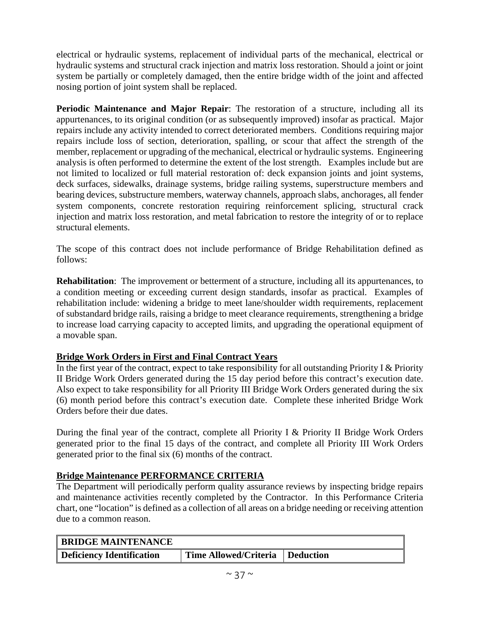electrical or hydraulic systems, replacement of individual parts of the mechanical, electrical or hydraulic systems and structural crack injection and matrix loss restoration. Should a joint or joint system be partially or completely damaged, then the entire bridge width of the joint and affected nosing portion of joint system shall be replaced.

**Periodic Maintenance and Major Repair**: The restoration of a structure, including all its appurtenances, to its original condition (or as subsequently improved) insofar as practical. Major repairs include any activity intended to correct deteriorated members. Conditions requiring major repairs include loss of section, deterioration, spalling, or scour that affect the strength of the member, replacement or upgrading of the mechanical, electrical or hydraulic systems. Engineering analysis is often performed to determine the extent of the lost strength. Examples include but are not limited to localized or full material restoration of: deck expansion joints and joint systems, deck surfaces, sidewalks, drainage systems, bridge railing systems, superstructure members and bearing devices, substructure members, waterway channels, approach slabs, anchorages, all fender system components, concrete restoration requiring reinforcement splicing, structural crack injection and matrix loss restoration, and metal fabrication to restore the integrity of or to replace structural elements.

The scope of this contract does not include performance of Bridge Rehabilitation defined as follows:

**Rehabilitation**: The improvement or betterment of a structure, including all its appurtenances, to a condition meeting or exceeding current design standards, insofar as practical. Examples of rehabilitation include: widening a bridge to meet lane/shoulder width requirements, replacement of substandard bridge rails, raising a bridge to meet clearance requirements, strengthening a bridge to increase load carrying capacity to accepted limits, and upgrading the operational equipment of a movable span.

## **Bridge Work Orders in First and Final Contract Years**

In the first year of the contract, expect to take responsibility for all outstanding Priority I & Priority II Bridge Work Orders generated during the 15 day period before this contract's execution date. Also expect to take responsibility for all Priority III Bridge Work Orders generated during the six (6) month period before this contract's execution date. Complete these inherited Bridge Work Orders before their due dates.

During the final year of the contract, complete all Priority I & Priority II Bridge Work Orders generated prior to the final 15 days of the contract, and complete all Priority III Work Orders generated prior to the final six (6) months of the contract.

### **Bridge Maintenance PERFORMANCE CRITERIA**

The Department will periodically perform quality assurance reviews by inspecting bridge repairs and maintenance activities recently completed by the Contractor. In this Performance Criteria chart, one "location" is defined as a collection of all areas on a bridge needing or receiving attention due to a common reason.

| <b>BRIDGE MAINTENANCE</b> |                                   |  |
|---------------------------|-----------------------------------|--|
| Deficiency Identification | Time Allowed/Criteria   Deduction |  |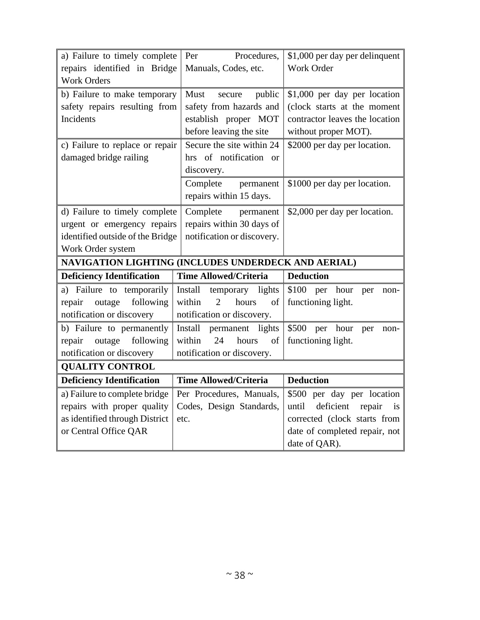| a) Failure to timely complete                       | Procedures,<br>Per                      | \$1,000 per day per delinquent                                |
|-----------------------------------------------------|-----------------------------------------|---------------------------------------------------------------|
| repairs identified in Bridge                        | Manuals, Codes, etc.                    | Work Order                                                    |
| <b>Work Orders</b>                                  |                                         |                                                               |
| b) Failure to make temporary                        | Must<br>public<br>secure                | \$1,000 per day per location                                  |
| safety repairs resulting from                       | safety from hazards and                 | (clock starts at the moment                                   |
| Incidents                                           | establish proper MOT                    | contractor leaves the location                                |
|                                                     | before leaving the site                 | without proper MOT).                                          |
| c) Failure to replace or repair                     | Secure the site within 24               | \$2000 per day per location.                                  |
| damaged bridge railing                              | hrs of notification or                  |                                                               |
|                                                     | discovery.                              |                                                               |
|                                                     | Complete<br>permanent                   | \$1000 per day per location.                                  |
|                                                     | repairs within 15 days.                 |                                                               |
| d) Failure to timely complete                       | Complete<br>permanent                   | \$2,000 per day per location.                                 |
| urgent or emergency repairs                         | repairs within 30 days of               |                                                               |
| identified outside of the Bridge                    | notification or discovery.              |                                                               |
| Work Order system                                   |                                         |                                                               |
|                                                     |                                         |                                                               |
| NAVIGATION LIGHTING (INCLUDES UNDERDECK AND AERIAL) |                                         |                                                               |
| <b>Deficiency Identification</b>                    | <b>Time Allowed/Criteria</b>            | <b>Deduction</b>                                              |
| a) Failure to temporarily                           | Install<br>temporary lights             | \$100 per<br>hour<br>per<br>non-                              |
| following<br>outage<br>repair                       | within<br>$\overline{2}$<br>hours<br>of | functioning light.                                            |
| notification or discovery                           | notification or discovery.              |                                                               |
| b) Failure to permanently                           | Install<br>permanent lights             | \$500<br>per<br>hour<br>per<br>non-                           |
| following<br>repair<br>outage                       | within<br>24<br>hours<br>of             | functioning light.                                            |
| notification or discovery                           | notification or discovery.              |                                                               |
| <b>QUALITY CONTROL</b>                              |                                         |                                                               |
| <b>Deficiency Identification</b>                    | <b>Time Allowed/Criteria</b>            | <b>Deduction</b>                                              |
| a) Failure to complete bridge                       | Per Procedures, Manuals,                | \$500 per day per location                                    |
| repairs with proper quality                         | Codes, Design Standards,                | until<br>deficient<br>repair<br>is                            |
| as identified through District                      | etc.                                    |                                                               |
| or Central Office QAR                               |                                         | corrected (clock starts from<br>date of completed repair, not |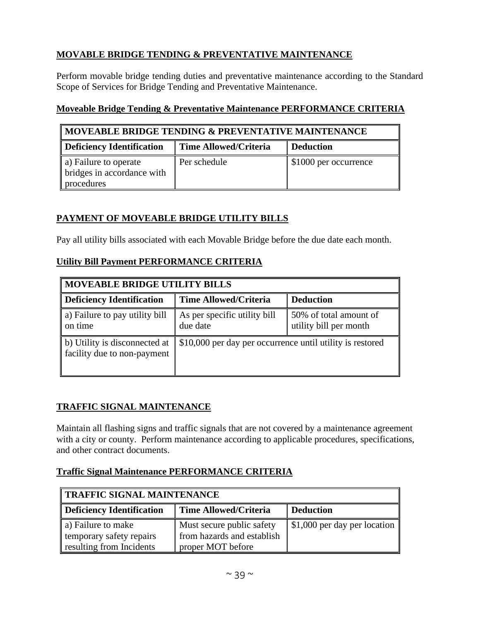## **MOVABLE BRIDGE TENDING & PREVENTATIVE MAINTENANCE**

Perform movable bridge tending duties and preventative maintenance according to the Standard Scope of Services for Bridge Tending and Preventative Maintenance.

### **Moveable Bridge Tending & Preventative Maintenance PERFORMANCE CRITERIA**

| MOVEABLE BRIDGE TENDING & PREVENTATIVE MAINTENANCE                |                              |                       |
|-------------------------------------------------------------------|------------------------------|-----------------------|
| Deficiency Identification                                         | <b>Time Allowed/Criteria</b> | <b>Deduction</b>      |
| a) Failure to operate<br>bridges in accordance with<br>procedures | Per schedule                 | \$1000 per occurrence |

## **PAYMENT OF MOVEABLE BRIDGE UTILITY BILLS**

Pay all utility bills associated with each Movable Bridge before the due date each month.

## **Utility Bill Payment PERFORMANCE CRITERIA**

| <b>MOVEABLE BRIDGE UTILITY BILLS</b>                         |                                                           |                                                  |
|--------------------------------------------------------------|-----------------------------------------------------------|--------------------------------------------------|
| Deficiency Identification                                    | <b>Time Allowed/Criteria</b>                              | <b>Deduction</b>                                 |
| a) Failure to pay utility bill<br>on time                    | As per specific utility bill<br>due date                  | 50% of total amount of<br>utility bill per month |
| b) Utility is disconnected at<br>facility due to non-payment | \$10,000 per day per occurrence until utility is restored |                                                  |

## **TRAFFIC SIGNAL MAINTENANCE**

Maintain all flashing signs and traffic signals that are not covered by a maintenance agreement with a city or county. Perform maintenance according to applicable procedures, specifications, and other contract documents.

## **Traffic Signal Maintenance PERFORMANCE CRITERIA**

| TRAFFIC SIGNAL MAINTENANCE                                                    |                                                                              |                              |
|-------------------------------------------------------------------------------|------------------------------------------------------------------------------|------------------------------|
| Deficiency Identification<br><b>Time Allowed/Criteria</b><br><b>Deduction</b> |                                                                              |                              |
| a) Failure to make<br>temporary safety repairs<br>resulting from Incidents    | Must secure public safety<br>from hazards and establish<br>proper MOT before | \$1,000 per day per location |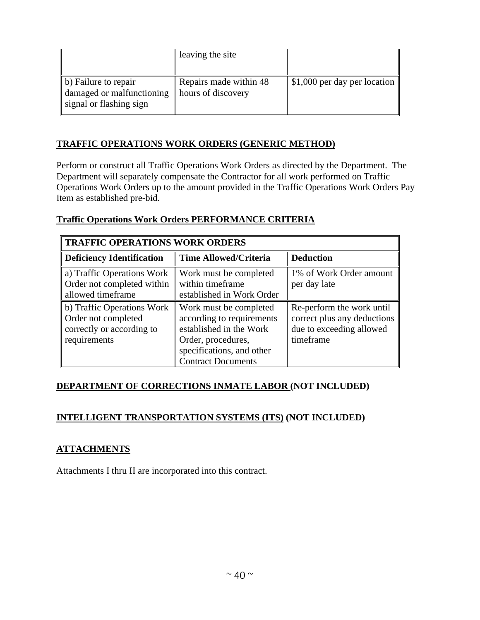|                                                                              | leaving the site                             |                              |
|------------------------------------------------------------------------------|----------------------------------------------|------------------------------|
| b) Failure to repair<br>damaged or malfunctioning<br>signal or flashing sign | Repairs made within 48<br>hours of discovery | \$1,000 per day per location |

## **TRAFFIC OPERATIONS WORK ORDERS (GENERIC METHOD)**

Perform or construct all Traffic Operations Work Orders as directed by the Department. The Department will separately compensate the Contractor for all work performed on Traffic Operations Work Orders up to the amount provided in the Traffic Operations Work Orders Pay Item as established pre-bid.

### **Traffic Operations Work Orders PERFORMANCE CRITERIA**

| TRAFFIC OPERATIONS WORK ORDERS                                                                 |                                                                                                                                                                |                                                                                                   |
|------------------------------------------------------------------------------------------------|----------------------------------------------------------------------------------------------------------------------------------------------------------------|---------------------------------------------------------------------------------------------------|
| Deficiency Identification                                                                      | <b>Time Allowed/Criteria</b>                                                                                                                                   | <b>Deduction</b>                                                                                  |
| a) Traffic Operations Work<br>Order not completed within<br>allowed timeframe                  | Work must be completed<br>within timeframe<br>established in Work Order                                                                                        | 1% of Work Order amount<br>per day late                                                           |
| b) Traffic Operations Work<br>Order not completed<br>correctly or according to<br>requirements | Work must be completed<br>according to requirements<br>established in the Work<br>Order, procedures,<br>specifications, and other<br><b>Contract Documents</b> | Re-perform the work until<br>correct plus any deductions<br>due to exceeding allowed<br>timeframe |

### **DEPARTMENT OF CORRECTIONS INMATE LABOR (NOT INCLUDED)**

## **INTELLIGENT TRANSPORTATION SYSTEMS (ITS) (NOT INCLUDED)**

## **ATTACHMENTS**

Attachments I thru II are incorporated into this contract.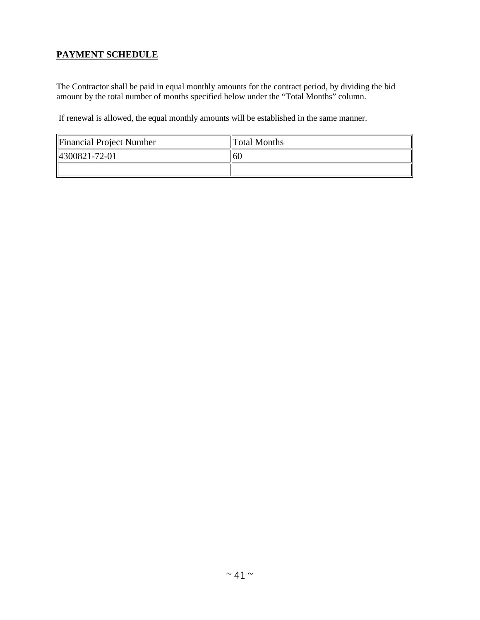## **PAYMENT SCHEDULE**

The Contractor shall be paid in equal monthly amounts for the contract period, by dividing the bid amount by the total number of months specified below under the "Total Months" column.

If renewal is allowed, the equal monthly amounts will be established in the same manner.

| Financial Project Number  | <b>Total Months</b> |
|---------------------------|---------------------|
| $\parallel$ 4300821-72-01 | -60                 |
|                           |                     |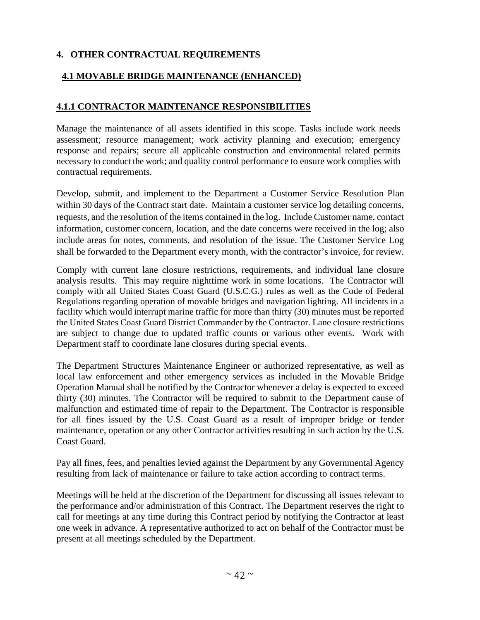## **4. OTHER CONTRACTUAL REQUIREMENTS**

## **4.1 MOVABLE BRIDGE MAINTENANCE (ENHANCED)**

## **4.1.1 CONTRACTOR MAINTENANCE RESPONSIBILITIES**

Manage the maintenance of all assets identified in this scope. Tasks include work needs assessment; resource management; work activity planning and execution; emergency response and repairs; secure all applicable construction and environmental related permits necessary to conduct the work; and quality control performance to ensure work complies with contractual requirements.

Develop, submit, and implement to the Department a Customer Service Resolution Plan within 30 days of the Contract start date. Maintain a customer service log detailing concerns, requests, and the resolution of the items contained in the log. Include Customer name, contact information, customer concern, location, and the date concerns were received in the log; also include areas for notes, comments, and resolution of the issue. The Customer Service Log shall be forwarded to the Department every month, with the contractor's invoice, for review.

Comply with current lane closure restrictions, requirements, and individual lane closure analysis results. This may require nighttime work in some locations. The Contractor will comply with all United States Coast Guard (U.S.C.G.) rules as well as the Code of Federal Regulations regarding operation of movable bridges and navigation lighting. All incidents in a facility which would interrupt marine traffic for more than thirty (30) minutes must be reported the United States Coast Guard District Commander by the Contractor. Lane closure restrictions are subject to change due to updated traffic counts or various other events. Work with Department staff to coordinate lane closures during special events.

The Department Structures Maintenance Engineer or authorized representative, as well as local law enforcement and other emergency services as included in the Movable Bridge Operation Manual shall be notified by the Contractor whenever a delay is expected to exceed thirty (30) minutes. The Contractor will be required to submit to the Department cause of malfunction and estimated time of repair to the Department. The Contractor is responsible for all fines issued by the U.S. Coast Guard as a result of improper bridge or fender maintenance, operation or any other Contractor activities resulting in such action by the U.S. Coast Guard.

Pay all fines, fees, and penalties levied against the Department by any Governmental Agency resulting from lack of maintenance or failure to take action according to contract terms.

Meetings will be held at the discretion of the Department for discussing all issues relevant to the performance and/or administration of this Contract. The Department reserves the right to call for meetings at any time during this Contract period by notifying the Contractor at least one week in advance. A representative authorized to act on behalf of the Contractor must be present at all meetings scheduled by the Department.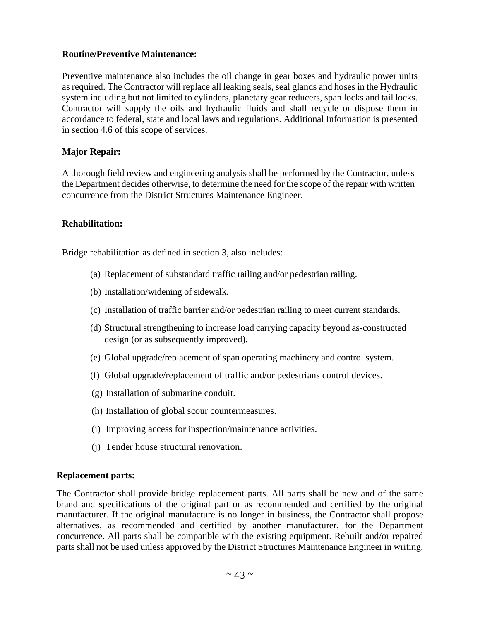### **Routine/Preventive Maintenance:**

Preventive maintenance also includes the oil change in gear boxes and hydraulic power units as required. The Contractor will replace all leaking seals, seal glands and hoses in the Hydraulic system including but not limited to cylinders, planetary gear reducers, span locks and tail locks. Contractor will supply the oils and hydraulic fluids and shall recycle or dispose them in accordance to federal, state and local laws and regulations. Additional Information is presented in section 4.6 of this scope of services.

## **Major Repair:**

A thorough field review and engineering analysis shall be performed by the Contractor, unless the Department decides otherwise, to determine the need for the scope of the repair with written concurrence from the District Structures Maintenance Engineer.

### **Rehabilitation:**

Bridge rehabilitation as defined in section 3, also includes:

- (a) Replacement of substandard traffic railing and/or pedestrian railing.
- (b) Installation/widening of sidewalk.
- (c) Installation of traffic barrier and/or pedestrian railing to meet current standards.
- (d) Structural strengthening to increase load carrying capacity beyond as-constructed design (or as subsequently improved).
- (e) Global upgrade/replacement of span operating machinery and control system.
- (f) Global upgrade/replacement of traffic and/or pedestrians control devices.
- (g) Installation of submarine conduit.
- (h) Installation of global scour countermeasures.
- (i) Improving access for inspection/maintenance activities.
- (j) Tender house structural renovation.

#### **Replacement parts:**

The Contractor shall provide bridge replacement parts. All parts shall be new and of the same brand and specifications of the original part or as recommended and certified by the original manufacturer. If the original manufacture is no longer in business, the Contractor shall propose alternatives, as recommended and certified by another manufacturer, for the Department concurrence. All parts shall be compatible with the existing equipment. Rebuilt and/or repaired parts shall not be used unless approved by the District Structures Maintenance Engineer in writing.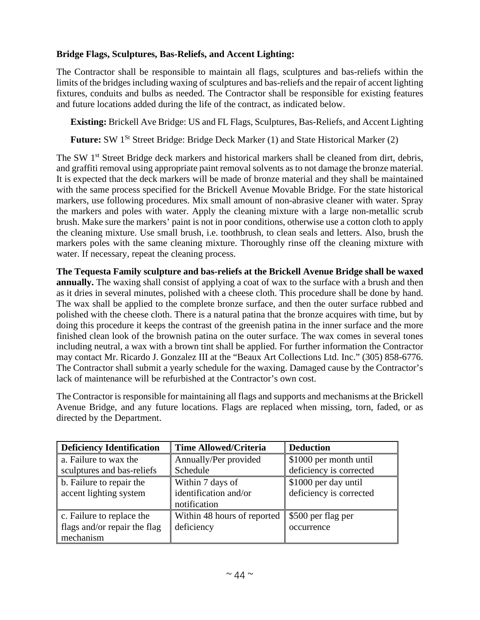## **Bridge Flags, Sculptures, Bas-Reliefs, and Accent Lighting:**

The Contractor shall be responsible to maintain all flags, sculptures and bas-reliefs within the limits of the bridges including waxing of sculptures and bas-reliefs and the repair of accent lighting fixtures, conduits and bulbs as needed. The Contractor shall be responsible for existing features and future locations added during the life of the contract, as indicated below.

**Existing:** Brickell Ave Bridge: US and FL Flags, Sculptures, Bas-Reliefs, and Accent Lighting

Future: SW 1<sup>St</sup> Street Bridge: Bridge Deck Marker (1) and State Historical Marker (2)

The SW 1<sup>st</sup> Street Bridge deck markers and historical markers shall be cleaned from dirt, debris, and graffiti removal using appropriate paint removal solvents as to not damage the bronze material. It is expected that the deck markers will be made of bronze material and they shall be maintained with the same process specified for the Brickell Avenue Movable Bridge. For the state historical markers, use following procedures. Mix small amount of non-abrasive cleaner with water. Spray the markers and poles with water. Apply the cleaning mixture with a large non-metallic scrub brush. Make sure the markers' paint is not in poor conditions, otherwise use a cotton cloth to apply the cleaning mixture. Use small brush, i.e. toothbrush, to clean seals and letters. Also, brush the markers poles with the same cleaning mixture. Thoroughly rinse off the cleaning mixture with water. If necessary, repeat the cleaning process.

**The Tequesta Family sculpture and bas-reliefs at the Brickell Avenue Bridge shall be waxed annually.** The waxing shall consist of applying a coat of wax to the surface with a brush and then as it dries in several minutes, polished with a cheese cloth. This procedure shall be done by hand. The wax shall be applied to the complete bronze surface, and then the outer surface rubbed and polished with the cheese cloth. There is a natural patina that the bronze acquires with time, but by doing this procedure it keeps the contrast of the greenish patina in the inner surface and the more finished clean look of the brownish patina on the outer surface. The wax comes in several tones including neutral, a wax with a brown tint shall be applied. For further information the Contractor may contact Mr. Ricardo J. Gonzalez III at the "Beaux Art Collections Ltd. Inc." (305) 858-6776. The Contractor shall submit a yearly schedule for the waxing. Damaged cause by the Contractor's lack of maintenance will be refurbished at the Contractor's own cost.

The Contractor is responsible for maintaining all flags and supports and mechanisms at the Brickell Avenue Bridge, and any future locations. Flags are replaced when missing, torn, faded, or as directed by the Department.

| <b>Deficiency Identification</b> | <b>Time Allowed/Criteria</b> | <b>Deduction</b>        |
|----------------------------------|------------------------------|-------------------------|
| a. Failure to wax the            | Annually/Per provided        | \$1000 per month until  |
| sculptures and bas-reliefs       | Schedule                     | deficiency is corrected |
| b. Failure to repair the         | Within 7 days of             | \$1000 per day until    |
| accent lighting system           | identification and/or        | deficiency is corrected |
|                                  | notification                 |                         |
| c. Failure to replace the        | Within 48 hours of reported  | \$500 per flag per      |
| flags and/or repair the flag     | deficiency                   | occurrence              |
| mechanism                        |                              |                         |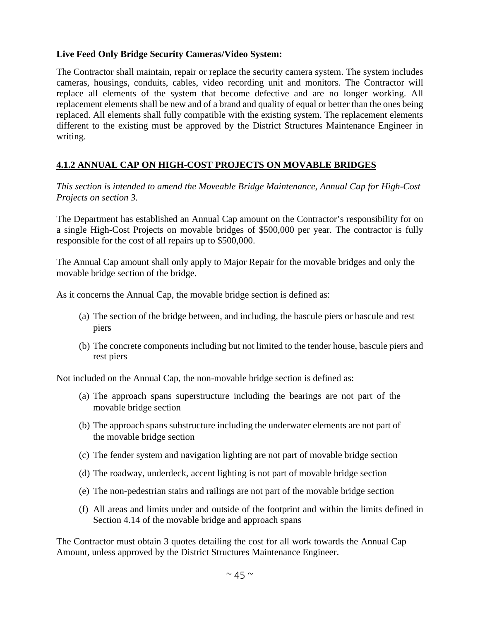### **Live Feed Only Bridge Security Cameras/Video System:**

The Contractor shall maintain, repair or replace the security camera system. The system includes cameras, housings, conduits, cables, video recording unit and monitors. The Contractor will replace all elements of the system that become defective and are no longer working. All replacement elements shall be new and of a brand and quality of equal or better than the ones being replaced. All elements shall fully compatible with the existing system. The replacement elements different to the existing must be approved by the District Structures Maintenance Engineer in writing.

### **4.1.2 ANNUAL CAP ON HIGH-COST PROJECTS ON MOVABLE BRIDGES**

*This section is intended to amend the Moveable Bridge Maintenance, Annual Cap for High-Cost Projects on section 3.* 

The Department has established an Annual Cap amount on the Contractor's responsibility for on a single High-Cost Projects on movable bridges of \$500,000 per year. The contractor is fully responsible for the cost of all repairs up to \$500,000.

The Annual Cap amount shall only apply to Major Repair for the movable bridges and only the movable bridge section of the bridge.

As it concerns the Annual Cap, the movable bridge section is defined as:

- (a) The section of the bridge between, and including, the bascule piers or bascule and rest piers
- (b) The concrete components including but not limited to the tender house, bascule piers and rest piers

Not included on the Annual Cap, the non-movable bridge section is defined as:

- (a) The approach spans superstructure including the bearings are not part of the movable bridge section
- (b) The approach spans substructure including the underwater elements are not part of the movable bridge section
- (c) The fender system and navigation lighting are not part of movable bridge section
- (d) The roadway, underdeck, accent lighting is not part of movable bridge section
- (e) The non-pedestrian stairs and railings are not part of the movable bridge section
- (f) All areas and limits under and outside of the footprint and within the limits defined in Section 4.14 of the movable bridge and approach spans

The Contractor must obtain 3 quotes detailing the cost for all work towards the Annual Cap Amount, unless approved by the District Structures Maintenance Engineer.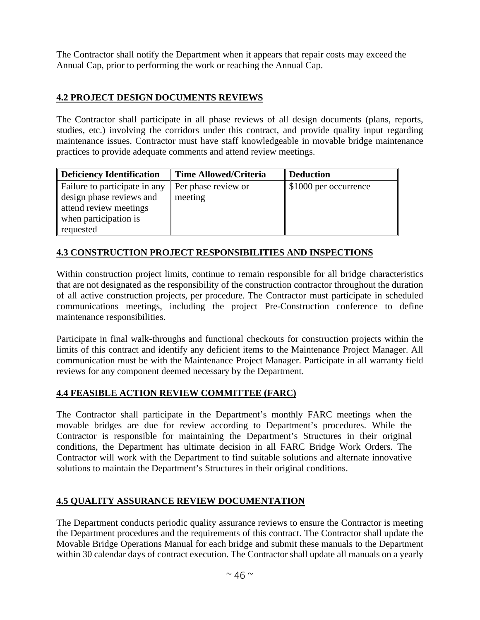The Contractor shall notify the Department when it appears that repair costs may exceed the Annual Cap, prior to performing the work or reaching the Annual Cap.

## **4.2 PROJECT DESIGN DOCUMENTS REVIEWS**

The Contractor shall participate in all phase reviews of all design documents (plans, reports, studies, etc.) involving the corridors under this contract, and provide quality input regarding maintenance issues. Contractor must have staff knowledgeable in movable bridge maintenance practices to provide adequate comments and attend review meetings.

| <b>Deficiency Identification</b> | <b>Time Allowed/Criteria</b> | <b>Deduction</b>      |
|----------------------------------|------------------------------|-----------------------|
| Failure to participate in any    | Per phase review or          | \$1000 per occurrence |
| design phase reviews and         | meeting                      |                       |
| attend review meetings           |                              |                       |
| when participation is            |                              |                       |
| requested                        |                              |                       |

## **4.3 CONSTRUCTION PROJECT RESPONSIBILITIES AND INSPECTIONS**

Within construction project limits, continue to remain responsible for all bridge characteristics that are not designated as the responsibility of the construction contractor throughout the duration of all active construction projects, per procedure. The Contractor must participate in scheduled communications meetings, including the project Pre-Construction conference to define maintenance responsibilities.

Participate in final walk-throughs and functional checkouts for construction projects within the limits of this contract and identify any deficient items to the Maintenance Project Manager. All communication must be with the Maintenance Project Manager. Participate in all warranty field reviews for any component deemed necessary by the Department.

## **4.4 FEASIBLE ACTION REVIEW COMMITTEE (FARC)**

The Contractor shall participate in the Department's monthly FARC meetings when the movable bridges are due for review according to Department's procedures. While the Contractor is responsible for maintaining the Department's Structures in their original conditions, the Department has ultimate decision in all FARC Bridge Work Orders. The Contractor will work with the Department to find suitable solutions and alternate innovative solutions to maintain the Department's Structures in their original conditions.

## **4.5 QUALITY ASSURANCE REVIEW DOCUMENTATION**

The Department conducts periodic quality assurance reviews to ensure the Contractor is meeting the Department procedures and the requirements of this contract. The Contractor shall update the Movable Bridge Operations Manual for each bridge and submit these manuals to the Department within 30 calendar days of contract execution. The Contractor shall update all manuals on a yearly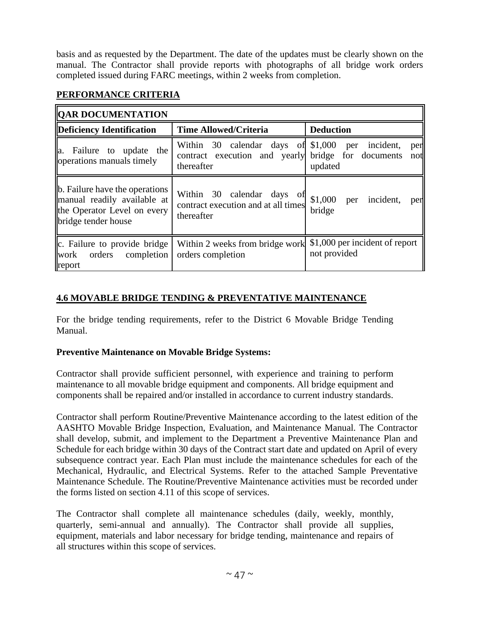basis and as requested by the Department. The date of the updates must be clearly shown on the manual. The Contractor shall provide reports with photographs of all bridge work orders completed issued during FARC meetings, within 2 weeks from completion.

| <b>QAR DOCUMENTATION</b>                                                                                            |                                                                                                        |                                                |
|---------------------------------------------------------------------------------------------------------------------|--------------------------------------------------------------------------------------------------------|------------------------------------------------|
| Deficiency Identification                                                                                           | <b>Time Allowed/Criteria</b>                                                                           | <b>Deduction</b>                               |
| a. Failure to update the<br>operations manuals timely                                                               | Within 30 calendar days of \$1,000<br>contract execution and yearly bridge for documents<br>thereafter | per incident,<br>per<br>not<br>updated         |
| b. Failure have the operations<br>manual readily available at<br>the Operator Level on every<br>bridge tender house | Within 30 calendar days of<br>contract execution and at all times<br>thereafter                        | \$1,000<br>incident,<br>per<br>per<br>bridge   |
| $\ c.$ Failure to provide bridge $\ $<br>work orders completion<br>report                                           | Within 2 weeks from bridge work<br>orders completion                                                   | \$1,000 per incident of report<br>not provided |

## **PERFORMANCE CRITERIA**

## **4.6 MOVABLE BRIDGE TENDING & PREVENTATIVE MAINTENANCE**

For the bridge tending requirements, refer to the District 6 Movable Bridge Tending Manual.

### **Preventive Maintenance on Movable Bridge Systems:**

Contractor shall provide sufficient personnel, with experience and training to perform maintenance to all movable bridge equipment and components. All bridge equipment and components shall be repaired and/or installed in accordance to current industry standards.

Contractor shall perform Routine/Preventive Maintenance according to the latest edition of the AASHTO Movable Bridge Inspection, Evaluation, and Maintenance Manual. The Contractor shall develop, submit, and implement to the Department a Preventive Maintenance Plan and Schedule for each bridge within 30 days of the Contract start date and updated on April of every subsequence contract year. Each Plan must include the maintenance schedules for each of the Mechanical, Hydraulic, and Electrical Systems. Refer to the attached Sample Preventative Maintenance Schedule. The Routine/Preventive Maintenance activities must be recorded under the forms listed on section 4.11 of this scope of services.

The Contractor shall complete all maintenance schedules (daily, weekly, monthly, quarterly, semi-annual and annually). The Contractor shall provide all supplies, equipment, materials and labor necessary for bridge tending, maintenance and repairs of all structures within this scope of services.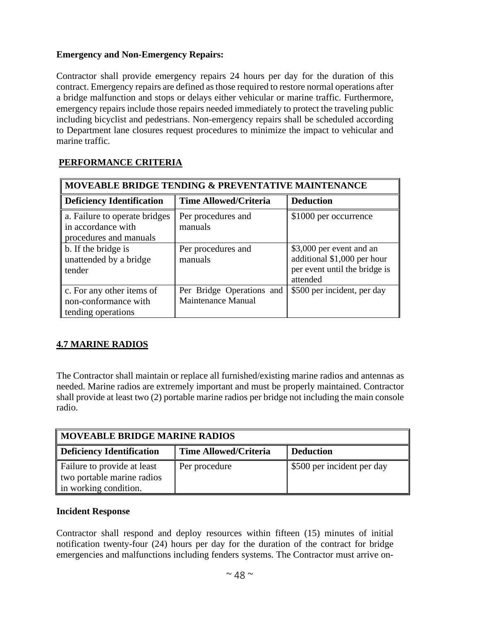## **Emergency and Non-Emergency Repairs:**

Contractor shall provide emergency repairs 24 hours per day for the duration of this contract. Emergency repairs are defined as those required to restore normal operations after a bridge malfunction and stops or delays either vehicular or marine traffic. Furthermore, emergency repairs include those repairs needed immediately to protect the traveling public including bicyclist and pedestrians. Non-emergency repairs shall be scheduled according to Department lane closures request procedures to minimize the impact to vehicular and marine traffic.

| MOVEABLE BRIDGE TENDING & PREVENTATIVE MAINTENANCE                            |                                                 |                                                                                                      |
|-------------------------------------------------------------------------------|-------------------------------------------------|------------------------------------------------------------------------------------------------------|
| <b>Deficiency Identification</b>                                              | <b>Time Allowed/Criteria</b>                    | <b>Deduction</b>                                                                                     |
| a. Failure to operate bridges<br>in accordance with<br>procedures and manuals | Per procedures and<br>manuals                   | \$1000 per occurrence                                                                                |
| b. If the bridge is<br>unattended by a bridge<br>tender                       | Per procedures and<br>manuals                   | \$3,000 per event and an<br>additional \$1,000 per hour<br>per event until the bridge is<br>attended |
| c. For any other items of<br>non-conformance with<br>tending operations       | Per Bridge Operations and<br>Maintenance Manual | \$500 per incident, per day                                                                          |

## **PERFORMANCE CRITERIA**

## **4.7 MARINE RADIOS**

The Contractor shall maintain or replace all furnished/existing marine radios and antennas as needed. Marine radios are extremely important and must be properly maintained. Contractor shall provide at least two (2) portable marine radios per bridge not including the main console radio.

| MOVEABLE BRIDGE MARINE RADIOS                                                      |               |                            |  |  |
|------------------------------------------------------------------------------------|---------------|----------------------------|--|--|
| Deficiency Identification<br><b>Time Allowed/Criteria</b><br><b>Deduction</b>      |               |                            |  |  |
| Failure to provide at least<br>two portable marine radios<br>in working condition. | Per procedure | \$500 per incident per day |  |  |

### **Incident Response**

Contractor shall respond and deploy resources within fifteen (15) minutes of initial notification twenty-four (24) hours per day for the duration of the contract for bridge emergencies and malfunctions including fenders systems. The Contractor must arrive on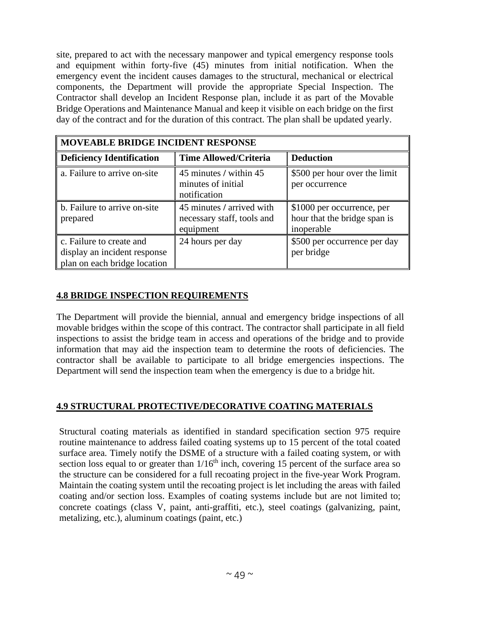site, prepared to act with the necessary manpower and typical emergency response tools and equipment within forty-five (45) minutes from initial notification. When the emergency event the incident causes damages to the structural, mechanical or electrical components, the Department will provide the appropriate Special Inspection. The Contractor shall develop an Incident Response plan, include it as part of the Movable Bridge Operations and Maintenance Manual and keep it visible on each bridge on the first day of the contract and for the duration of this contract. The plan shall be updated yearly.

| MOVEABLE BRIDGE INCIDENT RESPONSE                                                        |                                                                      |                                                                          |  |  |
|------------------------------------------------------------------------------------------|----------------------------------------------------------------------|--------------------------------------------------------------------------|--|--|
| <b>Deficiency Identification</b>                                                         | <b>Time Allowed/Criteria</b>                                         | <b>Deduction</b>                                                         |  |  |
| a. Failure to arrive on-site                                                             | 45 minutes / within 45<br>minutes of initial<br>notification         | \$500 per hour over the limit<br>per occurrence                          |  |  |
| b. Failure to arrive on-site<br>prepared                                                 | 45 minutes / arrived with<br>necessary staff, tools and<br>equipment | \$1000 per occurrence, per<br>hour that the bridge span is<br>inoperable |  |  |
| c. Failure to create and<br>display an incident response<br>plan on each bridge location | 24 hours per day                                                     | \$500 per occurrence per day<br>per bridge                               |  |  |

## **4.8 BRIDGE INSPECTION REQUIREMENTS**

The Department will provide the biennial, annual and emergency bridge inspections of all movable bridges within the scope of this contract. The contractor shall participate in all field inspections to assist the bridge team in access and operations of the bridge and to provide information that may aid the inspection team to determine the roots of deficiencies. The contractor shall be available to participate to all bridge emergencies inspections. The Department will send the inspection team when the emergency is due to a bridge hit.

### **4.9 STRUCTURAL PROTECTIVE/DECORATIVE COATING MATERIALS**

Structural coating materials as identified in standard specification section 975 require routine maintenance to address failed coating systems up to 15 percent of the total coated surface area. Timely notify the DSME of a structure with a failed coating system, or with section loss equal to or greater than  $1/16<sup>th</sup>$  inch, covering 15 percent of the surface area so the structure can be considered for a full recoating project in the five-year Work Program. Maintain the coating system until the recoating project is let including the areas with failed coating and/or section loss. Examples of coating systems include but are not limited to; concrete coatings (class V, paint, anti-graffiti, etc.), steel coatings (galvanizing, paint, metalizing, etc.), aluminum coatings (paint, etc.)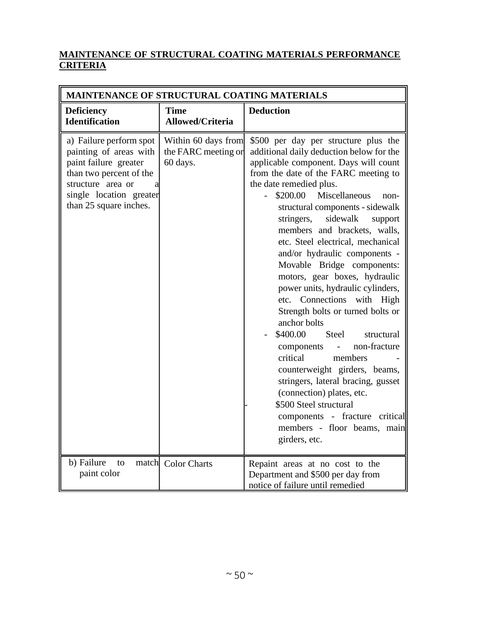## **MAINTENANCE OF STRUCTURAL COATING MATERIALS PERFORMANCE CRITERIA**

| MAINTENANCE OF STRUCTURAL COATING MATERIALS                                                                                                                                           |                                                        |                                                                                                                                                                                                                                                                                                                                                                                                                                                                                                                                                                                                                                                                                                                                                                                                                                                                                                                        |  |  |  |
|---------------------------------------------------------------------------------------------------------------------------------------------------------------------------------------|--------------------------------------------------------|------------------------------------------------------------------------------------------------------------------------------------------------------------------------------------------------------------------------------------------------------------------------------------------------------------------------------------------------------------------------------------------------------------------------------------------------------------------------------------------------------------------------------------------------------------------------------------------------------------------------------------------------------------------------------------------------------------------------------------------------------------------------------------------------------------------------------------------------------------------------------------------------------------------------|--|--|--|
| <b>Deficiency</b><br><b>Identification</b>                                                                                                                                            | <b>Time</b><br><b>Allowed/Criteria</b>                 | <b>Deduction</b>                                                                                                                                                                                                                                                                                                                                                                                                                                                                                                                                                                                                                                                                                                                                                                                                                                                                                                       |  |  |  |
| a) Failure perform spot<br>painting of areas with<br>paint failure greater<br>than two percent of the<br>structure area or<br>al<br>single location greater<br>than 25 square inches. | Within 60 days from<br>the FARC meeting or<br>60 days. | \$500 per day per structure plus the<br>additional daily deduction below for the<br>applicable component. Days will count<br>from the date of the FARC meeting to<br>the date remedied plus.<br>Miscellaneous<br>\$200.00<br>non-<br>structural components - sidewalk<br>sidewalk<br>stringers,<br>support<br>members and brackets, walls,<br>etc. Steel electrical, mechanical<br>and/or hydraulic components -<br>Movable Bridge components:<br>motors, gear boxes, hydraulic<br>power units, hydraulic cylinders,<br>etc. Connections with High<br>Strength bolts or turned bolts or<br>anchor bolts<br>\$400.00<br><b>Steel</b><br>structural<br>non-fracture<br>components<br>critical<br>members<br>counterweight girders, beams,<br>stringers, lateral bracing, gusset<br>(connection) plates, etc.<br>\$500 Steel structural<br>components - fracture critical<br>members - floor beams, main<br>girders, etc. |  |  |  |
| b) Failure<br>to<br>paint color                                                                                                                                                       | match Color Charts                                     | Repaint areas at no cost to the<br>Department and \$500 per day from<br>notice of failure until remedied                                                                                                                                                                                                                                                                                                                                                                                                                                                                                                                                                                                                                                                                                                                                                                                                               |  |  |  |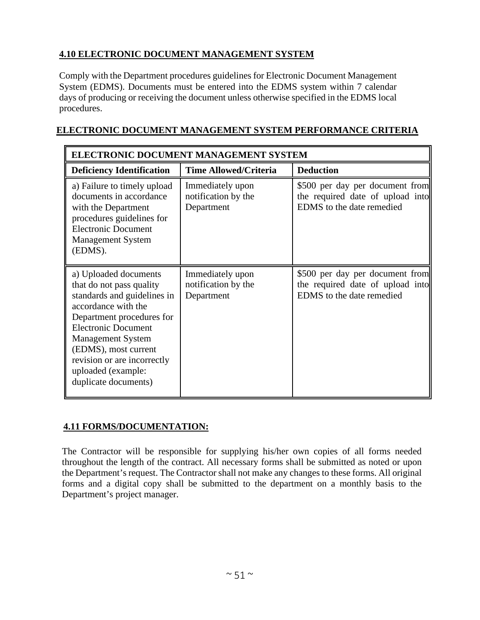## **4.10 ELECTRONIC DOCUMENT MANAGEMENT SYSTEM**

Comply with the Department procedures guidelines for Electronic Document Management System (EDMS). Documents must be entered into the EDMS system within 7 calendar days of producing or receiving the document unless otherwise specified in the EDMS local procedures.

## **ELECTRONIC DOCUMENT MANAGEMENT SYSTEM PERFORMANCE CRITERIA**

| ELECTRONIC DOCUMENT MANAGEMENT SYSTEM                                                                                                                                                                                                                                                               |                                                       |                                                                                                  |  |  |
|-----------------------------------------------------------------------------------------------------------------------------------------------------------------------------------------------------------------------------------------------------------------------------------------------------|-------------------------------------------------------|--------------------------------------------------------------------------------------------------|--|--|
| <b>Deficiency Identification</b>                                                                                                                                                                                                                                                                    | <b>Time Allowed/Criteria</b>                          | <b>Deduction</b>                                                                                 |  |  |
| a) Failure to timely upload<br>documents in accordance<br>with the Department<br>procedures guidelines for<br><b>Electronic Document</b><br><b>Management System</b><br>(EDMS).                                                                                                                     | Immediately upon<br>notification by the<br>Department | \$500 per day per document from<br>the required date of upload into<br>EDMS to the date remedied |  |  |
| a) Uploaded documents<br>that do not pass quality<br>standards and guidelines in<br>accordance with the<br>Department procedures for<br><b>Electronic Document</b><br><b>Management System</b><br>(EDMS), most current<br>revision or are incorrectly<br>uploaded (example:<br>duplicate documents) | Immediately upon<br>notification by the<br>Department | \$500 per day per document from<br>the required date of upload into<br>EDMS to the date remedied |  |  |

### **4.11 FORMS/DOCUMENTATION:**

The Contractor will be responsible for supplying his/her own copies of all forms needed throughout the length of the contract. All necessary forms shall be submitted as noted or upon the Department's request. The Contractor shall not make any changes to these forms. All original forms and a digital copy shall be submitted to the department on a monthly basis to the Department's project manager.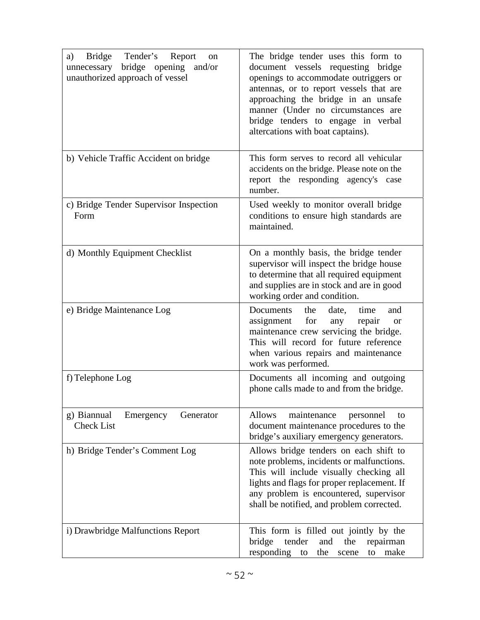| Bridge<br>Tender's Report<br>a)<br><sub>on</sub><br>bridge opening<br>and/or<br>unnecessary<br>unauthorized approach of vessel | The bridge tender uses this form to<br>document vessels requesting bridge<br>openings to accommodate outriggers or<br>antennas, or to report vessels that are<br>approaching the bridge in an unsafe<br>manner (Under no circumstances are<br>bridge tenders to engage in verbal<br>altercations with boat captains). |
|--------------------------------------------------------------------------------------------------------------------------------|-----------------------------------------------------------------------------------------------------------------------------------------------------------------------------------------------------------------------------------------------------------------------------------------------------------------------|
| b) Vehicle Traffic Accident on bridge                                                                                          | This form serves to record all vehicular<br>accidents on the bridge. Please note on the<br>report the responding agency's case<br>number.                                                                                                                                                                             |
| c) Bridge Tender Supervisor Inspection<br>Form                                                                                 | Used weekly to monitor overall bridge<br>conditions to ensure high standards are<br>maintained.                                                                                                                                                                                                                       |
| d) Monthly Equipment Checklist                                                                                                 | On a monthly basis, the bridge tender<br>supervisor will inspect the bridge house<br>to determine that all required equipment<br>and supplies are in stock and are in good<br>working order and condition.                                                                                                            |
| e) Bridge Maintenance Log                                                                                                      | time<br>Documents<br>the<br>date,<br>and<br>for<br>assignment<br>any<br>repair<br><b>or</b><br>maintenance crew servicing the bridge.<br>This will record for future reference<br>when various repairs and maintenance<br>work was performed.                                                                         |
| f) Telephone Log                                                                                                               | Documents all incoming and outgoing<br>phone calls made to and from the bridge.                                                                                                                                                                                                                                       |
| g) Biannual<br>Emergency<br>Generator<br><b>Check List</b>                                                                     | <b>Allows</b><br>maintenance<br>personnel<br>to<br>document maintenance procedures to the<br>bridge's auxiliary emergency generators.                                                                                                                                                                                 |
| h) Bridge Tender's Comment Log                                                                                                 | Allows bridge tenders on each shift to<br>note problems, incidents or malfunctions.<br>This will include visually checking all<br>lights and flags for proper replacement. If<br>any problem is encountered, supervisor<br>shall be notified, and problem corrected.                                                  |
| i) Drawbridge Malfunctions Report                                                                                              | This form is filled out jointly by the<br>bridge<br>tender<br>and<br>the<br>repairman<br>responding<br>the<br>make<br>to<br>scene<br>to                                                                                                                                                                               |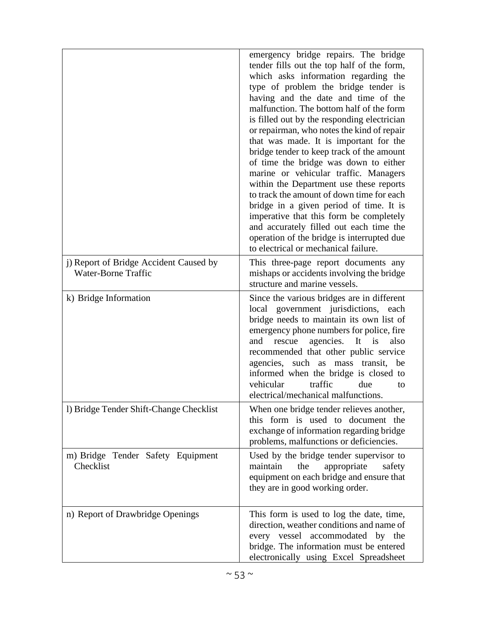|                                                                      | emergency bridge repairs. The bridge<br>tender fills out the top half of the form,<br>which asks information regarding the<br>type of problem the bridge tender is<br>having and the date and time of the<br>malfunction. The bottom half of the form<br>is filled out by the responding electrician<br>or repairman, who notes the kind of repair<br>that was made. It is important for the<br>bridge tender to keep track of the amount<br>of time the bridge was down to either<br>marine or vehicular traffic. Managers<br>within the Department use these reports<br>to track the amount of down time for each<br>bridge in a given period of time. It is<br>imperative that this form be completely<br>and accurately filled out each time the<br>operation of the bridge is interrupted due<br>to electrical or mechanical failure. |
|----------------------------------------------------------------------|--------------------------------------------------------------------------------------------------------------------------------------------------------------------------------------------------------------------------------------------------------------------------------------------------------------------------------------------------------------------------------------------------------------------------------------------------------------------------------------------------------------------------------------------------------------------------------------------------------------------------------------------------------------------------------------------------------------------------------------------------------------------------------------------------------------------------------------------|
| j) Report of Bridge Accident Caused by<br><b>Water-Borne Traffic</b> | This three-page report documents any<br>mishaps or accidents involving the bridge<br>structure and marine vessels.                                                                                                                                                                                                                                                                                                                                                                                                                                                                                                                                                                                                                                                                                                                         |
| k) Bridge Information                                                | Since the various bridges are in different<br>local government jurisdictions, each<br>bridge needs to maintain its own list of<br>emergency phone numbers for police, fire<br>agencies.<br>It is<br>also<br>and<br>rescue<br>recommended that other public service<br>agencies, such as mass<br>be<br>transit,<br>informed when the bridge is closed to<br>traffic<br>vehicular<br>due<br>to<br>electrical/mechanical malfunctions.                                                                                                                                                                                                                                                                                                                                                                                                        |
| 1) Bridge Tender Shift-Change Checklist                              | When one bridge tender relieves another,<br>this form is used to document the<br>exchange of information regarding bridge<br>problems, malfunctions or deficiencies.                                                                                                                                                                                                                                                                                                                                                                                                                                                                                                                                                                                                                                                                       |
| m) Bridge Tender Safety Equipment<br>Checklist                       | Used by the bridge tender supervisor to<br>maintain<br>the<br>appropriate<br>safety<br>equipment on each bridge and ensure that<br>they are in good working order.                                                                                                                                                                                                                                                                                                                                                                                                                                                                                                                                                                                                                                                                         |
| n) Report of Drawbridge Openings                                     | This form is used to log the date, time,<br>direction, weather conditions and name of<br>every vessel accommodated by the<br>bridge. The information must be entered<br>electronically using Excel Spreadsheet                                                                                                                                                                                                                                                                                                                                                                                                                                                                                                                                                                                                                             |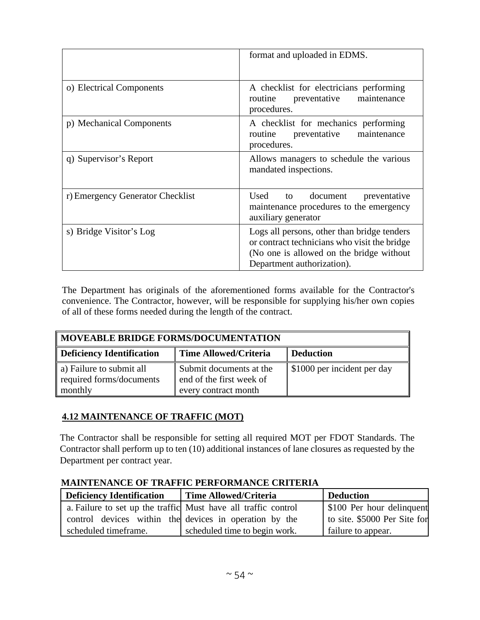|                                  | format and uploaded in EDMS.                                                                                                                                           |
|----------------------------------|------------------------------------------------------------------------------------------------------------------------------------------------------------------------|
| o) Electrical Components         | A checklist for electricians performing<br>routine<br>preventative<br>maintenance<br>procedures.                                                                       |
| p) Mechanical Components         | A checklist for mechanics performing<br>preventative<br>maintenance<br>routine<br>procedures.                                                                          |
| q) Supervisor's Report           | Allows managers to schedule the various<br>mandated inspections.                                                                                                       |
| r) Emergency Generator Checklist | Used<br>document<br>preventative<br>to<br>maintenance procedures to the emergency<br>auxiliary generator                                                               |
| s) Bridge Visitor's Log          | Logs all persons, other than bridge tenders<br>or contract technicians who visit the bridge<br>(No one is allowed on the bridge without)<br>Department authorization). |

The Department has originals of the aforementioned forms available for the Contractor's convenience. The Contractor, however, will be responsible for supplying his/her own copies of all of these forms needed during the length of the contract.

| MOVEABLE BRIDGE FORMS/DOCUMENTATION                             |                                                                             |                             |  |  |
|-----------------------------------------------------------------|-----------------------------------------------------------------------------|-----------------------------|--|--|
| Deficiency Identification                                       | <b>Time Allowed/Criteria</b>                                                | <b>Deduction</b>            |  |  |
| a) Failure to submit all<br>required forms/documents<br>monthly | Submit documents at the<br>end of the first week of<br>every contract month | \$1000 per incident per day |  |  |

## **4.12 MAINTENANCE OF TRAFFIC (MOT)**

The Contractor shall be responsible for setting all required MOT per FDOT Standards. The Contractor shall perform up to ten (10) additional instances of lane closures as requested by the Department per contract year.

### **MAINTENANCE OF TRAFFIC PERFORMANCE CRITERIA**

| <b>Deficiency Identification</b> | Time Allowed/Criteria                                          | <b>Deduction</b>             |  |
|----------------------------------|----------------------------------------------------------------|------------------------------|--|
|                                  | a. Failure to set up the traffic Must have all traffic control | \$100 Per hour delinquent    |  |
|                                  | control devices within the devices in operation by the         | to site. \$5000 Per Site for |  |
| scheduled timeframe.             | scheduled time to begin work.                                  | failure to appear.           |  |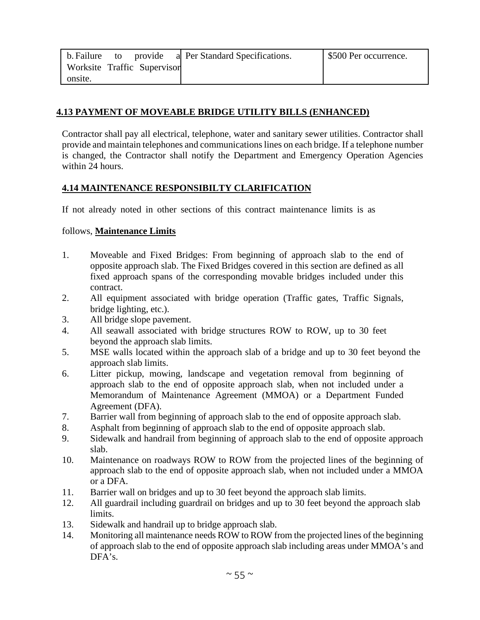| b. Failure to provide       |  | a Per Standard Specifications. | S500 Per occurrence. |
|-----------------------------|--|--------------------------------|----------------------|
| Worksite Traffic Supervisor |  |                                |                      |
| onsite.                     |  |                                |                      |

### **4.13 PAYMENT OF MOVEABLE BRIDGE UTILITY BILLS (ENHANCED)**

Contractor shall pay all electrical, telephone, water and sanitary sewer utilities. Contractor shall provide and maintain telephones and communications lines on each bridge. If a telephone number is changed, the Contractor shall notify the Department and Emergency Operation Agencies within 24 hours.

### **4.14 MAINTENANCE RESPONSIBILTY CLARIFICATION**

If not already noted in other sections of this contract maintenance limits is as

#### follows, **Maintenance Limits**

- 1. Moveable and Fixed Bridges: From beginning of approach slab to the end of opposite approach slab. The Fixed Bridges covered in this section are defined as all fixed approach spans of the corresponding movable bridges included under this contract.
- 2. All equipment associated with bridge operation (Traffic gates, Traffic Signals, bridge lighting, etc.).
- 3. All bridge slope pavement.
- 4. All seawall associated with bridge structures ROW to ROW, up to 30 feet beyond the approach slab limits.
- 5. MSE walls located within the approach slab of a bridge and up to 30 feet beyond the approach slab limits.
- 6. Litter pickup, mowing, landscape and vegetation removal from beginning of approach slab to the end of opposite approach slab, when not included under a Memorandum of Maintenance Agreement (MMOA) or a Department Funded Agreement (DFA).
- 7. Barrier wall from beginning of approach slab to the end of opposite approach slab.
- 8. Asphalt from beginning of approach slab to the end of opposite approach slab.
- 9. Sidewalk and handrail from beginning of approach slab to the end of opposite approach slab.
- 10. Maintenance on roadways ROW to ROW from the projected lines of the beginning of approach slab to the end of opposite approach slab, when not included under a MMOA or a DFA.
- 11. Barrier wall on bridges and up to 30 feet beyond the approach slab limits.
- 12. All guardrail including guardrail on bridges and up to 30 feet beyond the approach slab limits.
- 13. Sidewalk and handrail up to bridge approach slab.
- 14. Monitoring all maintenance needs ROW to ROW from the projected lines of the beginning of approach slab to the end of opposite approach slab including areas under MMOA's and DFA's.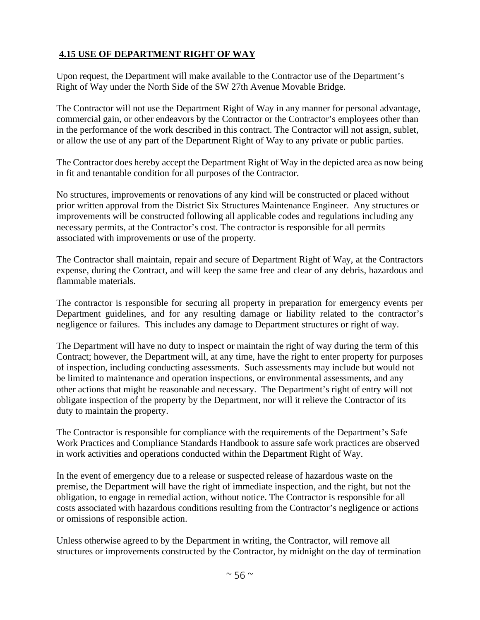## **4.15 USE OF DEPARTMENT RIGHT OF WAY**

Upon request, the Department will make available to the Contractor use of the Department's Right of Way under the North Side of the SW 27th Avenue Movable Bridge.

The Contractor will not use the Department Right of Way in any manner for personal advantage, commercial gain, or other endeavors by the Contractor or the Contractor's employees other than in the performance of the work described in this contract. The Contractor will not assign, sublet, or allow the use of any part of the Department Right of Way to any private or public parties.

The Contractor does hereby accept the Department Right of Way in the depicted area as now being in fit and tenantable condition for all purposes of the Contractor.

No structures, improvements or renovations of any kind will be constructed or placed without prior written approval from the District Six Structures Maintenance Engineer. Any structures or improvements will be constructed following all applicable codes and regulations including any necessary permits, at the Contractor's cost. The contractor is responsible for all permits associated with improvements or use of the property.

The Contractor shall maintain, repair and secure of Department Right of Way, at the Contractors expense, during the Contract, and will keep the same free and clear of any debris, hazardous and flammable materials.

The contractor is responsible for securing all property in preparation for emergency events per Department guidelines, and for any resulting damage or liability related to the contractor's negligence or failures. This includes any damage to Department structures or right of way.

The Department will have no duty to inspect or maintain the right of way during the term of this Contract; however, the Department will, at any time, have the right to enter property for purposes of inspection, including conducting assessments. Such assessments may include but would not be limited to maintenance and operation inspections, or environmental assessments, and any other actions that might be reasonable and necessary. The Department's right of entry will not obligate inspection of the property by the Department, nor will it relieve the Contractor of its duty to maintain the property.

The Contractor is responsible for compliance with the requirements of the Department's Safe Work Practices and Compliance Standards Handbook to assure safe work practices are observed in work activities and operations conducted within the Department Right of Way.

In the event of emergency due to a release or suspected release of hazardous waste on the premise, the Department will have the right of immediate inspection, and the right, but not the obligation, to engage in remedial action, without notice. The Contractor is responsible for all costs associated with hazardous conditions resulting from the Contractor's negligence or actions or omissions of responsible action.

Unless otherwise agreed to by the Department in writing, the Contractor, will remove all structures or improvements constructed by the Contractor, by midnight on the day of termination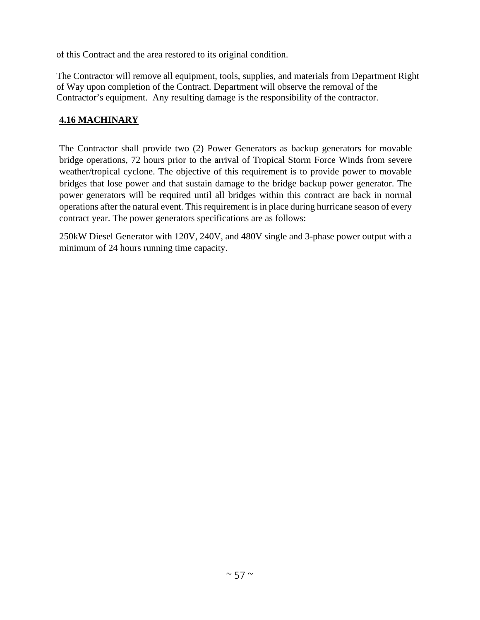of this Contract and the area restored to its original condition.

The Contractor will remove all equipment, tools, supplies, and materials from Department Right of Way upon completion of the Contract. Department will observe the removal of the Contractor's equipment. Any resulting damage is the responsibility of the contractor.

## **4.16 MACHINARY**

The Contractor shall provide two (2) Power Generators as backup generators for movable bridge operations, 72 hours prior to the arrival of Tropical Storm Force Winds from severe weather/tropical cyclone. The objective of this requirement is to provide power to movable bridges that lose power and that sustain damage to the bridge backup power generator. The power generators will be required until all bridges within this contract are back in normal operations after the natural event. This requirement is in place during hurricane season of every contract year. The power generators specifications are as follows:

250kW Diesel Generator with 120V, 240V, and 480V single and 3-phase power output with a minimum of 24 hours running time capacity.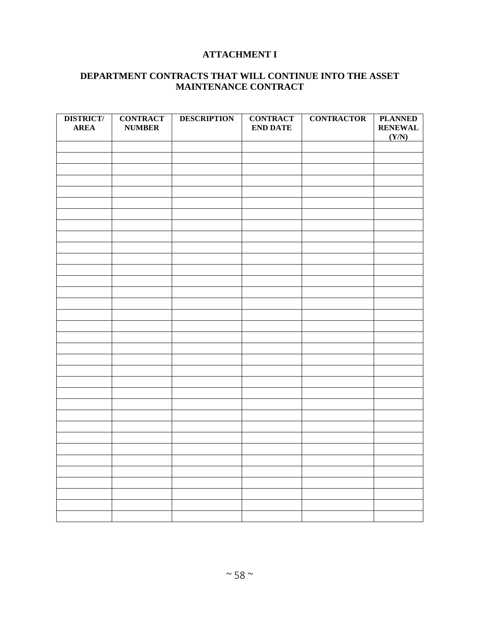## **ATTACHMENT I**

## **DEPARTMENT CONTRACTS THAT WILL CONTINUE INTO THE ASSET MAINTENANCE CONTRACT**

| <b>DISTRICT/</b><br><b>AREA</b> | <b>CONTRACT</b><br><b>NUMBER</b> | <b>DESCRIPTION</b> | <b>CONTRACT</b><br><b>END DATE</b> | <b>CONTRACTOR</b> | <b>PLANNED</b><br><b>RENEWAL</b><br>(Y/N) |
|---------------------------------|----------------------------------|--------------------|------------------------------------|-------------------|-------------------------------------------|
|                                 |                                  |                    |                                    |                   |                                           |
|                                 |                                  |                    |                                    |                   |                                           |
|                                 |                                  |                    |                                    |                   |                                           |
|                                 |                                  |                    |                                    |                   |                                           |
|                                 |                                  |                    |                                    |                   |                                           |
|                                 |                                  |                    |                                    |                   |                                           |
|                                 |                                  |                    |                                    |                   |                                           |
|                                 |                                  |                    |                                    |                   |                                           |
|                                 |                                  |                    |                                    |                   |                                           |
|                                 |                                  |                    |                                    |                   |                                           |
|                                 |                                  |                    |                                    |                   |                                           |
|                                 |                                  |                    |                                    |                   |                                           |
|                                 |                                  |                    |                                    |                   |                                           |
|                                 |                                  |                    |                                    |                   |                                           |
|                                 |                                  |                    |                                    |                   |                                           |
|                                 |                                  |                    |                                    |                   |                                           |
|                                 |                                  |                    |                                    |                   |                                           |
|                                 |                                  |                    |                                    |                   |                                           |
|                                 |                                  |                    |                                    |                   |                                           |
|                                 |                                  |                    |                                    |                   |                                           |
|                                 |                                  |                    |                                    |                   |                                           |
|                                 |                                  |                    |                                    |                   |                                           |
|                                 |                                  |                    |                                    |                   |                                           |
|                                 |                                  |                    |                                    |                   |                                           |
|                                 |                                  |                    |                                    |                   |                                           |
|                                 |                                  |                    |                                    |                   |                                           |
|                                 |                                  |                    |                                    |                   |                                           |
|                                 |                                  |                    |                                    |                   |                                           |
|                                 |                                  |                    |                                    |                   |                                           |
|                                 |                                  |                    |                                    |                   |                                           |
|                                 |                                  |                    |                                    |                   |                                           |
|                                 |                                  |                    |                                    |                   |                                           |
|                                 |                                  |                    |                                    |                   |                                           |
|                                 |                                  |                    |                                    |                   |                                           |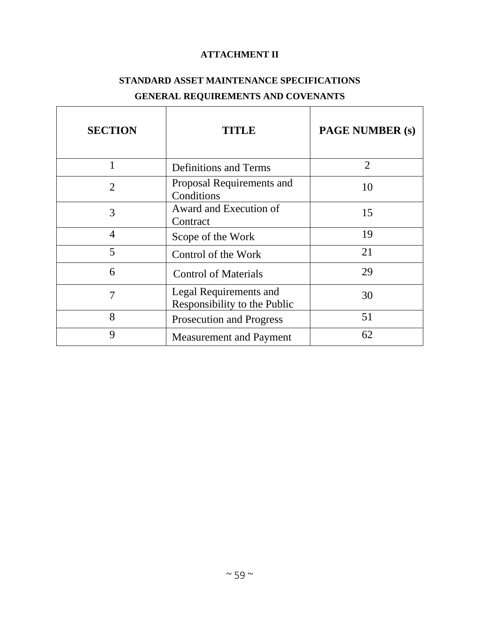## **ATTACHMENT II**

# **STANDARD ASSET MAINTENANCE SPECIFICATIONS GENERAL REQUIREMENTS AND COVENANTS**

| <b>SECTION</b> | <b>TITLE</b>                                           | <b>PAGE NUMBER (s)</b> |
|----------------|--------------------------------------------------------|------------------------|
|                | <b>Definitions and Terms</b>                           | $\overline{2}$         |
| $\overline{2}$ | Proposal Requirements and<br>Conditions                | 10                     |
| 3              | Award and Execution of<br>Contract                     | 15                     |
| 4              | Scope of the Work                                      | 19                     |
| 5              | Control of the Work                                    | 21                     |
| 6              | <b>Control of Materials</b>                            | 29                     |
| 7              | Legal Requirements and<br>Responsibility to the Public | 30                     |
| 8              | <b>Prosecution and Progress</b>                        | 51                     |
| 9              | <b>Measurement and Payment</b>                         | 62                     |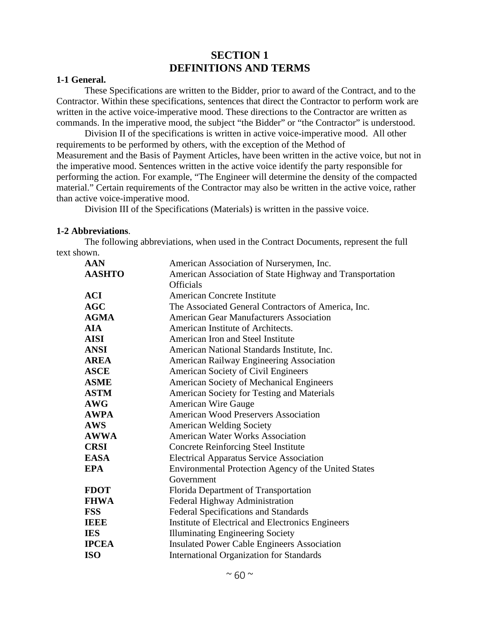## **SECTION 1 DEFINITIONS AND TERMS**

#### **1-1 General.**

These Specifications are written to the Bidder, prior to award of the Contract, and to the Contractor. Within these specifications, sentences that direct the Contractor to perform work are written in the active voice-imperative mood. These directions to the Contractor are written as commands. In the imperative mood, the subject "the Bidder" or "the Contractor" is understood.

Division II of the specifications is written in active voice-imperative mood. All other requirements to be performed by others, with the exception of the Method of Measurement and the Basis of Payment Articles, have been written in the active voice, but not in the imperative mood. Sentences written in the active voice identify the party responsible for performing the action. For example, "The Engineer will determine the density of the compacted material." Certain requirements of the Contractor may also be written in the active voice, rather than active voice-imperative mood.

Division III of the Specifications (Materials) is written in the passive voice.

#### **1-2 Abbreviations**.

The following abbreviations, when used in the Contract Documents, represent the full text shown.

| <b>AAN</b>    | American Association of Nurserymen, Inc.                    |
|---------------|-------------------------------------------------------------|
| <b>AASHTO</b> | American Association of State Highway and Transportation    |
|               | <b>Officials</b>                                            |
| <b>ACI</b>    | <b>American Concrete Institute</b>                          |
| AGC           | The Associated General Contractors of America, Inc.         |
| <b>AGMA</b>   | <b>American Gear Manufacturers Association</b>              |
| <b>AIA</b>    | American Institute of Architects.                           |
| <b>AISI</b>   | American Iron and Steel Institute                           |
| <b>ANSI</b>   | American National Standards Institute, Inc.                 |
| <b>AREA</b>   | American Railway Engineering Association                    |
| <b>ASCE</b>   | American Society of Civil Engineers                         |
| <b>ASME</b>   | American Society of Mechanical Engineers                    |
| <b>ASTM</b>   | American Society for Testing and Materials                  |
| <b>AWG</b>    | <b>American Wire Gauge</b>                                  |
| <b>AWPA</b>   | <b>American Wood Preservers Association</b>                 |
| <b>AWS</b>    | <b>American Welding Society</b>                             |
| <b>AWWA</b>   | <b>American Water Works Association</b>                     |
| <b>CRSI</b>   | <b>Concrete Reinforcing Steel Institute</b>                 |
| <b>EASA</b>   | <b>Electrical Apparatus Service Association</b>             |
| <b>EPA</b>    | <b>Environmental Protection Agency of the United States</b> |
|               | Government                                                  |
| <b>FDOT</b>   | Florida Department of Transportation                        |
| <b>FHWA</b>   | Federal Highway Administration                              |
| <b>FSS</b>    | <b>Federal Specifications and Standards</b>                 |
| <b>IEEE</b>   | Institute of Electrical and Electronics Engineers           |
| <b>IES</b>    | <b>Illuminating Engineering Society</b>                     |
| <b>IPCEA</b>  | <b>Insulated Power Cable Engineers Association</b>          |
| <b>ISO</b>    | <b>International Organization for Standards</b>             |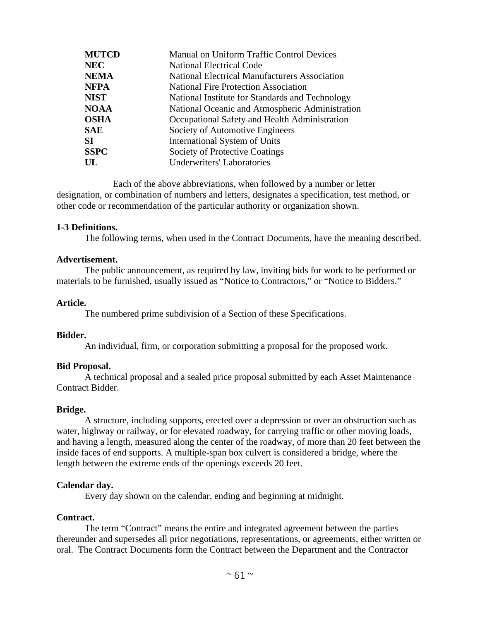| <b>MUTCD</b> | Manual on Uniform Traffic Control Devices            |
|--------------|------------------------------------------------------|
| <b>NEC</b>   | <b>National Electrical Code</b>                      |
| <b>NEMA</b>  | <b>National Electrical Manufacturers Association</b> |
| <b>NFPA</b>  | <b>National Fire Protection Association</b>          |
| <b>NIST</b>  | National Institute for Standards and Technology      |
| <b>NOAA</b>  | National Oceanic and Atmospheric Administration      |
| <b>OSHA</b>  | Occupational Safety and Health Administration        |
| <b>SAE</b>   | Society of Automotive Engineers                      |
| SI           | International System of Units                        |
| <b>SSPC</b>  | Society of Protective Coatings                       |
| UL           | <b>Underwriters' Laboratories</b>                    |

Each of the above abbreviations, when followed by a number or letter designation, or combination of numbers and letters, designates a specification, test method, or other code or recommendation of the particular authority or organization shown.

#### **1-3 Definitions.**

The following terms, when used in the Contract Documents, have the meaning described.

#### **Advertisement.**

The public announcement, as required by law, inviting bids for work to be performed or materials to be furnished, usually issued as "Notice to Contractors," or "Notice to Bidders."

#### **Article.**

The numbered prime subdivision of a Section of these Specifications.

#### **Bidder.**

An individual, firm, or corporation submitting a proposal for the proposed work.

#### **Bid Proposal.**

A technical proposal and a sealed price proposal submitted by each Asset Maintenance Contract Bidder.

#### **Bridge.**

A structure, including supports, erected over a depression or over an obstruction such as water, highway or railway, or for elevated roadway, for carrying traffic or other moving loads, and having a length, measured along the center of the roadway, of more than 20 feet between the inside faces of end supports. A multiple-span box culvert is considered a bridge, where the length between the extreme ends of the openings exceeds 20 feet.

#### **Calendar day.**

Every day shown on the calendar, ending and beginning at midnight.

#### **Contract.**

The term "Contract" means the entire and integrated agreement between the parties thereunder and supersedes all prior negotiations, representations, or agreements, either written or oral. The Contract Documents form the Contract between the Department and the Contractor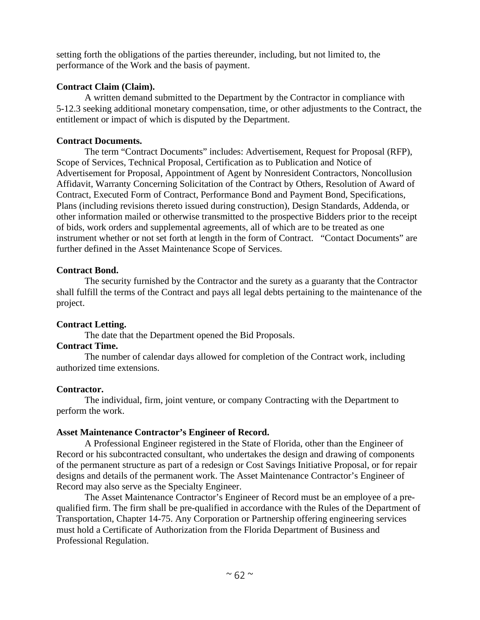setting forth the obligations of the parties thereunder, including, but not limited to, the performance of the Work and the basis of payment.

### **Contract Claim (Claim).**

A written demand submitted to the Department by the Contractor in compliance with 5-12.3 seeking additional monetary compensation, time, or other adjustments to the Contract, the entitlement or impact of which is disputed by the Department.

## **Contract Documents.**

The term "Contract Documents" includes: Advertisement, Request for Proposal (RFP), Scope of Services, Technical Proposal, Certification as to Publication and Notice of Advertisement for Proposal, Appointment of Agent by Nonresident Contractors, Noncollusion Affidavit, Warranty Concerning Solicitation of the Contract by Others, Resolution of Award of Contract, Executed Form of Contract, Performance Bond and Payment Bond, Specifications, Plans (including revisions thereto issued during construction), Design Standards, Addenda, or other information mailed or otherwise transmitted to the prospective Bidders prior to the receipt of bids, work orders and supplemental agreements, all of which are to be treated as one instrument whether or not set forth at length in the form of Contract. "Contact Documents" are further defined in the Asset Maintenance Scope of Services.

### **Contract Bond.**

The security furnished by the Contractor and the surety as a guaranty that the Contractor shall fulfill the terms of the Contract and pays all legal debts pertaining to the maintenance of the project.

### **Contract Letting.**

The date that the Department opened the Bid Proposals.

## **Contract Time.**

The number of calendar days allowed for completion of the Contract work, including authorized time extensions.

### **Contractor.**

The individual, firm, joint venture, or company Contracting with the Department to perform the work.

## **Asset Maintenance Contractor's Engineer of Record.**

A Professional Engineer registered in the State of Florida, other than the Engineer of Record or his subcontracted consultant, who undertakes the design and drawing of components of the permanent structure as part of a redesign or Cost Savings Initiative Proposal, or for repair designs and details of the permanent work. The Asset Maintenance Contractor's Engineer of Record may also serve as the Specialty Engineer.

The Asset Maintenance Contractor's Engineer of Record must be an employee of a prequalified firm. The firm shall be pre-qualified in accordance with the Rules of the Department of Transportation, Chapter 14-75. Any Corporation or Partnership offering engineering services must hold a Certificate of Authorization from the Florida Department of Business and Professional Regulation.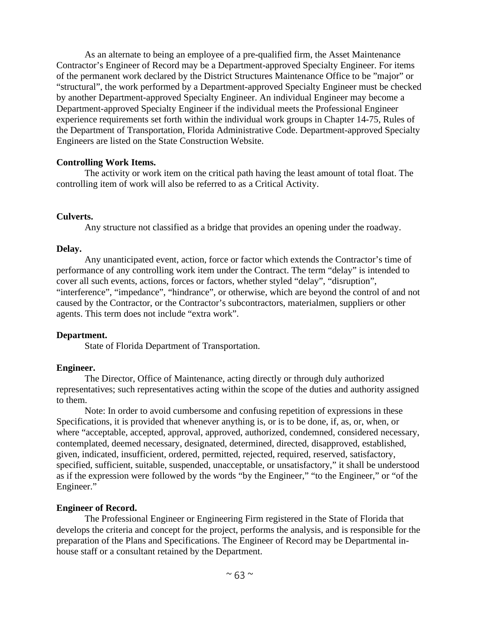As an alternate to being an employee of a pre-qualified firm, the Asset Maintenance Contractor's Engineer of Record may be a Department-approved Specialty Engineer. For items of the permanent work declared by the District Structures Maintenance Office to be "major" or "structural", the work performed by a Department-approved Specialty Engineer must be checked by another Department-approved Specialty Engineer. An individual Engineer may become a Department-approved Specialty Engineer if the individual meets the Professional Engineer experience requirements set forth within the individual work groups in Chapter 14-75, Rules of the Department of Transportation, Florida Administrative Code. Department-approved Specialty Engineers are listed on the State Construction Website.

### **Controlling Work Items.**

The activity or work item on the critical path having the least amount of total float. The controlling item of work will also be referred to as a Critical Activity.

#### **Culverts.**

Any structure not classified as a bridge that provides an opening under the roadway.

#### **Delay.**

Any unanticipated event, action, force or factor which extends the Contractor's time of performance of any controlling work item under the Contract. The term "delay" is intended to cover all such events, actions, forces or factors, whether styled "delay", "disruption", "interference", "impedance", "hindrance", or otherwise, which are beyond the control of and not caused by the Contractor, or the Contractor's subcontractors, materialmen, suppliers or other agents. This term does not include "extra work".

### **Department.**

State of Florida Department of Transportation.

### **Engineer.**

The Director, Office of Maintenance, acting directly or through duly authorized representatives; such representatives acting within the scope of the duties and authority assigned to them.

Note: In order to avoid cumbersome and confusing repetition of expressions in these Specifications, it is provided that whenever anything is, or is to be done, if, as, or, when, or where "acceptable, accepted, approval, approved, authorized, condemned, considered necessary, contemplated, deemed necessary, designated, determined, directed, disapproved, established, given, indicated, insufficient, ordered, permitted, rejected, required, reserved, satisfactory, specified, sufficient, suitable, suspended, unacceptable, or unsatisfactory," it shall be understood as if the expression were followed by the words "by the Engineer," "to the Engineer," or "of the Engineer."

### **Engineer of Record.**

The Professional Engineer or Engineering Firm registered in the State of Florida that develops the criteria and concept for the project, performs the analysis, and is responsible for the preparation of the Plans and Specifications. The Engineer of Record may be Departmental inhouse staff or a consultant retained by the Department.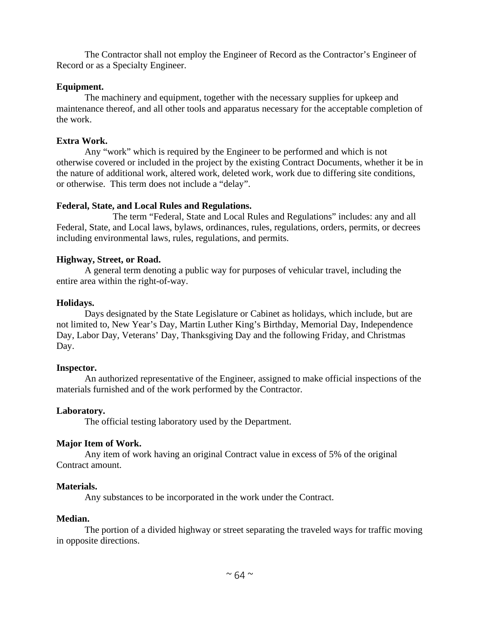The Contractor shall not employ the Engineer of Record as the Contractor's Engineer of Record or as a Specialty Engineer.

### **Equipment.**

The machinery and equipment, together with the necessary supplies for upkeep and maintenance thereof, and all other tools and apparatus necessary for the acceptable completion of the work.

## **Extra Work.**

Any "work" which is required by the Engineer to be performed and which is not otherwise covered or included in the project by the existing Contract Documents, whether it be in the nature of additional work, altered work, deleted work, work due to differing site conditions, or otherwise. This term does not include a "delay".

### **Federal, State, and Local Rules and Regulations.**

The term "Federal, State and Local Rules and Regulations" includes: any and all Federal, State, and Local laws, bylaws, ordinances, rules, regulations, orders, permits, or decrees including environmental laws, rules, regulations, and permits.

## **Highway, Street, or Road.**

A general term denoting a public way for purposes of vehicular travel, including the entire area within the right-of-way.

## **Holidays.**

Days designated by the State Legislature or Cabinet as holidays, which include, but are not limited to, New Year's Day, Martin Luther King's Birthday, Memorial Day, Independence Day, Labor Day, Veterans' Day, Thanksgiving Day and the following Friday, and Christmas Day.

## **Inspector.**

An authorized representative of the Engineer, assigned to make official inspections of the materials furnished and of the work performed by the Contractor.

## **Laboratory.**

The official testing laboratory used by the Department.

## **Major Item of Work.**

Any item of work having an original Contract value in excess of 5% of the original Contract amount.

## **Materials.**

Any substances to be incorporated in the work under the Contract.

## **Median.**

The portion of a divided highway or street separating the traveled ways for traffic moving in opposite directions.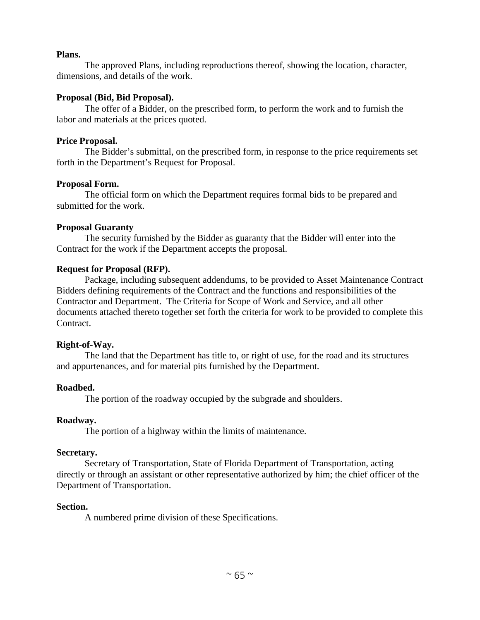#### **Plans.**

The approved Plans, including reproductions thereof, showing the location, character, dimensions, and details of the work.

#### **Proposal (Bid, Bid Proposal).**

The offer of a Bidder, on the prescribed form, to perform the work and to furnish the labor and materials at the prices quoted.

#### **Price Proposal.**

The Bidder's submittal, on the prescribed form, in response to the price requirements set forth in the Department's Request for Proposal.

#### **Proposal Form.**

The official form on which the Department requires formal bids to be prepared and submitted for the work.

#### **Proposal Guaranty**

The security furnished by the Bidder as guaranty that the Bidder will enter into the Contract for the work if the Department accepts the proposal.

#### **Request for Proposal (RFP).**

Package, including subsequent addendums, to be provided to Asset Maintenance Contract Bidders defining requirements of the Contract and the functions and responsibilities of the Contractor and Department. The Criteria for Scope of Work and Service, and all other documents attached thereto together set forth the criteria for work to be provided to complete this Contract.

#### **Right-of-Way.**

The land that the Department has title to, or right of use, for the road and its structures and appurtenances, and for material pits furnished by the Department.

### **Roadbed.**

The portion of the roadway occupied by the subgrade and shoulders.

#### **Roadway.**

The portion of a highway within the limits of maintenance.

#### **Secretary.**

Secretary of Transportation, State of Florida Department of Transportation, acting directly or through an assistant or other representative authorized by him; the chief officer of the Department of Transportation.

#### **Section.**

A numbered prime division of these Specifications.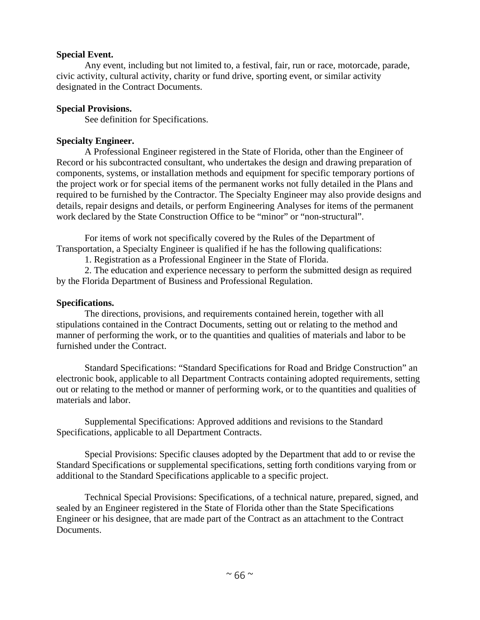#### **Special Event.**

Any event, including but not limited to, a festival, fair, run or race, motorcade, parade, civic activity, cultural activity, charity or fund drive, sporting event, or similar activity designated in the Contract Documents.

#### **Special Provisions.**

See definition for Specifications.

### **Specialty Engineer.**

A Professional Engineer registered in the State of Florida, other than the Engineer of Record or his subcontracted consultant, who undertakes the design and drawing preparation of components, systems, or installation methods and equipment for specific temporary portions of the project work or for special items of the permanent works not fully detailed in the Plans and required to be furnished by the Contractor. The Specialty Engineer may also provide designs and details, repair designs and details, or perform Engineering Analyses for items of the permanent work declared by the State Construction Office to be "minor" or "non-structural".

For items of work not specifically covered by the Rules of the Department of Transportation, a Specialty Engineer is qualified if he has the following qualifications:

1. Registration as a Professional Engineer in the State of Florida.

2. The education and experience necessary to perform the submitted design as required by the Florida Department of Business and Professional Regulation.

### **Specifications.**

The directions, provisions, and requirements contained herein, together with all stipulations contained in the Contract Documents, setting out or relating to the method and manner of performing the work, or to the quantities and qualities of materials and labor to be furnished under the Contract.

Standard Specifications: "Standard Specifications for Road and Bridge Construction" an electronic book, applicable to all Department Contracts containing adopted requirements, setting out or relating to the method or manner of performing work, or to the quantities and qualities of materials and labor.

Supplemental Specifications: Approved additions and revisions to the Standard Specifications, applicable to all Department Contracts.

Special Provisions: Specific clauses adopted by the Department that add to or revise the Standard Specifications or supplemental specifications, setting forth conditions varying from or additional to the Standard Specifications applicable to a specific project.

Technical Special Provisions: Specifications, of a technical nature, prepared, signed, and sealed by an Engineer registered in the State of Florida other than the State Specifications Engineer or his designee, that are made part of the Contract as an attachment to the Contract Documents.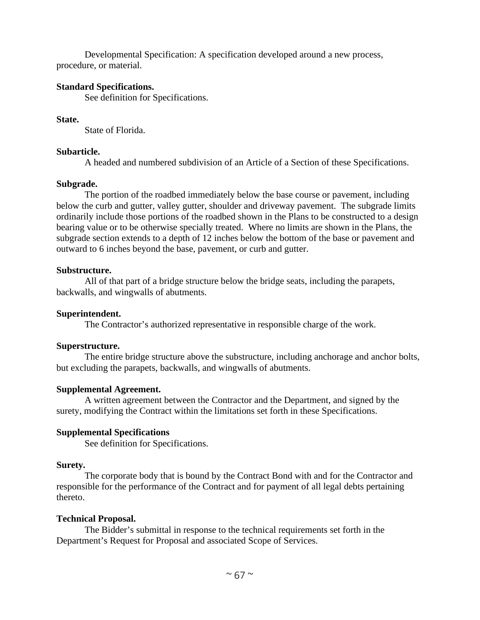Developmental Specification: A specification developed around a new process, procedure, or material.

#### **Standard Specifications.**

See definition for Specifications.

#### **State.**

State of Florida.

#### **Subarticle.**

A headed and numbered subdivision of an Article of a Section of these Specifications.

#### **Subgrade.**

The portion of the roadbed immediately below the base course or pavement, including below the curb and gutter, valley gutter, shoulder and driveway pavement. The subgrade limits ordinarily include those portions of the roadbed shown in the Plans to be constructed to a design bearing value or to be otherwise specially treated. Where no limits are shown in the Plans, the subgrade section extends to a depth of 12 inches below the bottom of the base or pavement and outward to 6 inches beyond the base, pavement, or curb and gutter.

#### **Substructure.**

All of that part of a bridge structure below the bridge seats, including the parapets, backwalls, and wingwalls of abutments.

#### **Superintendent.**

The Contractor's authorized representative in responsible charge of the work.

### **Superstructure.**

The entire bridge structure above the substructure, including anchorage and anchor bolts, but excluding the parapets, backwalls, and wingwalls of abutments.

### **Supplemental Agreement.**

A written agreement between the Contractor and the Department, and signed by the surety, modifying the Contract within the limitations set forth in these Specifications.

### **Supplemental Specifications**

See definition for Specifications.

### **Surety.**

The corporate body that is bound by the Contract Bond with and for the Contractor and responsible for the performance of the Contract and for payment of all legal debts pertaining thereto.

### **Technical Proposal.**

The Bidder's submittal in response to the technical requirements set forth in the Department's Request for Proposal and associated Scope of Services.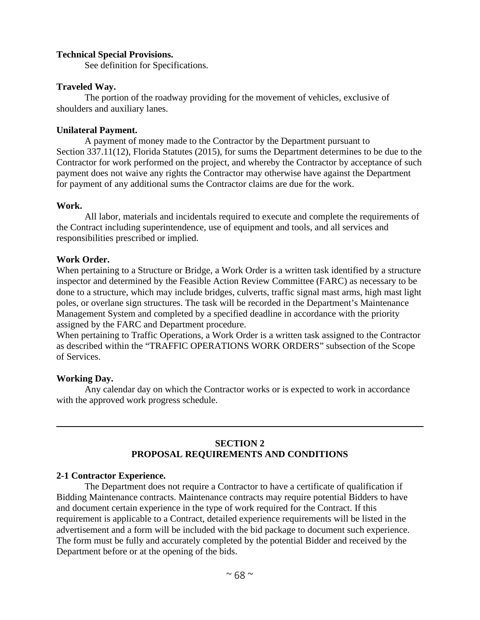#### **Technical Special Provisions.**

See definition for Specifications.

### **Traveled Way.**

The portion of the roadway providing for the movement of vehicles, exclusive of shoulders and auxiliary lanes.

### **Unilateral Payment.**

A payment of money made to the Contractor by the Department pursuant to Section 337.11(12), Florida Statutes (2015), for sums the Department determines to be due to the Contractor for work performed on the project, and whereby the Contractor by acceptance of such payment does not waive any rights the Contractor may otherwise have against the Department for payment of any additional sums the Contractor claims are due for the work.

#### **Work.**

All labor, materials and incidentals required to execute and complete the requirements of the Contract including superintendence, use of equipment and tools, and all services and responsibilities prescribed or implied.

### **Work Order.**

When pertaining to a Structure or Bridge, a Work Order is a written task identified by a structure inspector and determined by the Feasible Action Review Committee (FARC) as necessary to be done to a structure, which may include bridges, culverts, traffic signal mast arms, high mast light poles, or overlane sign structures. The task will be recorded in the Department's Maintenance Management System and completed by a specified deadline in accordance with the priority assigned by the FARC and Department procedure.

When pertaining to Traffic Operations, a Work Order is a written task assigned to the Contractor as described within the "TRAFFIC OPERATIONS WORK ORDERS" subsection of the Scope of Services.

### **Working Day.**

Any calendar day on which the Contractor works or is expected to work in accordance with the approved work progress schedule.

## **SECTION 2 PROPOSAL REQUIREMENTS AND CONDITIONS**

### **2-1 Contractor Experience.**

The Department does not require a Contractor to have a certificate of qualification if Bidding Maintenance contracts. Maintenance contracts may require potential Bidders to have and document certain experience in the type of work required for the Contract. If this requirement is applicable to a Contract, detailed experience requirements will be listed in the advertisement and a form will be included with the bid package to document such experience. The form must be fully and accurately completed by the potential Bidder and received by the Department before or at the opening of the bids.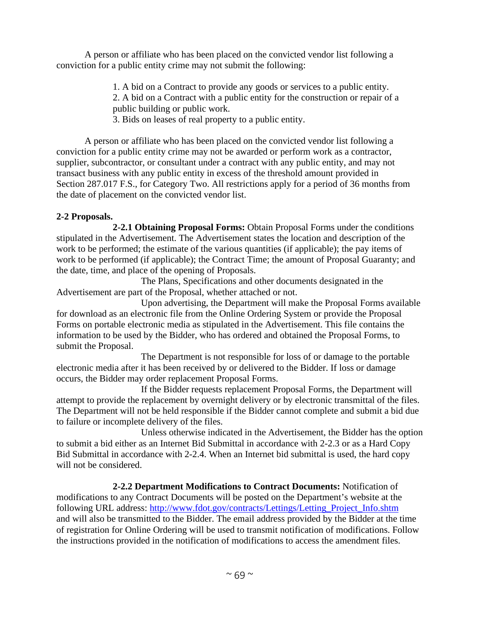A person or affiliate who has been placed on the convicted vendor list following a conviction for a public entity crime may not submit the following:

- 1. A bid on a Contract to provide any goods or services to a public entity.
- 2. A bid on a Contract with a public entity for the construction or repair of a public building or public work.
- 3. Bids on leases of real property to a public entity.

A person or affiliate who has been placed on the convicted vendor list following a conviction for a public entity crime may not be awarded or perform work as a contractor, supplier, subcontractor, or consultant under a contract with any public entity, and may not transact business with any public entity in excess of the threshold amount provided in Section 287.017 F.S., for Category Two. All restrictions apply for a period of 36 months from the date of placement on the convicted vendor list.

## **2-2 Proposals.**

**2-2.1 Obtaining Proposal Forms:** Obtain Proposal Forms under the conditions stipulated in the Advertisement. The Advertisement states the location and description of the work to be performed; the estimate of the various quantities (if applicable); the pay items of work to be performed (if applicable); the Contract Time; the amount of Proposal Guaranty; and the date, time, and place of the opening of Proposals.

The Plans, Specifications and other documents designated in the Advertisement are part of the Proposal, whether attached or not.

Upon advertising, the Department will make the Proposal Forms available for download as an electronic file from the Online Ordering System or provide the Proposal Forms on portable electronic media as stipulated in the Advertisement. This file contains the information to be used by the Bidder, who has ordered and obtained the Proposal Forms, to submit the Proposal.

The Department is not responsible for loss of or damage to the portable electronic media after it has been received by or delivered to the Bidder. If loss or damage occurs, the Bidder may order replacement Proposal Forms.

If the Bidder requests replacement Proposal Forms, the Department will attempt to provide the replacement by overnight delivery or by electronic transmittal of the files. The Department will not be held responsible if the Bidder cannot complete and submit a bid due to failure or incomplete delivery of the files.

Unless otherwise indicated in the Advertisement, the Bidder has the option to submit a bid either as an Internet Bid Submittal in accordance with 2-2.3 or as a Hard Copy Bid Submittal in accordance with 2-2.4. When an Internet bid submittal is used, the hard copy will not be considered.

**2-2.2 Department Modifications to Contract Documents:** Notification of modifications to any Contract Documents will be posted on the Department's website at the following URL address: http://www.fdot.gov/contracts/Lettings/Letting\_Project\_Info.shtm and will also be transmitted to the Bidder. The email address provided by the Bidder at the time of registration for Online Ordering will be used to transmit notification of modifications. Follow the instructions provided in the notification of modifications to access the amendment files.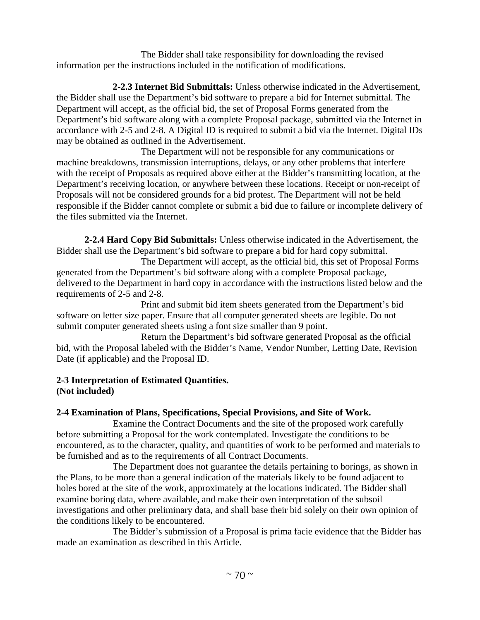The Bidder shall take responsibility for downloading the revised information per the instructions included in the notification of modifications.

**2-2.3 Internet Bid Submittals:** Unless otherwise indicated in the Advertisement, the Bidder shall use the Department's bid software to prepare a bid for Internet submittal. The Department will accept, as the official bid, the set of Proposal Forms generated from the Department's bid software along with a complete Proposal package, submitted via the Internet in accordance with 2-5 and 2-8. A Digital ID is required to submit a bid via the Internet. Digital IDs may be obtained as outlined in the Advertisement.

The Department will not be responsible for any communications or machine breakdowns, transmission interruptions, delays, or any other problems that interfere with the receipt of Proposals as required above either at the Bidder's transmitting location, at the Department's receiving location, or anywhere between these locations. Receipt or non-receipt of Proposals will not be considered grounds for a bid protest. The Department will not be held responsible if the Bidder cannot complete or submit a bid due to failure or incomplete delivery of the files submitted via the Internet.

**2-2.4 Hard Copy Bid Submittals:** Unless otherwise indicated in the Advertisement, the Bidder shall use the Department's bid software to prepare a bid for hard copy submittal.

The Department will accept, as the official bid, this set of Proposal Forms generated from the Department's bid software along with a complete Proposal package, delivered to the Department in hard copy in accordance with the instructions listed below and the requirements of 2-5 and 2-8.

Print and submit bid item sheets generated from the Department's bid software on letter size paper. Ensure that all computer generated sheets are legible. Do not submit computer generated sheets using a font size smaller than 9 point.

Return the Department's bid software generated Proposal as the official bid, with the Proposal labeled with the Bidder's Name, Vendor Number, Letting Date, Revision Date (if applicable) and the Proposal ID.

### **2-3 Interpretation of Estimated Quantities. (Not included)**

## **2-4 Examination of Plans, Specifications, Special Provisions, and Site of Work.**

Examine the Contract Documents and the site of the proposed work carefully before submitting a Proposal for the work contemplated. Investigate the conditions to be encountered, as to the character, quality, and quantities of work to be performed and materials to be furnished and as to the requirements of all Contract Documents.

The Department does not guarantee the details pertaining to borings, as shown in the Plans, to be more than a general indication of the materials likely to be found adjacent to holes bored at the site of the work, approximately at the locations indicated. The Bidder shall examine boring data, where available, and make their own interpretation of the subsoil investigations and other preliminary data, and shall base their bid solely on their own opinion of the conditions likely to be encountered.

The Bidder's submission of a Proposal is prima facie evidence that the Bidder has made an examination as described in this Article.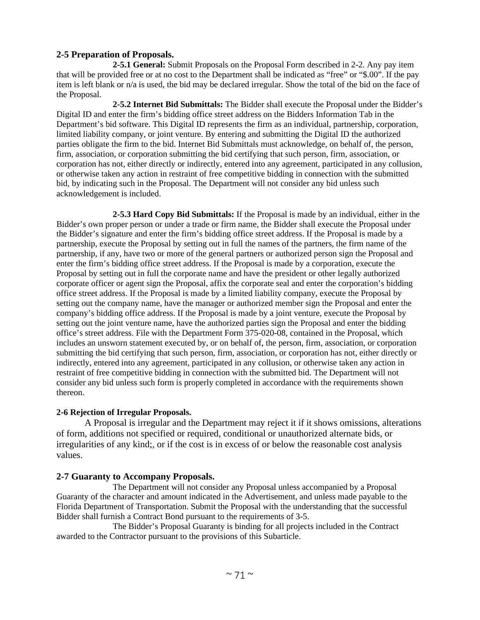### **2-5 Preparation of Proposals.**

**2-5.1 General:** Submit Proposals on the Proposal Form described in 2-2. Any pay item that will be provided free or at no cost to the Department shall be indicated as "free" or "\$.00". If the pay item is left blank or n/a is used, the bid may be declared irregular. Show the total of the bid on the face of the Proposal.

**2-5.2 Internet Bid Submittals:** The Bidder shall execute the Proposal under the Bidder's Digital ID and enter the firm's bidding office street address on the Bidders Information Tab in the Department's bid software. This Digital ID represents the firm as an individual, partnership, corporation, limited liability company, or joint venture. By entering and submitting the Digital ID the authorized parties obligate the firm to the bid. Internet Bid Submittals must acknowledge, on behalf of, the person, firm, association, or corporation submitting the bid certifying that such person, firm, association, or corporation has not, either directly or indirectly, entered into any agreement, participated in any collusion, or otherwise taken any action in restraint of free competitive bidding in connection with the submitted bid, by indicating such in the Proposal. The Department will not consider any bid unless such acknowledgement is included.

**2-5.3 Hard Copy Bid Submittals:** If the Proposal is made by an individual, either in the Bidder's own proper person or under a trade or firm name, the Bidder shall execute the Proposal under the Bidder's signature and enter the firm's bidding office street address. If the Proposal is made by a partnership, execute the Proposal by setting out in full the names of the partners, the firm name of the partnership, if any, have two or more of the general partners or authorized person sign the Proposal and enter the firm's bidding office street address. If the Proposal is made by a corporation, execute the Proposal by setting out in full the corporate name and have the president or other legally authorized corporate officer or agent sign the Proposal, affix the corporate seal and enter the corporation's bidding office street address. If the Proposal is made by a limited liability company, execute the Proposal by setting out the company name, have the manager or authorized member sign the Proposal and enter the company's bidding office address. If the Proposal is made by a joint venture, execute the Proposal by setting out the joint venture name, have the authorized parties sign the Proposal and enter the bidding office's street address. File with the Department Form 375-020-08, contained in the Proposal, which includes an unsworn statement executed by, or on behalf of, the person, firm, association, or corporation submitting the bid certifying that such person, firm, association, or corporation has not, either directly or indirectly, entered into any agreement, participated in any collusion, or otherwise taken any action in restraint of free competitive bidding in connection with the submitted bid. The Department will not consider any bid unless such form is properly completed in accordance with the requirements shown thereon.

#### **2-6 Rejection of Irregular Proposals.**

A Proposal is irregular and the Department may reject it if it shows omissions, alterations of form, additions not specified or required, conditional or unauthorized alternate bids, or irregularities of any kind;, or if the cost is in excess of or below the reasonable cost analysis values.

### **2-7 Guaranty to Accompany Proposals.**

The Department will not consider any Proposal unless accompanied by a Proposal Guaranty of the character and amount indicated in the Advertisement, and unless made payable to the Florida Department of Transportation. Submit the Proposal with the understanding that the successful Bidder shall furnish a Contract Bond pursuant to the requirements of 3-5.

The Bidder's Proposal Guaranty is binding for all projects included in the Contract awarded to the Contractor pursuant to the provisions of this Subarticle.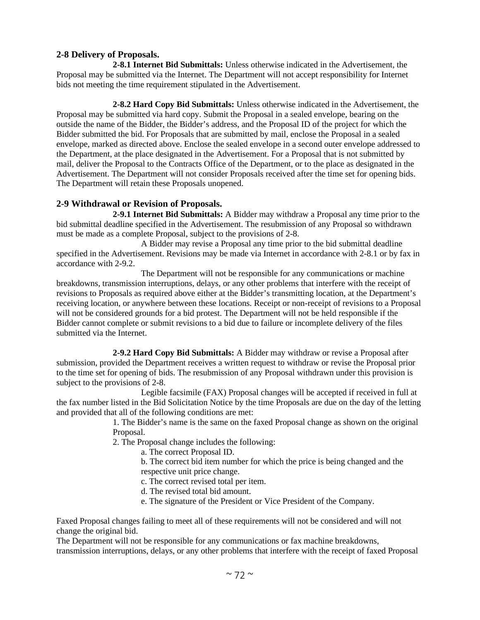### **2-8 Delivery of Proposals.**

**2-8.1 Internet Bid Submittals:** Unless otherwise indicated in the Advertisement, the Proposal may be submitted via the Internet. The Department will not accept responsibility for Internet bids not meeting the time requirement stipulated in the Advertisement.

**2-8.2 Hard Copy Bid Submittals:** Unless otherwise indicated in the Advertisement, the Proposal may be submitted via hard copy. Submit the Proposal in a sealed envelope, bearing on the outside the name of the Bidder, the Bidder's address, and the Proposal ID of the project for which the Bidder submitted the bid. For Proposals that are submitted by mail, enclose the Proposal in a sealed envelope, marked as directed above. Enclose the sealed envelope in a second outer envelope addressed to the Department, at the place designated in the Advertisement. For a Proposal that is not submitted by mail, deliver the Proposal to the Contracts Office of the Department, or to the place as designated in the Advertisement. The Department will not consider Proposals received after the time set for opening bids. The Department will retain these Proposals unopened.

### **2-9 Withdrawal or Revision of Proposals.**

**2-9.1 Internet Bid Submittals:** A Bidder may withdraw a Proposal any time prior to the bid submittal deadline specified in the Advertisement. The resubmission of any Proposal so withdrawn must be made as a complete Proposal, subject to the provisions of 2-8.

A Bidder may revise a Proposal any time prior to the bid submittal deadline specified in the Advertisement. Revisions may be made via Internet in accordance with 2-8.1 or by fax in accordance with 2-9.2.

The Department will not be responsible for any communications or machine breakdowns, transmission interruptions, delays, or any other problems that interfere with the receipt of revisions to Proposals as required above either at the Bidder's transmitting location, at the Department's receiving location, or anywhere between these locations. Receipt or non-receipt of revisions to a Proposal will not be considered grounds for a bid protest. The Department will not be held responsible if the Bidder cannot complete or submit revisions to a bid due to failure or incomplete delivery of the files submitted via the Internet.

**2-9.2 Hard Copy Bid Submittals:** A Bidder may withdraw or revise a Proposal after submission, provided the Department receives a written request to withdraw or revise the Proposal prior to the time set for opening of bids. The resubmission of any Proposal withdrawn under this provision is subject to the provisions of 2-8.

Legible facsimile (FAX) Proposal changes will be accepted if received in full at the fax number listed in the Bid Solicitation Notice by the time Proposals are due on the day of the letting and provided that all of the following conditions are met:

1. The Bidder's name is the same on the faxed Proposal change as shown on the original Proposal.

2. The Proposal change includes the following:

a. The correct Proposal ID.

b. The correct bid item number for which the price is being changed and the respective unit price change.

c. The correct revised total per item.

d. The revised total bid amount.

e. The signature of the President or Vice President of the Company.

Faxed Proposal changes failing to meet all of these requirements will not be considered and will not change the original bid.

The Department will not be responsible for any communications or fax machine breakdowns, transmission interruptions, delays, or any other problems that interfere with the receipt of faxed Proposal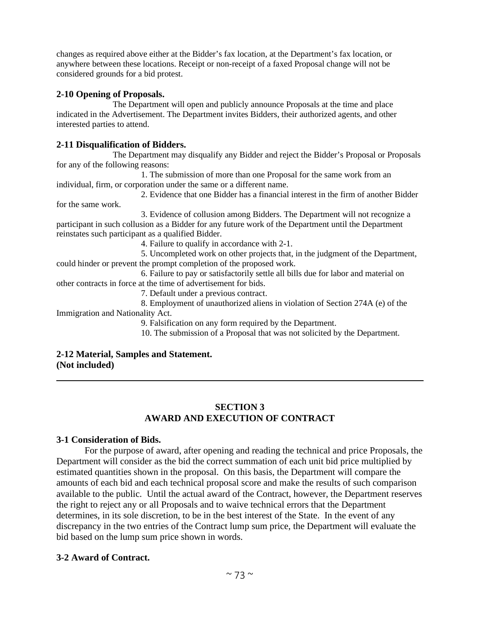changes as required above either at the Bidder's fax location, at the Department's fax location, or anywhere between these locations. Receipt or non-receipt of a faxed Proposal change will not be considered grounds for a bid protest.

#### **2-10 Opening of Proposals.**

The Department will open and publicly announce Proposals at the time and place indicated in the Advertisement. The Department invites Bidders, their authorized agents, and other interested parties to attend.

#### **2-11 Disqualification of Bidders.**

The Department may disqualify any Bidder and reject the Bidder's Proposal or Proposals for any of the following reasons:

1. The submission of more than one Proposal for the same work from an individual, firm, or corporation under the same or a different name.

2. Evidence that one Bidder has a financial interest in the firm of another Bidder for the same work.

3. Evidence of collusion among Bidders. The Department will not recognize a participant in such collusion as a Bidder for any future work of the Department until the Department reinstates such participant as a qualified Bidder.

4. Failure to qualify in accordance with 2-1.

5. Uncompleted work on other projects that, in the judgment of the Department, could hinder or prevent the prompt completion of the proposed work.

6. Failure to pay or satisfactorily settle all bills due for labor and material on other contracts in force at the time of advertisement for bids.

7. Default under a previous contract.

8. Employment of unauthorized aliens in violation of Section 274A (e) of the Immigration and Nationality Act.

9. Falsification on any form required by the Department.

10. The submission of a Proposal that was not solicited by the Department.

#### **2-12 Material, Samples and Statement. (Not included)**

## **SECTION 3 AWARD AND EXECUTION OF CONTRACT**

#### **3-1 Consideration of Bids.**

For the purpose of award, after opening and reading the technical and price Proposals, the Department will consider as the bid the correct summation of each unit bid price multiplied by estimated quantities shown in the proposal. On this basis, the Department will compare the amounts of each bid and each technical proposal score and make the results of such comparison available to the public. Until the actual award of the Contract, however, the Department reserves the right to reject any or all Proposals and to waive technical errors that the Department determines, in its sole discretion, to be in the best interest of the State. In the event of any discrepancy in the two entries of the Contract lump sum price, the Department will evaluate the bid based on the lump sum price shown in words.

## **3-2 Award of Contract.**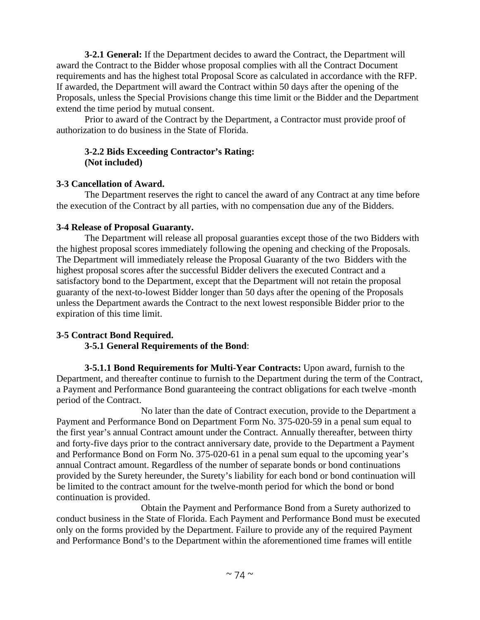**3-2.1 General:** If the Department decides to award the Contract, the Department will award the Contract to the Bidder whose proposal complies with all the Contract Document requirements and has the highest total Proposal Score as calculated in accordance with the RFP. If awarded, the Department will award the Contract within 50 days after the opening of the Proposals, unless the Special Provisions change this time limit or the Bidder and the Department extend the time period by mutual consent.

Prior to award of the Contract by the Department, a Contractor must provide proof of authorization to do business in the State of Florida.

## **3-2.2 Bids Exceeding Contractor's Rating: (Not included)**

## **3-3 Cancellation of Award.**

The Department reserves the right to cancel the award of any Contract at any time before the execution of the Contract by all parties, with no compensation due any of the Bidders.

## **3-4 Release of Proposal Guaranty.**

The Department will release all proposal guaranties except those of the two Bidders with the highest proposal scores immediately following the opening and checking of the Proposals. The Department will immediately release the Proposal Guaranty of the two Bidders with the highest proposal scores after the successful Bidder delivers the executed Contract and a satisfactory bond to the Department, except that the Department will not retain the proposal guaranty of the next-to-lowest Bidder longer than 50 days after the opening of the Proposals unless the Department awards the Contract to the next lowest responsible Bidder prior to the expiration of this time limit.

# **3-5 Contract Bond Required.**

# **3-5.1 General Requirements of the Bond**:

**3-5.1.1 Bond Requirements for Multi-Year Contracts:** Upon award, furnish to the Department, and thereafter continue to furnish to the Department during the term of the Contract, a Payment and Performance Bond guaranteeing the contract obligations for each twelve -month period of the Contract.

No later than the date of Contract execution, provide to the Department a Payment and Performance Bond on Department Form No. 375-020-59 in a penal sum equal to the first year's annual Contract amount under the Contract. Annually thereafter, between thirty and forty-five days prior to the contract anniversary date, provide to the Department a Payment and Performance Bond on Form No. 375-020-61 in a penal sum equal to the upcoming year's annual Contract amount. Regardless of the number of separate bonds or bond continuations provided by the Surety hereunder, the Surety's liability for each bond or bond continuation will be limited to the contract amount for the twelve-month period for which the bond or bond continuation is provided.

Obtain the Payment and Performance Bond from a Surety authorized to conduct business in the State of Florida. Each Payment and Performance Bond must be executed only on the forms provided by the Department. Failure to provide any of the required Payment and Performance Bond's to the Department within the aforementioned time frames will entitle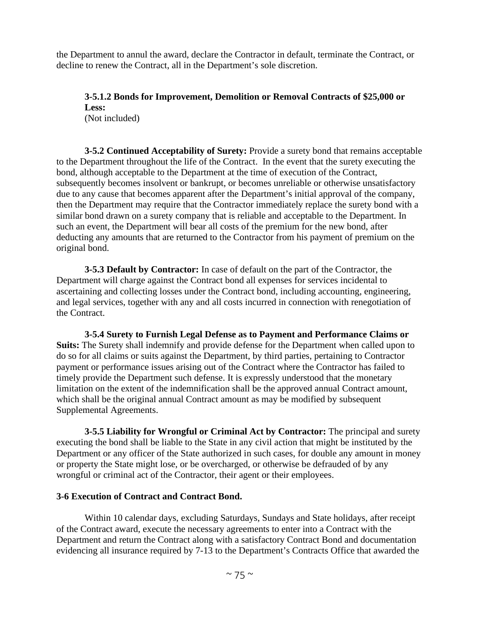the Department to annul the award, declare the Contractor in default, terminate the Contract, or decline to renew the Contract, all in the Department's sole discretion.

# **3-5.1.2 Bonds for Improvement, Demolition or Removal Contracts of \$25,000 or Less:**

(Not included)

**3-5.2 Continued Acceptability of Surety:** Provide a surety bond that remains acceptable to the Department throughout the life of the Contract. In the event that the surety executing the bond, although acceptable to the Department at the time of execution of the Contract, subsequently becomes insolvent or bankrupt, or becomes unreliable or otherwise unsatisfactory due to any cause that becomes apparent after the Department's initial approval of the company, then the Department may require that the Contractor immediately replace the surety bond with a similar bond drawn on a surety company that is reliable and acceptable to the Department. In such an event, the Department will bear all costs of the premium for the new bond, after deducting any amounts that are returned to the Contractor from his payment of premium on the original bond.

**3-5.3 Default by Contractor:** In case of default on the part of the Contractor, the Department will charge against the Contract bond all expenses for services incidental to ascertaining and collecting losses under the Contract bond, including accounting, engineering, and legal services, together with any and all costs incurred in connection with renegotiation of the Contract.

**3-5.4 Surety to Furnish Legal Defense as to Payment and Performance Claims or Suits:** The Surety shall indemnify and provide defense for the Department when called upon to do so for all claims or suits against the Department, by third parties, pertaining to Contractor payment or performance issues arising out of the Contract where the Contractor has failed to timely provide the Department such defense. It is expressly understood that the monetary limitation on the extent of the indemnification shall be the approved annual Contract amount, which shall be the original annual Contract amount as may be modified by subsequent Supplemental Agreements.

**3-5.5 Liability for Wrongful or Criminal Act by Contractor:** The principal and surety executing the bond shall be liable to the State in any civil action that might be instituted by the Department or any officer of the State authorized in such cases, for double any amount in money or property the State might lose, or be overcharged, or otherwise be defrauded of by any wrongful or criminal act of the Contractor, their agent or their employees.

## **3-6 Execution of Contract and Contract Bond.**

Within 10 calendar days, excluding Saturdays, Sundays and State holidays, after receipt of the Contract award, execute the necessary agreements to enter into a Contract with the Department and return the Contract along with a satisfactory Contract Bond and documentation evidencing all insurance required by 7-13 to the Department's Contracts Office that awarded the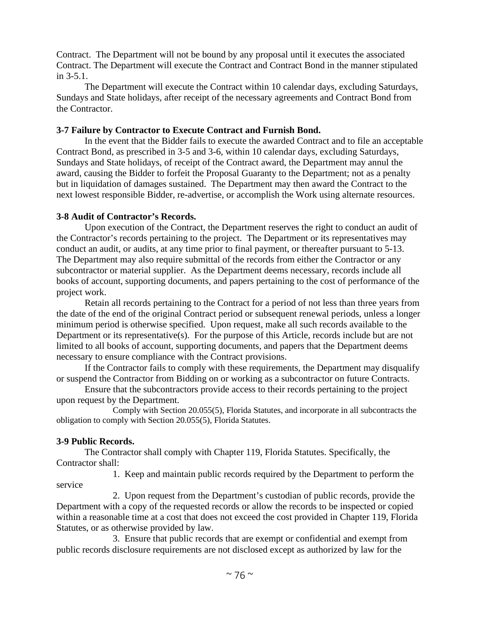Contract. The Department will not be bound by any proposal until it executes the associated Contract. The Department will execute the Contract and Contract Bond in the manner stipulated in 3-5.1.

The Department will execute the Contract within 10 calendar days, excluding Saturdays, Sundays and State holidays, after receipt of the necessary agreements and Contract Bond from the Contractor.

## **3-7 Failure by Contractor to Execute Contract and Furnish Bond.**

In the event that the Bidder fails to execute the awarded Contract and to file an acceptable Contract Bond, as prescribed in 3-5 and 3-6, within 10 calendar days, excluding Saturdays, Sundays and State holidays, of receipt of the Contract award, the Department may annul the award, causing the Bidder to forfeit the Proposal Guaranty to the Department; not as a penalty but in liquidation of damages sustained. The Department may then award the Contract to the next lowest responsible Bidder, re-advertise, or accomplish the Work using alternate resources.

## **3-8 Audit of Contractor's Records.**

Upon execution of the Contract, the Department reserves the right to conduct an audit of the Contractor's records pertaining to the project. The Department or its representatives may conduct an audit, or audits, at any time prior to final payment, or thereafter pursuant to 5-13. The Department may also require submittal of the records from either the Contractor or any subcontractor or material supplier. As the Department deems necessary, records include all books of account, supporting documents, and papers pertaining to the cost of performance of the project work.

Retain all records pertaining to the Contract for a period of not less than three years from the date of the end of the original Contract period or subsequent renewal periods, unless a longer minimum period is otherwise specified. Upon request, make all such records available to the Department or its representative(s). For the purpose of this Article, records include but are not limited to all books of account, supporting documents, and papers that the Department deems necessary to ensure compliance with the Contract provisions.

If the Contractor fails to comply with these requirements, the Department may disqualify or suspend the Contractor from Bidding on or working as a subcontractor on future Contracts.

Ensure that the subcontractors provide access to their records pertaining to the project upon request by the Department.

Comply with Section 20.055(5), Florida Statutes, and incorporate in all subcontracts the obligation to comply with Section 20.055(5), Florida Statutes.

# **3-9 Public Records.**

The Contractor shall comply with Chapter 119, Florida Statutes. Specifically, the Contractor shall:

1. Keep and maintain public records required by the Department to perform the service

2. Upon request from the Department's custodian of public records, provide the Department with a copy of the requested records or allow the records to be inspected or copied within a reasonable time at a cost that does not exceed the cost provided in Chapter 119, Florida Statutes, or as otherwise provided by law.

3. Ensure that public records that are exempt or confidential and exempt from public records disclosure requirements are not disclosed except as authorized by law for the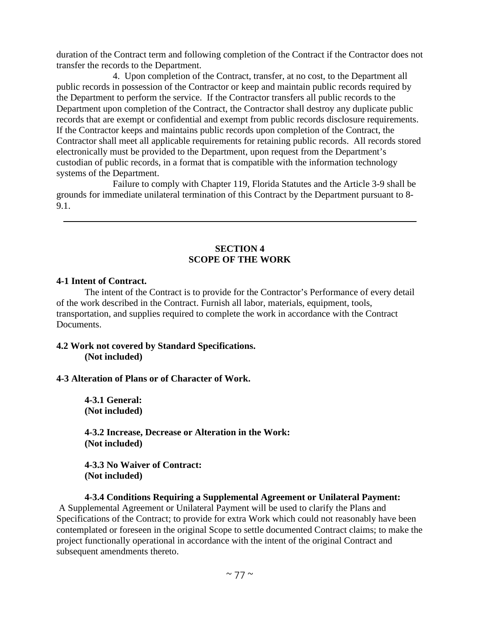duration of the Contract term and following completion of the Contract if the Contractor does not transfer the records to the Department.

4. Upon completion of the Contract, transfer, at no cost, to the Department all public records in possession of the Contractor or keep and maintain public records required by the Department to perform the service. If the Contractor transfers all public records to the Department upon completion of the Contract, the Contractor shall destroy any duplicate public records that are exempt or confidential and exempt from public records disclosure requirements. If the Contractor keeps and maintains public records upon completion of the Contract, the Contractor shall meet all applicable requirements for retaining public records. All records stored electronically must be provided to the Department, upon request from the Department's custodian of public records, in a format that is compatible with the information technology systems of the Department.

Failure to comply with Chapter 119, Florida Statutes and the Article 3-9 shall be grounds for immediate unilateral termination of this Contract by the Department pursuant to 8- 9.1.

## **SECTION 4 SCOPE OF THE WORK**

#### **4-1 Intent of Contract.**

The intent of the Contract is to provide for the Contractor's Performance of every detail of the work described in the Contract. Furnish all labor, materials, equipment, tools, transportation, and supplies required to complete the work in accordance with the Contract Documents.

#### **4.2 Work not covered by Standard Specifications. (Not included)**

## **4-3 Alteration of Plans or of Character of Work.**

**4-3.1 General: (Not included)** 

**4-3.2 Increase, Decrease or Alteration in the Work: (Not included)** 

**4-3.3 No Waiver of Contract: (Not included)** 

#### **4-3.4 Conditions Requiring a Supplemental Agreement or Unilateral Payment:**

 A Supplemental Agreement or Unilateral Payment will be used to clarify the Plans and Specifications of the Contract; to provide for extra Work which could not reasonably have been contemplated or foreseen in the original Scope to settle documented Contract claims; to make the project functionally operational in accordance with the intent of the original Contract and subsequent amendments thereto.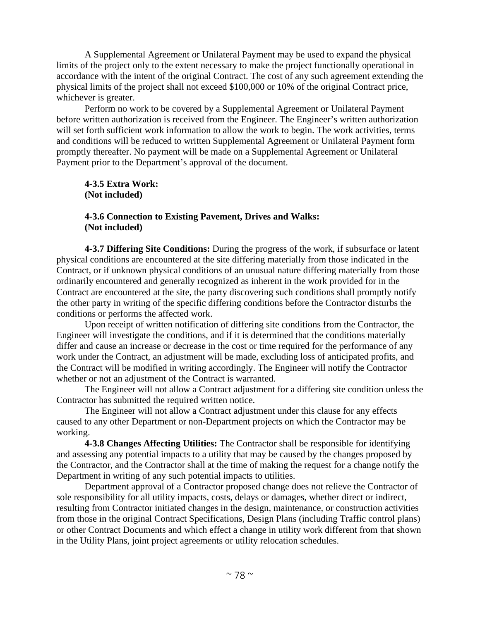A Supplemental Agreement or Unilateral Payment may be used to expand the physical limits of the project only to the extent necessary to make the project functionally operational in accordance with the intent of the original Contract. The cost of any such agreement extending the physical limits of the project shall not exceed \$100,000 or 10% of the original Contract price, whichever is greater.

Perform no work to be covered by a Supplemental Agreement or Unilateral Payment before written authorization is received from the Engineer. The Engineer's written authorization will set forth sufficient work information to allow the work to begin. The work activities, terms and conditions will be reduced to written Supplemental Agreement or Unilateral Payment form promptly thereafter. No payment will be made on a Supplemental Agreement or Unilateral Payment prior to the Department's approval of the document.

**4-3.5 Extra Work: (Not included)** 

#### **4-3.6 Connection to Existing Pavement, Drives and Walks: (Not included)**

**4-3.7 Differing Site Conditions:** During the progress of the work, if subsurface or latent physical conditions are encountered at the site differing materially from those indicated in the Contract, or if unknown physical conditions of an unusual nature differing materially from those ordinarily encountered and generally recognized as inherent in the work provided for in the Contract are encountered at the site, the party discovering such conditions shall promptly notify the other party in writing of the specific differing conditions before the Contractor disturbs the conditions or performs the affected work.

Upon receipt of written notification of differing site conditions from the Contractor, the Engineer will investigate the conditions, and if it is determined that the conditions materially differ and cause an increase or decrease in the cost or time required for the performance of any work under the Contract, an adjustment will be made, excluding loss of anticipated profits, and the Contract will be modified in writing accordingly. The Engineer will notify the Contractor whether or not an adjustment of the Contract is warranted.

The Engineer will not allow a Contract adjustment for a differing site condition unless the Contractor has submitted the required written notice.

The Engineer will not allow a Contract adjustment under this clause for any effects caused to any other Department or non-Department projects on which the Contractor may be working.

**4-3.8 Changes Affecting Utilities:** The Contractor shall be responsible for identifying and assessing any potential impacts to a utility that may be caused by the changes proposed by the Contractor, and the Contractor shall at the time of making the request for a change notify the Department in writing of any such potential impacts to utilities.

Department approval of a Contractor proposed change does not relieve the Contractor of sole responsibility for all utility impacts, costs, delays or damages, whether direct or indirect, resulting from Contractor initiated changes in the design, maintenance, or construction activities from those in the original Contract Specifications, Design Plans (including Traffic control plans) or other Contract Documents and which effect a change in utility work different from that shown in the Utility Plans, joint project agreements or utility relocation schedules.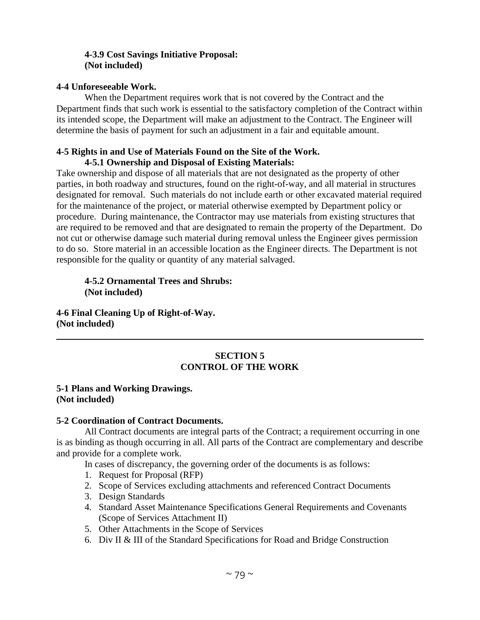## **4-3.9 Cost Savings Initiative Proposal: (Not included)**

#### **4-4 Unforeseeable Work.**

When the Department requires work that is not covered by the Contract and the Department finds that such work is essential to the satisfactory completion of the Contract within its intended scope, the Department will make an adjustment to the Contract. The Engineer will determine the basis of payment for such an adjustment in a fair and equitable amount.

#### **4-5 Rights in and Use of Materials Found on the Site of the Work. 4-5.1 Ownership and Disposal of Existing Materials:**

Take ownership and dispose of all materials that are not designated as the property of other parties, in both roadway and structures, found on the right-of-way, and all material in structures designated for removal. Such materials do not include earth or other excavated material required for the maintenance of the project, or material otherwise exempted by Department policy or procedure. During maintenance, the Contractor may use materials from existing structures that are required to be removed and that are designated to remain the property of the Department. Do not cut or otherwise damage such material during removal unless the Engineer gives permission to do so. Store material in an accessible location as the Engineer directs. The Department is not responsible for the quality or quantity of any material salvaged.

**4-5.2 Ornamental Trees and Shrubs: (Not included)** 

**4-6 Final Cleaning Up of Right-of-Way. (Not included)** 

## **SECTION 5 CONTROL OF THE WORK**

#### **5-1 Plans and Working Drawings. (Not included)**

#### **5-2 Coordination of Contract Documents.**

All Contract documents are integral parts of the Contract; a requirement occurring in one is as binding as though occurring in all. All parts of the Contract are complementary and describe and provide for a complete work.

In cases of discrepancy, the governing order of the documents is as follows:

- 1. Request for Proposal (RFP)
- 2. Scope of Services excluding attachments and referenced Contract Documents
- 3. Design Standards
- 4. Standard Asset Maintenance Specifications General Requirements and Covenants (Scope of Services Attachment II)
- 5. Other Attachments in the Scope of Services
- 6. Div II & III of the Standard Specifications for Road and Bridge Construction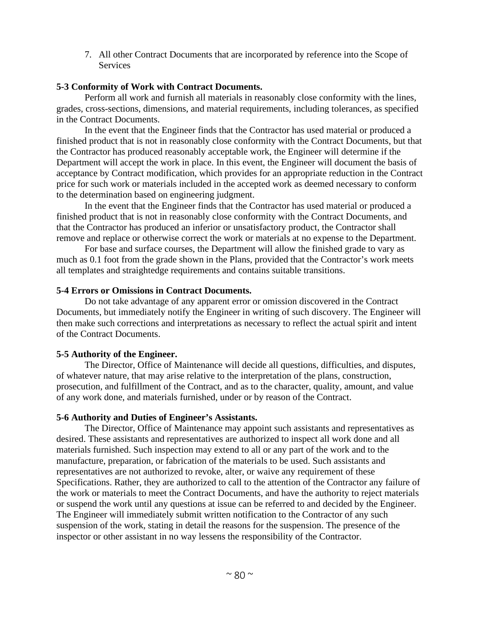7. All other Contract Documents that are incorporated by reference into the Scope of **Services** 

## **5-3 Conformity of Work with Contract Documents.**

Perform all work and furnish all materials in reasonably close conformity with the lines, grades, cross-sections, dimensions, and material requirements, including tolerances, as specified in the Contract Documents.

In the event that the Engineer finds that the Contractor has used material or produced a finished product that is not in reasonably close conformity with the Contract Documents, but that the Contractor has produced reasonably acceptable work, the Engineer will determine if the Department will accept the work in place. In this event, the Engineer will document the basis of acceptance by Contract modification, which provides for an appropriate reduction in the Contract price for such work or materials included in the accepted work as deemed necessary to conform to the determination based on engineering judgment.

In the event that the Engineer finds that the Contractor has used material or produced a finished product that is not in reasonably close conformity with the Contract Documents, and that the Contractor has produced an inferior or unsatisfactory product, the Contractor shall remove and replace or otherwise correct the work or materials at no expense to the Department.

For base and surface courses, the Department will allow the finished grade to vary as much as 0.1 foot from the grade shown in the Plans, provided that the Contractor's work meets all templates and straightedge requirements and contains suitable transitions.

#### **5-4 Errors or Omissions in Contract Documents.**

Do not take advantage of any apparent error or omission discovered in the Contract Documents, but immediately notify the Engineer in writing of such discovery. The Engineer will then make such corrections and interpretations as necessary to reflect the actual spirit and intent of the Contract Documents.

## **5-5 Authority of the Engineer.**

The Director, Office of Maintenance will decide all questions, difficulties, and disputes, of whatever nature, that may arise relative to the interpretation of the plans, construction, prosecution, and fulfillment of the Contract, and as to the character, quality, amount, and value of any work done, and materials furnished, under or by reason of the Contract.

## **5-6 Authority and Duties of Engineer's Assistants.**

The Director, Office of Maintenance may appoint such assistants and representatives as desired. These assistants and representatives are authorized to inspect all work done and all materials furnished. Such inspection may extend to all or any part of the work and to the manufacture, preparation, or fabrication of the materials to be used. Such assistants and representatives are not authorized to revoke, alter, or waive any requirement of these Specifications. Rather, they are authorized to call to the attention of the Contractor any failure of the work or materials to meet the Contract Documents, and have the authority to reject materials or suspend the work until any questions at issue can be referred to and decided by the Engineer. The Engineer will immediately submit written notification to the Contractor of any such suspension of the work, stating in detail the reasons for the suspension. The presence of the inspector or other assistant in no way lessens the responsibility of the Contractor.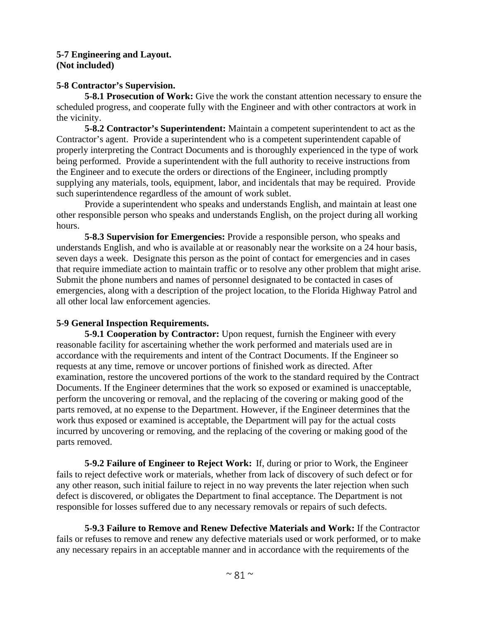#### **5-7 Engineering and Layout. (Not included)**

## **5-8 Contractor's Supervision.**

**5-8.1 Prosecution of Work:** Give the work the constant attention necessary to ensure the scheduled progress, and cooperate fully with the Engineer and with other contractors at work in the vicinity.

**5-8.2 Contractor's Superintendent:** Maintain a competent superintendent to act as the Contractor's agent. Provide a superintendent who is a competent superintendent capable of properly interpreting the Contract Documents and is thoroughly experienced in the type of work being performed. Provide a superintendent with the full authority to receive instructions from the Engineer and to execute the orders or directions of the Engineer, including promptly supplying any materials, tools, equipment, labor, and incidentals that may be required. Provide such superintendence regardless of the amount of work sublet.

Provide a superintendent who speaks and understands English, and maintain at least one other responsible person who speaks and understands English, on the project during all working hours.

**5-8.3 Supervision for Emergencies:** Provide a responsible person, who speaks and understands English, and who is available at or reasonably near the worksite on a 24 hour basis, seven days a week. Designate this person as the point of contact for emergencies and in cases that require immediate action to maintain traffic or to resolve any other problem that might arise. Submit the phone numbers and names of personnel designated to be contacted in cases of emergencies, along with a description of the project location, to the Florida Highway Patrol and all other local law enforcement agencies.

#### **5-9 General Inspection Requirements.**

**5-9.1 Cooperation by Contractor:** Upon request, furnish the Engineer with every reasonable facility for ascertaining whether the work performed and materials used are in accordance with the requirements and intent of the Contract Documents. If the Engineer so requests at any time, remove or uncover portions of finished work as directed. After examination, restore the uncovered portions of the work to the standard required by the Contract Documents. If the Engineer determines that the work so exposed or examined is unacceptable, perform the uncovering or removal, and the replacing of the covering or making good of the parts removed, at no expense to the Department. However, if the Engineer determines that the work thus exposed or examined is acceptable, the Department will pay for the actual costs incurred by uncovering or removing, and the replacing of the covering or making good of the parts removed.

**5-9.2 Failure of Engineer to Reject Work:** If, during or prior to Work, the Engineer fails to reject defective work or materials, whether from lack of discovery of such defect or for any other reason, such initial failure to reject in no way prevents the later rejection when such defect is discovered, or obligates the Department to final acceptance. The Department is not responsible for losses suffered due to any necessary removals or repairs of such defects.

**5-9.3 Failure to Remove and Renew Defective Materials and Work:** If the Contractor fails or refuses to remove and renew any defective materials used or work performed, or to make any necessary repairs in an acceptable manner and in accordance with the requirements of the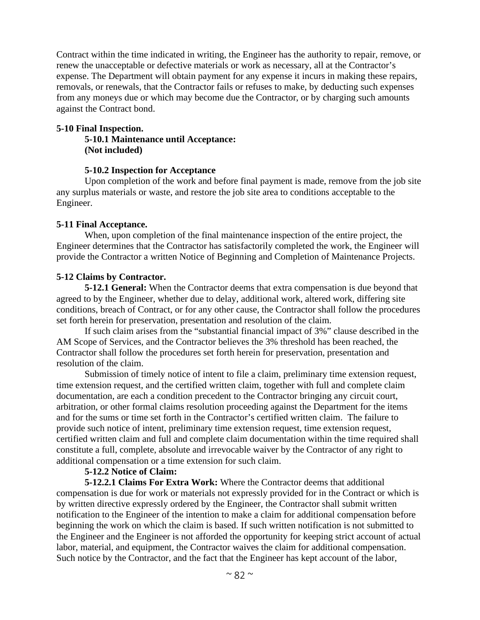Contract within the time indicated in writing, the Engineer has the authority to repair, remove, or renew the unacceptable or defective materials or work as necessary, all at the Contractor's expense. The Department will obtain payment for any expense it incurs in making these repairs, removals, or renewals, that the Contractor fails or refuses to make, by deducting such expenses from any moneys due or which may become due the Contractor, or by charging such amounts against the Contract bond.

#### **5-10 Final Inspection.**

**5-10.1 Maintenance until Acceptance: (Not included)** 

#### **5-10.2 Inspection for Acceptance**

Upon completion of the work and before final payment is made, remove from the job site any surplus materials or waste, and restore the job site area to conditions acceptable to the Engineer.

#### **5-11 Final Acceptance.**

When, upon completion of the final maintenance inspection of the entire project, the Engineer determines that the Contractor has satisfactorily completed the work, the Engineer will provide the Contractor a written Notice of Beginning and Completion of Maintenance Projects.

#### **5-12 Claims by Contractor.**

**5-12.1 General:** When the Contractor deems that extra compensation is due beyond that agreed to by the Engineer, whether due to delay, additional work, altered work, differing site conditions, breach of Contract, or for any other cause, the Contractor shall follow the procedures set forth herein for preservation, presentation and resolution of the claim.

If such claim arises from the "substantial financial impact of 3%" clause described in the AM Scope of Services, and the Contractor believes the 3% threshold has been reached, the Contractor shall follow the procedures set forth herein for preservation, presentation and resolution of the claim.

Submission of timely notice of intent to file a claim, preliminary time extension request, time extension request, and the certified written claim, together with full and complete claim documentation, are each a condition precedent to the Contractor bringing any circuit court, arbitration, or other formal claims resolution proceeding against the Department for the items and for the sums or time set forth in the Contractor's certified written claim. The failure to provide such notice of intent, preliminary time extension request, time extension request, certified written claim and full and complete claim documentation within the time required shall constitute a full, complete, absolute and irrevocable waiver by the Contractor of any right to additional compensation or a time extension for such claim.

#### **5-12.2 Notice of Claim:**

**5-12.2.1 Claims For Extra Work:** Where the Contractor deems that additional compensation is due for work or materials not expressly provided for in the Contract or which is by written directive expressly ordered by the Engineer, the Contractor shall submit written notification to the Engineer of the intention to make a claim for additional compensation before beginning the work on which the claim is based. If such written notification is not submitted to the Engineer and the Engineer is not afforded the opportunity for keeping strict account of actual labor, material, and equipment, the Contractor waives the claim for additional compensation. Such notice by the Contractor, and the fact that the Engineer has kept account of the labor,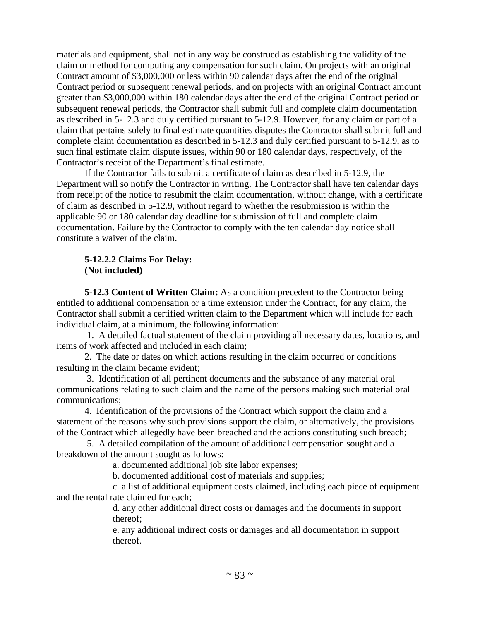materials and equipment, shall not in any way be construed as establishing the validity of the claim or method for computing any compensation for such claim. On projects with an original Contract amount of \$3,000,000 or less within 90 calendar days after the end of the original Contract period or subsequent renewal periods, and on projects with an original Contract amount greater than \$3,000,000 within 180 calendar days after the end of the original Contract period or subsequent renewal periods, the Contractor shall submit full and complete claim documentation as described in 5-12.3 and duly certified pursuant to 5-12.9. However, for any claim or part of a claim that pertains solely to final estimate quantities disputes the Contractor shall submit full and complete claim documentation as described in 5-12.3 and duly certified pursuant to 5-12.9, as to such final estimate claim dispute issues, within 90 or 180 calendar days, respectively, of the Contractor's receipt of the Department's final estimate.

If the Contractor fails to submit a certificate of claim as described in 5-12.9, the Department will so notify the Contractor in writing. The Contractor shall have ten calendar days from receipt of the notice to resubmit the claim documentation, without change, with a certificate of claim as described in 5-12.9, without regard to whether the resubmission is within the applicable 90 or 180 calendar day deadline for submission of full and complete claim documentation. Failure by the Contractor to comply with the ten calendar day notice shall constitute a waiver of the claim.

#### **5-12.2.2 Claims For Delay: (Not included)**

**5-12.3 Content of Written Claim:** As a condition precedent to the Contractor being entitled to additional compensation or a time extension under the Contract, for any claim, the Contractor shall submit a certified written claim to the Department which will include for each individual claim, at a minimum, the following information:

 1. A detailed factual statement of the claim providing all necessary dates, locations, and items of work affected and included in each claim;

2. The date or dates on which actions resulting in the claim occurred or conditions resulting in the claim became evident;

 3. Identification of all pertinent documents and the substance of any material oral communications relating to such claim and the name of the persons making such material oral communications;

4. Identification of the provisions of the Contract which support the claim and a statement of the reasons why such provisions support the claim, or alternatively, the provisions of the Contract which allegedly have been breached and the actions constituting such breach;

 5. A detailed compilation of the amount of additional compensation sought and a breakdown of the amount sought as follows:

a. documented additional job site labor expenses;

b. documented additional cost of materials and supplies;

c. a list of additional equipment costs claimed, including each piece of equipment and the rental rate claimed for each;

> d. any other additional direct costs or damages and the documents in support thereof;

> e. any additional indirect costs or damages and all documentation in support thereof.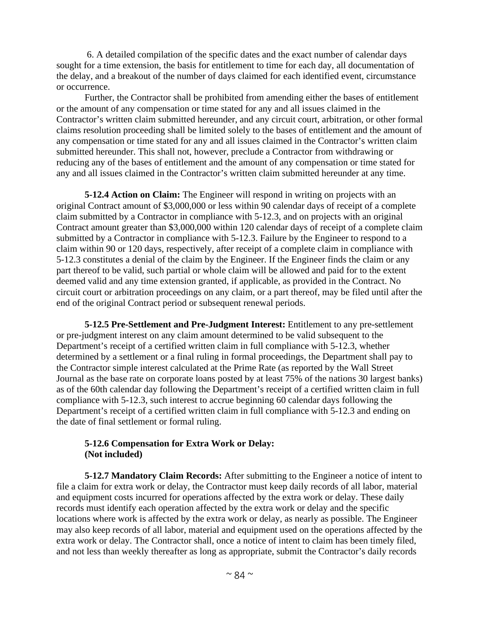6. A detailed compilation of the specific dates and the exact number of calendar days sought for a time extension, the basis for entitlement to time for each day, all documentation of the delay, and a breakout of the number of days claimed for each identified event, circumstance or occurrence.

Further, the Contractor shall be prohibited from amending either the bases of entitlement or the amount of any compensation or time stated for any and all issues claimed in the Contractor's written claim submitted hereunder, and any circuit court, arbitration, or other formal claims resolution proceeding shall be limited solely to the bases of entitlement and the amount of any compensation or time stated for any and all issues claimed in the Contractor's written claim submitted hereunder. This shall not, however, preclude a Contractor from withdrawing or reducing any of the bases of entitlement and the amount of any compensation or time stated for any and all issues claimed in the Contractor's written claim submitted hereunder at any time.

**5-12.4 Action on Claim:** The Engineer will respond in writing on projects with an original Contract amount of \$3,000,000 or less within 90 calendar days of receipt of a complete claim submitted by a Contractor in compliance with 5-12.3, and on projects with an original Contract amount greater than \$3,000,000 within 120 calendar days of receipt of a complete claim submitted by a Contractor in compliance with 5-12.3. Failure by the Engineer to respond to a claim within 90 or 120 days, respectively, after receipt of a complete claim in compliance with 5-12.3 constitutes a denial of the claim by the Engineer. If the Engineer finds the claim or any part thereof to be valid, such partial or whole claim will be allowed and paid for to the extent deemed valid and any time extension granted, if applicable, as provided in the Contract. No circuit court or arbitration proceedings on any claim, or a part thereof, may be filed until after the end of the original Contract period or subsequent renewal periods.

**5-12.5 Pre-Settlement and Pre-Judgment Interest:** Entitlement to any pre-settlement or pre-judgment interest on any claim amount determined to be valid subsequent to the Department's receipt of a certified written claim in full compliance with 5-12.3, whether determined by a settlement or a final ruling in formal proceedings, the Department shall pay to the Contractor simple interest calculated at the Prime Rate (as reported by the Wall Street Journal as the base rate on corporate loans posted by at least 75% of the nations 30 largest banks) as of the 60th calendar day following the Department's receipt of a certified written claim in full compliance with 5-12.3, such interest to accrue beginning 60 calendar days following the Department's receipt of a certified written claim in full compliance with 5-12.3 and ending on the date of final settlement or formal ruling.

## **5-12.6 Compensation for Extra Work or Delay: (Not included)**

**5-12.7 Mandatory Claim Records:** After submitting to the Engineer a notice of intent to file a claim for extra work or delay, the Contractor must keep daily records of all labor, material and equipment costs incurred for operations affected by the extra work or delay. These daily records must identify each operation affected by the extra work or delay and the specific locations where work is affected by the extra work or delay, as nearly as possible. The Engineer may also keep records of all labor, material and equipment used on the operations affected by the extra work or delay. The Contractor shall, once a notice of intent to claim has been timely filed, and not less than weekly thereafter as long as appropriate, submit the Contractor's daily records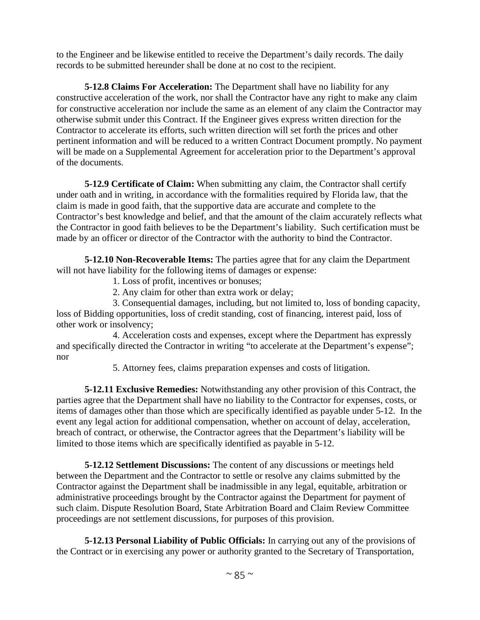to the Engineer and be likewise entitled to receive the Department's daily records. The daily records to be submitted hereunder shall be done at no cost to the recipient.

**5-12.8 Claims For Acceleration:** The Department shall have no liability for any constructive acceleration of the work, nor shall the Contractor have any right to make any claim for constructive acceleration nor include the same as an element of any claim the Contractor may otherwise submit under this Contract. If the Engineer gives express written direction for the Contractor to accelerate its efforts, such written direction will set forth the prices and other pertinent information and will be reduced to a written Contract Document promptly. No payment will be made on a Supplemental Agreement for acceleration prior to the Department's approval of the documents.

**5-12.9 Certificate of Claim:** When submitting any claim, the Contractor shall certify under oath and in writing, in accordance with the formalities required by Florida law, that the claim is made in good faith, that the supportive data are accurate and complete to the Contractor's best knowledge and belief, and that the amount of the claim accurately reflects what the Contractor in good faith believes to be the Department's liability. Such certification must be made by an officer or director of the Contractor with the authority to bind the Contractor.

**5-12.10 Non-Recoverable Items:** The parties agree that for any claim the Department will not have liability for the following items of damages or expense:

1. Loss of profit, incentives or bonuses;

2. Any claim for other than extra work or delay;

3. Consequential damages, including, but not limited to, loss of bonding capacity, loss of Bidding opportunities, loss of credit standing, cost of financing, interest paid, loss of other work or insolvency;

4. Acceleration costs and expenses, except where the Department has expressly and specifically directed the Contractor in writing "to accelerate at the Department's expense"; nor

5. Attorney fees, claims preparation expenses and costs of litigation.

**5-12.11 Exclusive Remedies:** Notwithstanding any other provision of this Contract, the parties agree that the Department shall have no liability to the Contractor for expenses, costs, or items of damages other than those which are specifically identified as payable under 5-12. In the event any legal action for additional compensation, whether on account of delay, acceleration, breach of contract, or otherwise, the Contractor agrees that the Department's liability will be limited to those items which are specifically identified as payable in 5-12.

**5-12.12 Settlement Discussions:** The content of any discussions or meetings held between the Department and the Contractor to settle or resolve any claims submitted by the Contractor against the Department shall be inadmissible in any legal, equitable, arbitration or administrative proceedings brought by the Contractor against the Department for payment of such claim. Dispute Resolution Board, State Arbitration Board and Claim Review Committee proceedings are not settlement discussions, for purposes of this provision.

**5-12.13 Personal Liability of Public Officials:** In carrying out any of the provisions of the Contract or in exercising any power or authority granted to the Secretary of Transportation,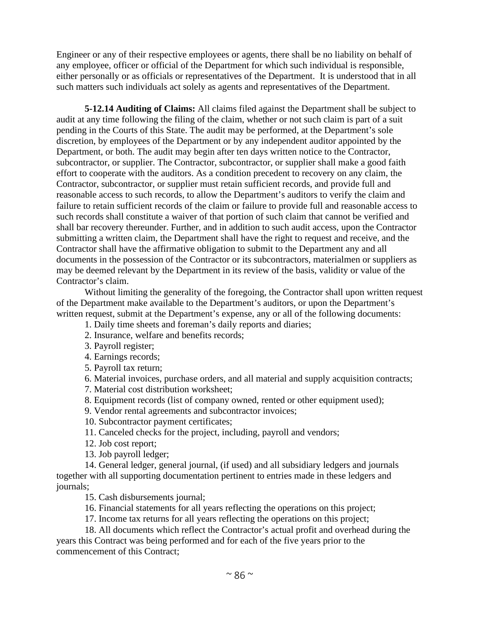Engineer or any of their respective employees or agents, there shall be no liability on behalf of any employee, officer or official of the Department for which such individual is responsible, either personally or as officials or representatives of the Department. It is understood that in all such matters such individuals act solely as agents and representatives of the Department.

**5-12.14 Auditing of Claims:** All claims filed against the Department shall be subject to audit at any time following the filing of the claim, whether or not such claim is part of a suit pending in the Courts of this State. The audit may be performed, at the Department's sole discretion, by employees of the Department or by any independent auditor appointed by the Department, or both. The audit may begin after ten days written notice to the Contractor, subcontractor, or supplier. The Contractor, subcontractor, or supplier shall make a good faith effort to cooperate with the auditors. As a condition precedent to recovery on any claim, the Contractor, subcontractor, or supplier must retain sufficient records, and provide full and reasonable access to such records, to allow the Department's auditors to verify the claim and failure to retain sufficient records of the claim or failure to provide full and reasonable access to such records shall constitute a waiver of that portion of such claim that cannot be verified and shall bar recovery thereunder. Further, and in addition to such audit access, upon the Contractor submitting a written claim, the Department shall have the right to request and receive, and the Contractor shall have the affirmative obligation to submit to the Department any and all documents in the possession of the Contractor or its subcontractors, materialmen or suppliers as may be deemed relevant by the Department in its review of the basis, validity or value of the Contractor's claim.

Without limiting the generality of the foregoing, the Contractor shall upon written request of the Department make available to the Department's auditors, or upon the Department's written request, submit at the Department's expense, any or all of the following documents:

- 1. Daily time sheets and foreman's daily reports and diaries;
- 2. Insurance, welfare and benefits records;
- 3. Payroll register;
- 4. Earnings records;
- 5. Payroll tax return;

6. Material invoices, purchase orders, and all material and supply acquisition contracts;

- 7. Material cost distribution worksheet;
- 8. Equipment records (list of company owned, rented or other equipment used);
- 9. Vendor rental agreements and subcontractor invoices;
- 10. Subcontractor payment certificates;
- 11. Canceled checks for the project, including, payroll and vendors;
- 12. Job cost report;
- 13. Job payroll ledger;

14. General ledger, general journal, (if used) and all subsidiary ledgers and journals together with all supporting documentation pertinent to entries made in these ledgers and journals;

15. Cash disbursements journal;

16. Financial statements for all years reflecting the operations on this project;

17. Income tax returns for all years reflecting the operations on this project;

18. All documents which reflect the Contractor's actual profit and overhead during the years this Contract was being performed and for each of the five years prior to the commencement of this Contract;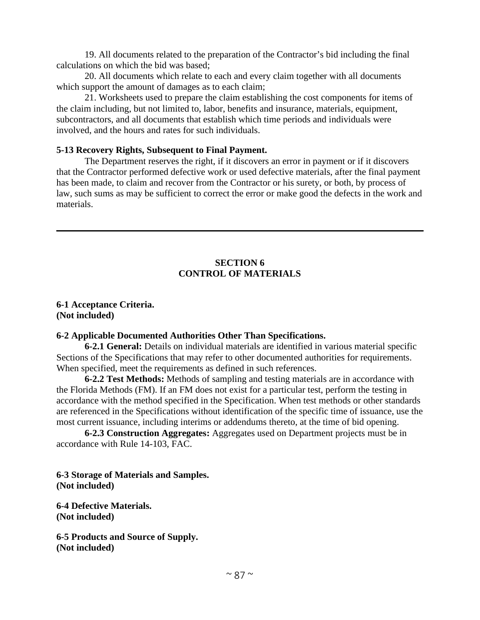19. All documents related to the preparation of the Contractor's bid including the final calculations on which the bid was based;

20. All documents which relate to each and every claim together with all documents which support the amount of damages as to each claim;

21. Worksheets used to prepare the claim establishing the cost components for items of the claim including, but not limited to, labor, benefits and insurance, materials, equipment, subcontractors, and all documents that establish which time periods and individuals were involved, and the hours and rates for such individuals.

#### **5-13 Recovery Rights, Subsequent to Final Payment.**

The Department reserves the right, if it discovers an error in payment or if it discovers that the Contractor performed defective work or used defective materials, after the final payment has been made, to claim and recover from the Contractor or his surety, or both, by process of law, such sums as may be sufficient to correct the error or make good the defects in the work and materials.

## **SECTION 6 CONTROL OF MATERIALS**

**6-1 Acceptance Criteria. (Not included)** 

#### **6-2 Applicable Documented Authorities Other Than Specifications.**

**6-2.1 General:** Details on individual materials are identified in various material specific Sections of the Specifications that may refer to other documented authorities for requirements. When specified, meet the requirements as defined in such references.

**6-2.2 Test Methods:** Methods of sampling and testing materials are in accordance with the Florida Methods (FM). If an FM does not exist for a particular test, perform the testing in accordance with the method specified in the Specification. When test methods or other standards are referenced in the Specifications without identification of the specific time of issuance, use the most current issuance, including interims or addendums thereto, at the time of bid opening.

**6-2.3 Construction Aggregates:** Aggregates used on Department projects must be in accordance with Rule 14-103, FAC.

**6-3 Storage of Materials and Samples. (Not included)** 

**6-4 Defective Materials. (Not included)** 

**6-5 Products and Source of Supply. (Not included)**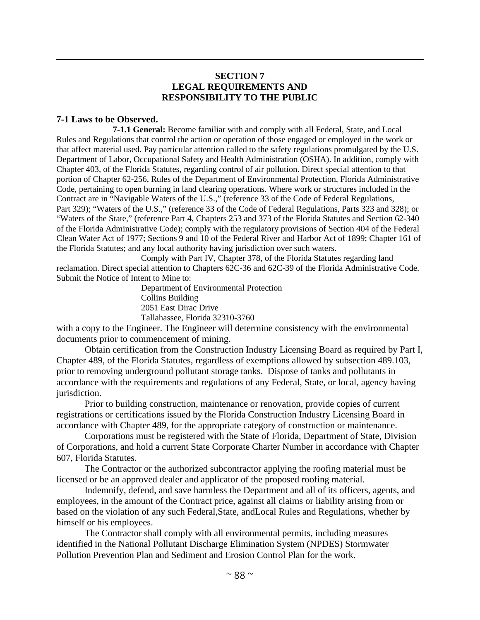#### **SECTION 7 LEGAL REQUIREMENTS AND RESPONSIBILITY TO THE PUBLIC**

#### **7-1 Laws to be Observed.**

**7-1.1 General:** Become familiar with and comply with all Federal, State, and Local Rules and Regulations that control the action or operation of those engaged or employed in the work or that affect material used. Pay particular attention called to the safety regulations promulgated by the U.S. Department of Labor, Occupational Safety and Health Administration (OSHA). In addition, comply with Chapter 403, of the Florida Statutes, regarding control of air pollution. Direct special attention to that portion of Chapter 62-256, Rules of the Department of Environmental Protection, Florida Administrative Code, pertaining to open burning in land clearing operations. Where work or structures included in the Contract are in "Navigable Waters of the U.S.," (reference 33 of the Code of Federal Regulations, Part 329); "Waters of the U.S.," (reference 33 of the Code of Federal Regulations, Parts 323 and 328); or "Waters of the State," (reference Part 4, Chapters 253 and 373 of the Florida Statutes and Section 62-340 of the Florida Administrative Code); comply with the regulatory provisions of Section 404 of the Federal Clean Water Act of 1977; Sections 9 and 10 of the Federal River and Harbor Act of 1899; Chapter 161 of the Florida Statutes; and any local authority having jurisdiction over such waters.

Comply with Part IV, Chapter 378, of the Florida Statutes regarding land reclamation. Direct special attention to Chapters 62C-36 and 62C-39 of the Florida Administrative Code. Submit the Notice of Intent to Mine to:

Department of Environmental Protection Collins Building 2051 East Dirac Drive Tallahassee, Florida 32310-3760

with a copy to the Engineer. The Engineer will determine consistency with the environmental documents prior to commencement of mining.

Obtain certification from the Construction Industry Licensing Board as required by Part I, Chapter 489, of the Florida Statutes, regardless of exemptions allowed by subsection 489.103, prior to removing underground pollutant storage tanks. Dispose of tanks and pollutants in accordance with the requirements and regulations of any Federal, State, or local, agency having jurisdiction.

Prior to building construction, maintenance or renovation, provide copies of current registrations or certifications issued by the Florida Construction Industry Licensing Board in accordance with Chapter 489, for the appropriate category of construction or maintenance.

Corporations must be registered with the State of Florida, Department of State, Division of Corporations, and hold a current State Corporate Charter Number in accordance with Chapter 607, Florida Statutes.

The Contractor or the authorized subcontractor applying the roofing material must be licensed or be an approved dealer and applicator of the proposed roofing material.

Indemnify, defend, and save harmless the Department and all of its officers, agents, and employees, in the amount of the Contract price, against all claims or liability arising from or based on the violation of any such Federal,State, andLocal Rules and Regulations, whether by himself or his employees.

The Contractor shall comply with all environmental permits, including measures identified in the National Pollutant Discharge Elimination System (NPDES) Stormwater Pollution Prevention Plan and Sediment and Erosion Control Plan for the work.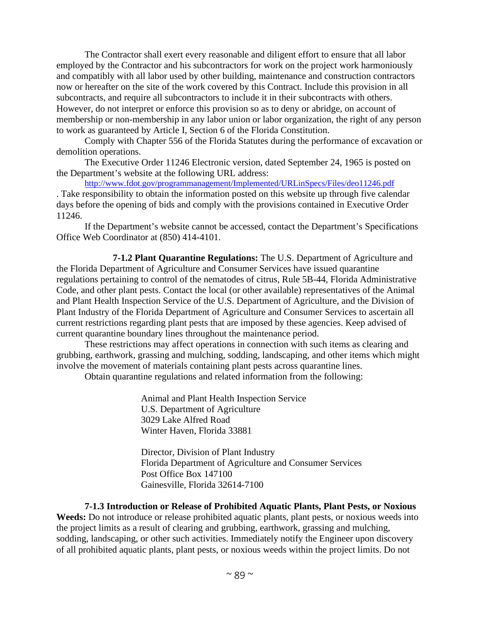The Contractor shall exert every reasonable and diligent effort to ensure that all labor employed by the Contractor and his subcontractors for work on the project work harmoniously and compatibly with all labor used by other building, maintenance and construction contractors now or hereafter on the site of the work covered by this Contract. Include this provision in all subcontracts, and require all subcontractors to include it in their subcontracts with others. However, do not interpret or enforce this provision so as to deny or abridge, on account of membership or non-membership in any labor union or labor organization, the right of any person to work as guaranteed by Article I, Section 6 of the Florida Constitution.

Comply with Chapter 556 of the Florida Statutes during the performance of excavation or demolition operations.

The Executive Order 11246 Electronic version, dated September 24, 1965 is posted on the Department's website at the following URL address:

http://www.fdot.gov/programmanagement/Implemented/URLinSpecs/Files/deo11246.pdf . Take responsibility to obtain the information posted on this website up through five calendar days before the opening of bids and comply with the provisions contained in Executive Order 11246.

If the Department's website cannot be accessed, contact the Department's Specifications Office Web Coordinator at (850) 414-4101.

**7-1.2 Plant Quarantine Regulations:** The U.S. Department of Agriculture and the Florida Department of Agriculture and Consumer Services have issued quarantine regulations pertaining to control of the nematodes of citrus, Rule 5B-44, Florida Administrative Code, and other plant pests. Contact the local (or other available) representatives of the Animal and Plant Health Inspection Service of the U.S. Department of Agriculture, and the Division of Plant Industry of the Florida Department of Agriculture and Consumer Services to ascertain all current restrictions regarding plant pests that are imposed by these agencies. Keep advised of current quarantine boundary lines throughout the maintenance period.

These restrictions may affect operations in connection with such items as clearing and grubbing, earthwork, grassing and mulching, sodding, landscaping, and other items which might involve the movement of materials containing plant pests across quarantine lines.

Obtain quarantine regulations and related information from the following:

Animal and Plant Health Inspection Service U.S. Department of Agriculture 3029 Lake Alfred Road Winter Haven, Florida 33881

Director, Division of Plant Industry Florida Department of Agriculture and Consumer Services Post Office Box 147100 Gainesville, Florida 32614-7100

**7-1.3 Introduction or Release of Prohibited Aquatic Plants, Plant Pests, or Noxious**  Weeds: Do not introduce or release prohibited aquatic plants, plant pests, or noxious weeds into the project limits as a result of clearing and grubbing, earthwork, grassing and mulching, sodding, landscaping, or other such activities. Immediately notify the Engineer upon discovery of all prohibited aquatic plants, plant pests, or noxious weeds within the project limits. Do not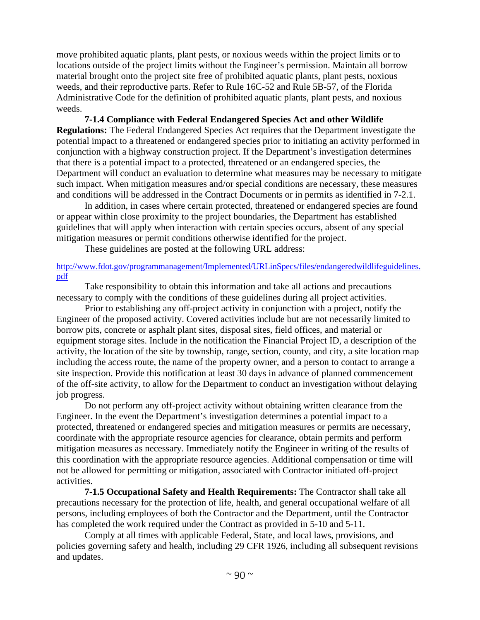move prohibited aquatic plants, plant pests, or noxious weeds within the project limits or to locations outside of the project limits without the Engineer's permission. Maintain all borrow material brought onto the project site free of prohibited aquatic plants, plant pests, noxious weeds, and their reproductive parts. Refer to Rule 16C-52 and Rule 5B-57, of the Florida Administrative Code for the definition of prohibited aquatic plants, plant pests, and noxious weeds.

**7-1.4 Compliance with Federal Endangered Species Act and other Wildlife Regulations:** The Federal Endangered Species Act requires that the Department investigate the potential impact to a threatened or endangered species prior to initiating an activity performed in conjunction with a highway construction project. If the Department's investigation determines that there is a potential impact to a protected, threatened or an endangered species, the Department will conduct an evaluation to determine what measures may be necessary to mitigate such impact. When mitigation measures and/or special conditions are necessary, these measures and conditions will be addressed in the Contract Documents or in permits as identified in 7-2.1.

In addition, in cases where certain protected, threatened or endangered species are found or appear within close proximity to the project boundaries, the Department has established guidelines that will apply when interaction with certain species occurs, absent of any special mitigation measures or permit conditions otherwise identified for the project.

These guidelines are posted at the following URL address:

http://www.fdot.gov/programmanagement/Implemented/URLinSpecs/files/endangeredwildlifeguidelines. pdf

Take responsibility to obtain this information and take all actions and precautions necessary to comply with the conditions of these guidelines during all project activities.

Prior to establishing any off-project activity in conjunction with a project, notify the Engineer of the proposed activity. Covered activities include but are not necessarily limited to borrow pits, concrete or asphalt plant sites, disposal sites, field offices, and material or equipment storage sites. Include in the notification the Financial Project ID, a description of the activity, the location of the site by township, range, section, county, and city, a site location map including the access route, the name of the property owner, and a person to contact to arrange a site inspection. Provide this notification at least 30 days in advance of planned commencement of the off-site activity, to allow for the Department to conduct an investigation without delaying job progress.

Do not perform any off-project activity without obtaining written clearance from the Engineer. In the event the Department's investigation determines a potential impact to a protected, threatened or endangered species and mitigation measures or permits are necessary, coordinate with the appropriate resource agencies for clearance, obtain permits and perform mitigation measures as necessary. Immediately notify the Engineer in writing of the results of this coordination with the appropriate resource agencies. Additional compensation or time will not be allowed for permitting or mitigation, associated with Contractor initiated off-project activities.

**7-1.5 Occupational Safety and Health Requirements:** The Contractor shall take all precautions necessary for the protection of life, health, and general occupational welfare of all persons, including employees of both the Contractor and the Department, until the Contractor has completed the work required under the Contract as provided in 5-10 and 5-11.

Comply at all times with applicable Federal, State, and local laws, provisions, and policies governing safety and health, including 29 CFR 1926, including all subsequent revisions and updates.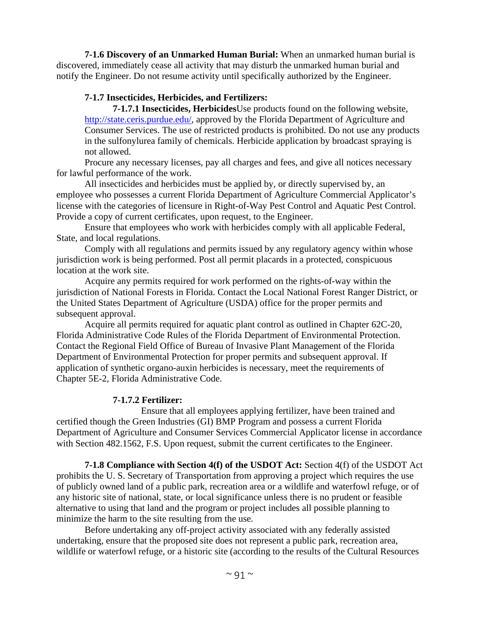**7-1.6 Discovery of an Unmarked Human Burial:** When an unmarked human burial is discovered, immediately cease all activity that may disturb the unmarked human burial and notify the Engineer. Do not resume activity until specifically authorized by the Engineer.

## **7-1.7 Insecticides, Herbicides, and Fertilizers:**

**7-1.7.1 Insecticides, Herbicides**Use products found on the following website, http://state.ceris.purdue.edu/, approved by the Florida Department of Agriculture and Consumer Services. The use of restricted products is prohibited. Do not use any products in the sulfonylurea family of chemicals. Herbicide application by broadcast spraying is not allowed.

Procure any necessary licenses, pay all charges and fees, and give all notices necessary for lawful performance of the work.

All insecticides and herbicides must be applied by, or directly supervised by, an employee who possesses a current Florida Department of Agriculture Commercial Applicator's license with the categories of licensure in Right-of-Way Pest Control and Aquatic Pest Control. Provide a copy of current certificates, upon request, to the Engineer.

Ensure that employees who work with herbicides comply with all applicable Federal, State, and local regulations.

Comply with all regulations and permits issued by any regulatory agency within whose jurisdiction work is being performed. Post all permit placards in a protected, conspicuous location at the work site.

Acquire any permits required for work performed on the rights-of-way within the jurisdiction of National Forests in Florida. Contact the Local National Forest Ranger District, or the United States Department of Agriculture (USDA) office for the proper permits and subsequent approval.

Acquire all permits required for aquatic plant control as outlined in Chapter 62C-20, Florida Administrative Code Rules of the Florida Department of Environmental Protection. Contact the Regional Field Office of Bureau of Invasive Plant Management of the Florida Department of Environmental Protection for proper permits and subsequent approval. If application of synthetic organo-auxin herbicides is necessary, meet the requirements of Chapter 5E-2, Florida Administrative Code.

# **7-1.7.2 Fertilizer:**

 Ensure that all employees applying fertilizer, have been trained and certified though the Green Industries (GI) BMP Program and possess a current Florida Department of Agriculture and Consumer Services Commercial Applicator license in accordance with Section 482.1562, F.S. Upon request, submit the current certificates to the Engineer.

**7-1.8 Compliance with Section 4(f) of the USDOT Act:** Section 4(f) of the USDOT Act prohibits the U. S. Secretary of Transportation from approving a project which requires the use of publicly owned land of a public park, recreation area or a wildlife and waterfowl refuge, or of any historic site of national, state, or local significance unless there is no prudent or feasible alternative to using that land and the program or project includes all possible planning to minimize the harm to the site resulting from the use.

Before undertaking any off-project activity associated with any federally assisted undertaking, ensure that the proposed site does not represent a public park, recreation area, wildlife or waterfowl refuge, or a historic site (according to the results of the Cultural Resources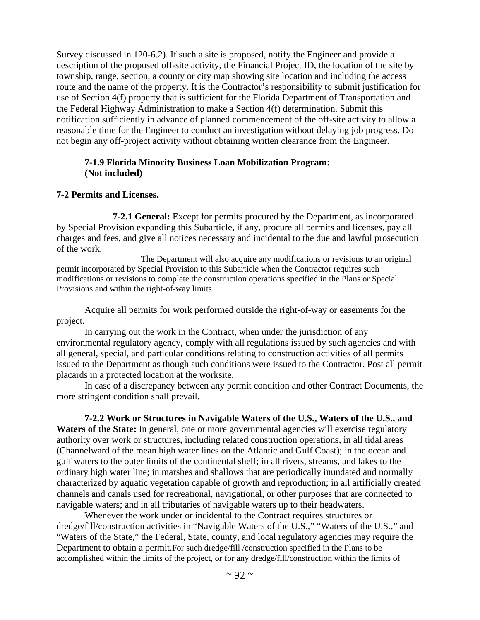Survey discussed in 120-6.2). If such a site is proposed, notify the Engineer and provide a description of the proposed off-site activity, the Financial Project ID, the location of the site by township, range, section, a county or city map showing site location and including the access route and the name of the property. It is the Contractor's responsibility to submit justification for use of Section 4(f) property that is sufficient for the Florida Department of Transportation and the Federal Highway Administration to make a Section 4(f) determination. Submit this notification sufficiently in advance of planned commencement of the off-site activity to allow a reasonable time for the Engineer to conduct an investigation without delaying job progress. Do not begin any off-project activity without obtaining written clearance from the Engineer.

#### **7-1.9 Florida Minority Business Loan Mobilization Program: (Not included)**

#### **7-2 Permits and Licenses.**

**7-2.1 General:** Except for permits procured by the Department, as incorporated by Special Provision expanding this Subarticle, if any, procure all permits and licenses, pay all charges and fees, and give all notices necessary and incidental to the due and lawful prosecution of the work.

The Department will also acquire any modifications or revisions to an original permit incorporated by Special Provision to this Subarticle when the Contractor requires such modifications or revisions to complete the construction operations specified in the Plans or Special Provisions and within the right-of-way limits.

Acquire all permits for work performed outside the right-of-way or easements for the project.

In carrying out the work in the Contract, when under the jurisdiction of any environmental regulatory agency, comply with all regulations issued by such agencies and with all general, special, and particular conditions relating to construction activities of all permits issued to the Department as though such conditions were issued to the Contractor. Post all permit placards in a protected location at the worksite.

In case of a discrepancy between any permit condition and other Contract Documents, the more stringent condition shall prevail.

**7-2.2 Work or Structures in Navigable Waters of the U.S., Waters of the U.S., and**  Waters of the State: In general, one or more governmental agencies will exercise regulatory authority over work or structures, including related construction operations, in all tidal areas (Channelward of the mean high water lines on the Atlantic and Gulf Coast); in the ocean and gulf waters to the outer limits of the continental shelf; in all rivers, streams, and lakes to the ordinary high water line; in marshes and shallows that are periodically inundated and normally characterized by aquatic vegetation capable of growth and reproduction; in all artificially created channels and canals used for recreational, navigational, or other purposes that are connected to navigable waters; and in all tributaries of navigable waters up to their headwaters.

Whenever the work under or incidental to the Contract requires structures or dredge/fill/construction activities in "Navigable Waters of the U.S.," "Waters of the U.S.," and "Waters of the State," the Federal, State, county, and local regulatory agencies may require the Department to obtain a permit.For such dredge/fill /construction specified in the Plans to be accomplished within the limits of the project, or for any dredge/fill/construction within the limits of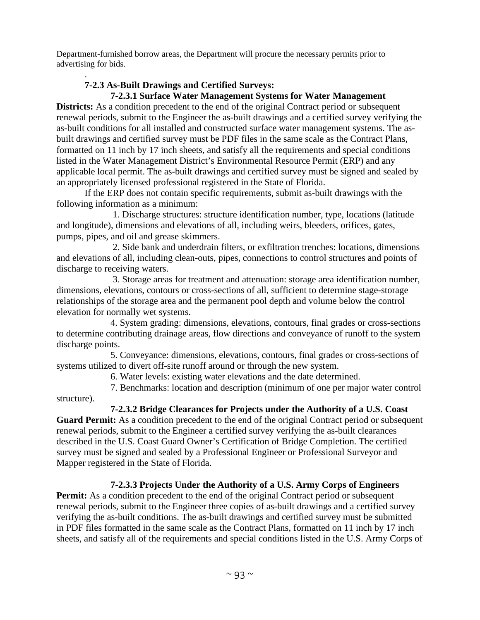Department-furnished borrow areas, the Department will procure the necessary permits prior to advertising for bids.

#### . **7-2.3 As-Built Drawings and Certified Surveys:**

# **7-2.3.1 Surface Water Management Systems for Water Management**

**Districts:** As a condition precedent to the end of the original Contract period or subsequent renewal periods, submit to the Engineer the as-built drawings and a certified survey verifying the as-built conditions for all installed and constructed surface water management systems. The asbuilt drawings and certified survey must be PDF files in the same scale as the Contract Plans, formatted on 11 inch by 17 inch sheets, and satisfy all the requirements and special conditions listed in the Water Management District's Environmental Resource Permit (ERP) and any applicable local permit. The as-built drawings and certified survey must be signed and sealed by an appropriately licensed professional registered in the State of Florida.

If the ERP does not contain specific requirements, submit as-built drawings with the following information as a minimum:

 1. Discharge structures: structure identification number, type, locations (latitude and longitude), dimensions and elevations of all, including weirs, bleeders, orifices, gates, pumps, pipes, and oil and grease skimmers.

 2. Side bank and underdrain filters, or exfiltration trenches: locations, dimensions and elevations of all, including clean-outs, pipes, connections to control structures and points of discharge to receiving waters.

 3. Storage areas for treatment and attenuation: storage area identification number, dimensions, elevations, contours or cross-sections of all, sufficient to determine stage-storage relationships of the storage area and the permanent pool depth and volume below the control elevation for normally wet systems.

 4. System grading: dimensions, elevations, contours, final grades or cross-sections to determine contributing drainage areas, flow directions and conveyance of runoff to the system discharge points.

 5. Conveyance: dimensions, elevations, contours, final grades or cross-sections of systems utilized to divert off-site runoff around or through the new system.

6. Water levels: existing water elevations and the date determined.

 7. Benchmarks: location and description (minimum of one per major water control structure).

# **7-2.3.2 Bridge Clearances for Projects under the Authority of a U.S. Coast**

**Guard Permit:** As a condition precedent to the end of the original Contract period or subsequent renewal periods, submit to the Engineer a certified survey verifying the as-built clearances described in the U.S. Coast Guard Owner's Certification of Bridge Completion. The certified survey must be signed and sealed by a Professional Engineer or Professional Surveyor and Mapper registered in the State of Florida.

# **7-2.3.3 Projects Under the Authority of a U.S. Army Corps of Engineers**

**Permit:** As a condition precedent to the end of the original Contract period or subsequent renewal periods, submit to the Engineer three copies of as-built drawings and a certified survey verifying the as-built conditions. The as-built drawings and certified survey must be submitted in PDF files formatted in the same scale as the Contract Plans, formatted on 11 inch by 17 inch sheets, and satisfy all of the requirements and special conditions listed in the U.S. Army Corps of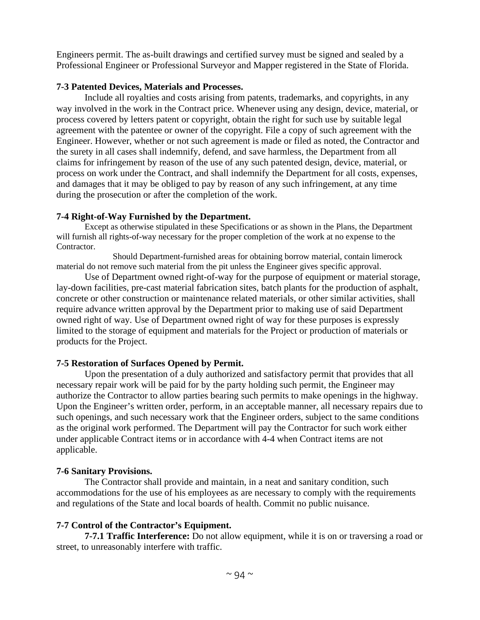Engineers permit. The as-built drawings and certified survey must be signed and sealed by a Professional Engineer or Professional Surveyor and Mapper registered in the State of Florida.

## **7-3 Patented Devices, Materials and Processes.**

Include all royalties and costs arising from patents, trademarks, and copyrights, in any way involved in the work in the Contract price. Whenever using any design, device, material, or process covered by letters patent or copyright, obtain the right for such use by suitable legal agreement with the patentee or owner of the copyright. File a copy of such agreement with the Engineer. However, whether or not such agreement is made or filed as noted, the Contractor and the surety in all cases shall indemnify, defend, and save harmless, the Department from all claims for infringement by reason of the use of any such patented design, device, material, or process on work under the Contract, and shall indemnify the Department for all costs, expenses, and damages that it may be obliged to pay by reason of any such infringement, at any time during the prosecution or after the completion of the work.

# **7-4 Right-of-Way Furnished by the Department.**

Except as otherwise stipulated in these Specifications or as shown in the Plans, the Department will furnish all rights-of-way necessary for the proper completion of the work at no expense to the Contractor.

Should Department-furnished areas for obtaining borrow material, contain limerock material do not remove such material from the pit unless the Engineer gives specific approval.

Use of Department owned right-of-way for the purpose of equipment or material storage, lay-down facilities, pre-cast material fabrication sites, batch plants for the production of asphalt, concrete or other construction or maintenance related materials, or other similar activities, shall require advance written approval by the Department prior to making use of said Department owned right of way. Use of Department owned right of way for these purposes is expressly limited to the storage of equipment and materials for the Project or production of materials or products for the Project.

# **7-5 Restoration of Surfaces Opened by Permit.**

Upon the presentation of a duly authorized and satisfactory permit that provides that all necessary repair work will be paid for by the party holding such permit, the Engineer may authorize the Contractor to allow parties bearing such permits to make openings in the highway. Upon the Engineer's written order, perform, in an acceptable manner, all necessary repairs due to such openings, and such necessary work that the Engineer orders, subject to the same conditions as the original work performed. The Department will pay the Contractor for such work either under applicable Contract items or in accordance with 4-4 when Contract items are not applicable.

# **7-6 Sanitary Provisions.**

The Contractor shall provide and maintain, in a neat and sanitary condition, such accommodations for the use of his employees as are necessary to comply with the requirements and regulations of the State and local boards of health. Commit no public nuisance.

# **7-7 Control of the Contractor's Equipment.**

**7-7.1 Traffic Interference:** Do not allow equipment, while it is on or traversing a road or street, to unreasonably interfere with traffic.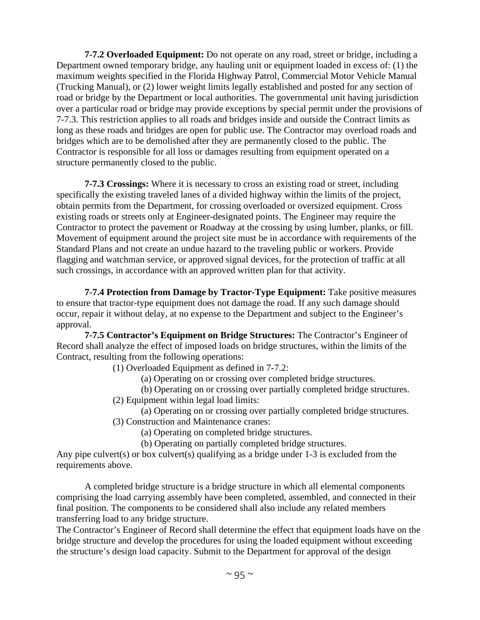**7-7.2 Overloaded Equipment:** Do not operate on any road, street or bridge, including a Department owned temporary bridge, any hauling unit or equipment loaded in excess of: (1) the maximum weights specified in the Florida Highway Patrol, Commercial Motor Vehicle Manual (Trucking Manual), or (2) lower weight limits legally established and posted for any section of road or bridge by the Department or local authorities. The governmental unit having jurisdiction over a particular road or bridge may provide exceptions by special permit under the provisions of 7-7.3. This restriction applies to all roads and bridges inside and outside the Contract limits as long as these roads and bridges are open for public use. The Contractor may overload roads and bridges which are to be demolished after they are permanently closed to the public. The Contractor is responsible for all loss or damages resulting from equipment operated on a structure permanently closed to the public.

**7-7.3 Crossings:** Where it is necessary to cross an existing road or street, including specifically the existing traveled lanes of a divided highway within the limits of the project, obtain permits from the Department, for crossing overloaded or oversized equipment. Cross existing roads or streets only at Engineer-designated points. The Engineer may require the Contractor to protect the pavement or Roadway at the crossing by using lumber, planks, or fill. Movement of equipment around the project site must be in accordance with requirements of the Standard Plans and not create an undue hazard to the traveling public or workers. Provide flagging and watchman service, or approved signal devices, for the protection of traffic at all such crossings, in accordance with an approved written plan for that activity.

**7-7.4 Protection from Damage by Tractor-Type Equipment:** Take positive measures to ensure that tractor-type equipment does not damage the road. If any such damage should occur, repair it without delay, at no expense to the Department and subject to the Engineer's approval.

**7-7.5 Contractor's Equipment on Bridge Structures:** The Contractor's Engineer of Record shall analyze the effect of imposed loads on bridge structures, within the limits of the Contract, resulting from the following operations:

(1) Overloaded Equipment as defined in 7-7.2:

- (a) Operating on or crossing over completed bridge structures.
- (b) Operating on or crossing over partially completed bridge structures.
- (2) Equipment within legal load limits:

(a) Operating on or crossing over partially completed bridge structures.

(3) Construction and Maintenance cranes:

(a) Operating on completed bridge structures.

(b) Operating on partially completed bridge structures.

Any pipe culvert(s) or box culvert(s) qualifying as a bridge under 1-3 is excluded from the requirements above.

A completed bridge structure is a bridge structure in which all elemental components comprising the load carrying assembly have been completed, assembled, and connected in their final position. The components to be considered shall also include any related members transferring load to any bridge structure.

The Contractor's Engineer of Record shall determine the effect that equipment loads have on the bridge structure and develop the procedures for using the loaded equipment without exceeding the structure's design load capacity. Submit to the Department for approval of the design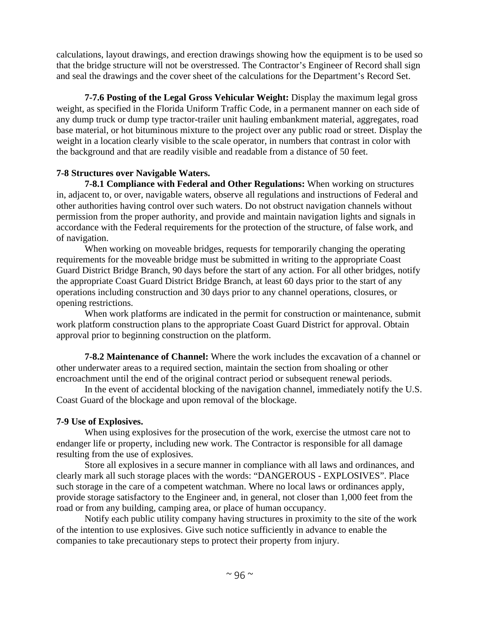calculations, layout drawings, and erection drawings showing how the equipment is to be used so that the bridge structure will not be overstressed. The Contractor's Engineer of Record shall sign and seal the drawings and the cover sheet of the calculations for the Department's Record Set.

**7-7.6 Posting of the Legal Gross Vehicular Weight:** Display the maximum legal gross weight, as specified in the Florida Uniform Traffic Code, in a permanent manner on each side of any dump truck or dump type tractor-trailer unit hauling embankment material, aggregates, road base material, or hot bituminous mixture to the project over any public road or street. Display the weight in a location clearly visible to the scale operator, in numbers that contrast in color with the background and that are readily visible and readable from a distance of 50 feet.

## **7-8 Structures over Navigable Waters.**

**7-8.1 Compliance with Federal and Other Regulations:** When working on structures in, adjacent to, or over, navigable waters, observe all regulations and instructions of Federal and other authorities having control over such waters. Do not obstruct navigation channels without permission from the proper authority, and provide and maintain navigation lights and signals in accordance with the Federal requirements for the protection of the structure, of false work, and of navigation.

When working on moveable bridges, requests for temporarily changing the operating requirements for the moveable bridge must be submitted in writing to the appropriate Coast Guard District Bridge Branch, 90 days before the start of any action. For all other bridges, notify the appropriate Coast Guard District Bridge Branch, at least 60 days prior to the start of any operations including construction and 30 days prior to any channel operations, closures, or opening restrictions.

When work platforms are indicated in the permit for construction or maintenance, submit work platform construction plans to the appropriate Coast Guard District for approval. Obtain approval prior to beginning construction on the platform.

**7-8.2 Maintenance of Channel:** Where the work includes the excavation of a channel or other underwater areas to a required section, maintain the section from shoaling or other encroachment until the end of the original contract period or subsequent renewal periods.

 In the event of accidental blocking of the navigation channel, immediately notify the U.S. Coast Guard of the blockage and upon removal of the blockage.

# **7-9 Use of Explosives.**

When using explosives for the prosecution of the work, exercise the utmost care not to endanger life or property, including new work. The Contractor is responsible for all damage resulting from the use of explosives.

Store all explosives in a secure manner in compliance with all laws and ordinances, and clearly mark all such storage places with the words: "DANGEROUS - EXPLOSIVES". Place such storage in the care of a competent watchman. Where no local laws or ordinances apply, provide storage satisfactory to the Engineer and, in general, not closer than 1,000 feet from the road or from any building, camping area, or place of human occupancy.

Notify each public utility company having structures in proximity to the site of the work of the intention to use explosives. Give such notice sufficiently in advance to enable the companies to take precautionary steps to protect their property from injury.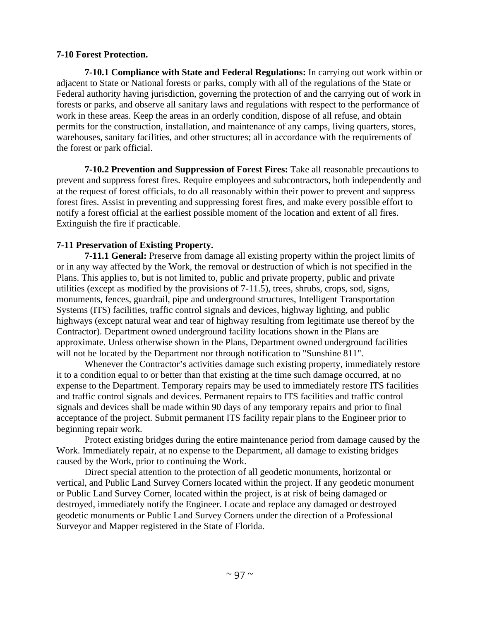## **7-10 Forest Protection.**

**7-10.1 Compliance with State and Federal Regulations:** In carrying out work within or adjacent to State or National forests or parks, comply with all of the regulations of the State or Federal authority having jurisdiction, governing the protection of and the carrying out of work in forests or parks, and observe all sanitary laws and regulations with respect to the performance of work in these areas. Keep the areas in an orderly condition, dispose of all refuse, and obtain permits for the construction, installation, and maintenance of any camps, living quarters, stores, warehouses, sanitary facilities, and other structures; all in accordance with the requirements of the forest or park official.

**7-10.2 Prevention and Suppression of Forest Fires:** Take all reasonable precautions to prevent and suppress forest fires. Require employees and subcontractors, both independently and at the request of forest officials, to do all reasonably within their power to prevent and suppress forest fires. Assist in preventing and suppressing forest fires, and make every possible effort to notify a forest official at the earliest possible moment of the location and extent of all fires. Extinguish the fire if practicable.

# **7-11 Preservation of Existing Property.**

**7-11.1 General:** Preserve from damage all existing property within the project limits of or in any way affected by the Work, the removal or destruction of which is not specified in the Plans. This applies to, but is not limited to, public and private property, public and private utilities (except as modified by the provisions of 7-11.5), trees, shrubs, crops, sod, signs, monuments, fences, guardrail, pipe and underground structures, Intelligent Transportation Systems (ITS) facilities, traffic control signals and devices, highway lighting, and public highways (except natural wear and tear of highway resulting from legitimate use thereof by the Contractor). Department owned underground facility locations shown in the Plans are approximate. Unless otherwise shown in the Plans, Department owned underground facilities will not be located by the Department nor through notification to "Sunshine 811".

Whenever the Contractor's activities damage such existing property, immediately restore it to a condition equal to or better than that existing at the time such damage occurred, at no expense to the Department. Temporary repairs may be used to immediately restore ITS facilities and traffic control signals and devices. Permanent repairs to ITS facilities and traffic control signals and devices shall be made within 90 days of any temporary repairs and prior to final acceptance of the project. Submit permanent ITS facility repair plans to the Engineer prior to beginning repair work.

Protect existing bridges during the entire maintenance period from damage caused by the Work. Immediately repair, at no expense to the Department, all damage to existing bridges caused by the Work, prior to continuing the Work.

Direct special attention to the protection of all geodetic monuments, horizontal or vertical, and Public Land Survey Corners located within the project. If any geodetic monument or Public Land Survey Corner, located within the project, is at risk of being damaged or destroyed, immediately notify the Engineer. Locate and replace any damaged or destroyed geodetic monuments or Public Land Survey Corners under the direction of a Professional Surveyor and Mapper registered in the State of Florida.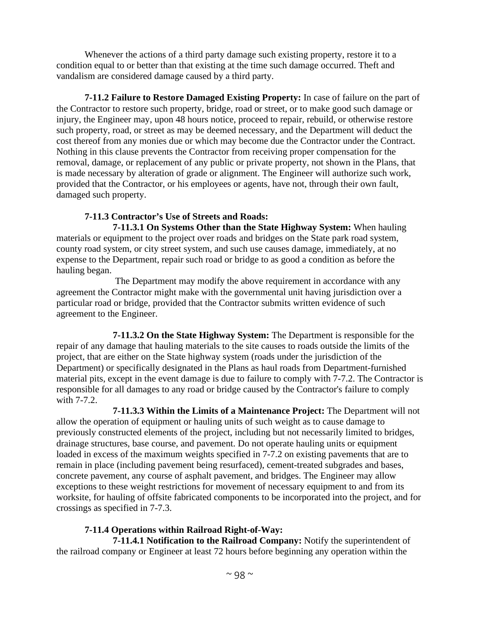Whenever the actions of a third party damage such existing property, restore it to a condition equal to or better than that existing at the time such damage occurred. Theft and vandalism are considered damage caused by a third party.

**7-11.2 Failure to Restore Damaged Existing Property:** In case of failure on the part of the Contractor to restore such property, bridge, road or street, or to make good such damage or injury, the Engineer may, upon 48 hours notice, proceed to repair, rebuild, or otherwise restore such property, road, or street as may be deemed necessary, and the Department will deduct the cost thereof from any monies due or which may become due the Contractor under the Contract. Nothing in this clause prevents the Contractor from receiving proper compensation for the removal, damage, or replacement of any public or private property, not shown in the Plans, that is made necessary by alteration of grade or alignment. The Engineer will authorize such work, provided that the Contractor, or his employees or agents, have not, through their own fault, damaged such property.

# **7-11.3 Contractor's Use of Streets and Roads:**

 **7-11.3.1 On Systems Other than the State Highway System:** When hauling materials or equipment to the project over roads and bridges on the State park road system, county road system, or city street system, and such use causes damage, immediately, at no expense to the Department, repair such road or bridge to as good a condition as before the hauling began.

 The Department may modify the above requirement in accordance with any agreement the Contractor might make with the governmental unit having jurisdiction over a particular road or bridge, provided that the Contractor submits written evidence of such agreement to the Engineer.

 **7-11.3.2 On the State Highway System:** The Department is responsible for the repair of any damage that hauling materials to the site causes to roads outside the limits of the project, that are either on the State highway system (roads under the jurisdiction of the Department) or specifically designated in the Plans as haul roads from Department-furnished material pits, except in the event damage is due to failure to comply with 7-7.2. The Contractor is responsible for all damages to any road or bridge caused by the Contractor's failure to comply with 7-7.2.

 **7-11.3.3 Within the Limits of a Maintenance Project:** The Department will not allow the operation of equipment or hauling units of such weight as to cause damage to previously constructed elements of the project, including but not necessarily limited to bridges, drainage structures, base course, and pavement. Do not operate hauling units or equipment loaded in excess of the maximum weights specified in 7-7.2 on existing pavements that are to remain in place (including pavement being resurfaced), cement-treated subgrades and bases, concrete pavement, any course of asphalt pavement, and bridges. The Engineer may allow exceptions to these weight restrictions for movement of necessary equipment to and from its worksite, for hauling of offsite fabricated components to be incorporated into the project, and for crossings as specified in 7-7.3.

# **7-11.4 Operations within Railroad Right-of-Way:**

 **7-11.4.1 Notification to the Railroad Company:** Notify the superintendent of the railroad company or Engineer at least 72 hours before beginning any operation within the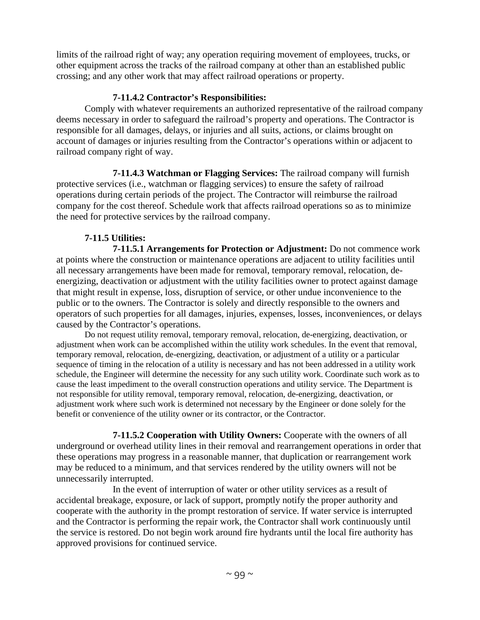limits of the railroad right of way; any operation requiring movement of employees, trucks, or other equipment across the tracks of the railroad company at other than an established public crossing; and any other work that may affect railroad operations or property.

## **7-11.4.2 Contractor's Responsibilities:**

Comply with whatever requirements an authorized representative of the railroad company deems necessary in order to safeguard the railroad's property and operations. The Contractor is responsible for all damages, delays, or injuries and all suits, actions, or claims brought on account of damages or injuries resulting from the Contractor's operations within or adjacent to railroad company right of way.

 **7-11.4.3 Watchman or Flagging Services:** The railroad company will furnish protective services (i.e., watchman or flagging services) to ensure the safety of railroad operations during certain periods of the project. The Contractor will reimburse the railroad company for the cost thereof. Schedule work that affects railroad operations so as to minimize the need for protective services by the railroad company.

# **7-11.5 Utilities:**

 **7-11.5.1 Arrangements for Protection or Adjustment:** Do not commence work at points where the construction or maintenance operations are adjacent to utility facilities until all necessary arrangements have been made for removal, temporary removal, relocation, deenergizing, deactivation or adjustment with the utility facilities owner to protect against damage that might result in expense, loss, disruption of service, or other undue inconvenience to the public or to the owners. The Contractor is solely and directly responsible to the owners and operators of such properties for all damages, injuries, expenses, losses, inconveniences, or delays caused by the Contractor's operations.

Do not request utility removal, temporary removal, relocation, de-energizing, deactivation, or adjustment when work can be accomplished within the utility work schedules. In the event that removal, temporary removal, relocation, de-energizing, deactivation, or adjustment of a utility or a particular sequence of timing in the relocation of a utility is necessary and has not been addressed in a utility work schedule, the Engineer will determine the necessity for any such utility work. Coordinate such work as to cause the least impediment to the overall construction operations and utility service. The Department is not responsible for utility removal, temporary removal, relocation, de-energizing, deactivation, or adjustment work where such work is determined not necessary by the Engineer or done solely for the benefit or convenience of the utility owner or its contractor, or the Contractor.

 **7-11.5.2 Cooperation with Utility Owners:** Cooperate with the owners of all underground or overhead utility lines in their removal and rearrangement operations in order that these operations may progress in a reasonable manner, that duplication or rearrangement work may be reduced to a minimum, and that services rendered by the utility owners will not be unnecessarily interrupted.

 In the event of interruption of water or other utility services as a result of accidental breakage, exposure, or lack of support, promptly notify the proper authority and cooperate with the authority in the prompt restoration of service. If water service is interrupted and the Contractor is performing the repair work, the Contractor shall work continuously until the service is restored. Do not begin work around fire hydrants until the local fire authority has approved provisions for continued service.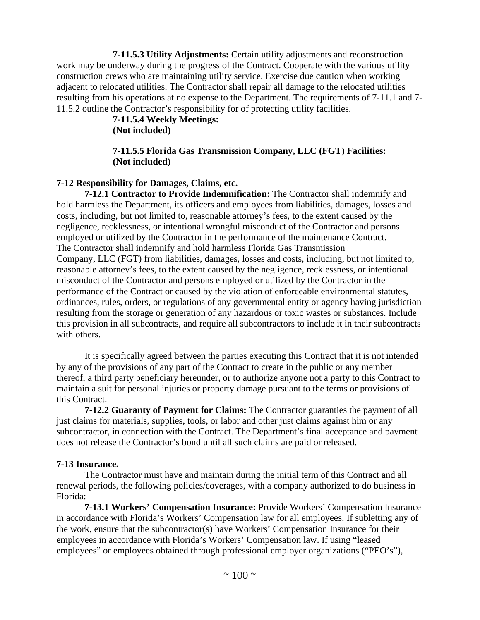**7-11.5.3 Utility Adjustments:** Certain utility adjustments and reconstruction work may be underway during the progress of the Contract. Cooperate with the various utility construction crews who are maintaining utility service. Exercise due caution when working adjacent to relocated utilities. The Contractor shall repair all damage to the relocated utilities resulting from his operations at no expense to the Department. The requirements of 7-11.1 and 7- 11.5.2 outline the Contractor's responsibility for of protecting utility facilities.

**7-11.5.4 Weekly Meetings: (Not included)** 

**7-11.5.5 Florida Gas Transmission Company, LLC (FGT) Facilities: (Not included)** 

## **7-12 Responsibility for Damages, Claims, etc.**

**7-12.1 Contractor to Provide Indemnification:** The Contractor shall indemnify and hold harmless the Department, its officers and employees from liabilities, damages, losses and costs, including, but not limited to, reasonable attorney's fees, to the extent caused by the negligence, recklessness, or intentional wrongful misconduct of the Contractor and persons employed or utilized by the Contractor in the performance of the maintenance Contract. The Contractor shall indemnify and hold harmless Florida Gas Transmission Company, LLC (FGT) from liabilities, damages, losses and costs, including, but not limited to, reasonable attorney's fees, to the extent caused by the negligence, recklessness, or intentional misconduct of the Contractor and persons employed or utilized by the Contractor in the performance of the Contract or caused by the violation of enforceable environmental statutes, ordinances, rules, orders, or regulations of any governmental entity or agency having jurisdiction resulting from the storage or generation of any hazardous or toxic wastes or substances. Include this provision in all subcontracts, and require all subcontractors to include it in their subcontracts with others.

It is specifically agreed between the parties executing this Contract that it is not intended by any of the provisions of any part of the Contract to create in the public or any member thereof, a third party beneficiary hereunder, or to authorize anyone not a party to this Contract to maintain a suit for personal injuries or property damage pursuant to the terms or provisions of this Contract.

**7-12.2 Guaranty of Payment for Claims:** The Contractor guaranties the payment of all just claims for materials, supplies, tools, or labor and other just claims against him or any subcontractor, in connection with the Contract. The Department's final acceptance and payment does not release the Contractor's bond until all such claims are paid or released.

#### **7-13 Insurance.**

The Contractor must have and maintain during the initial term of this Contract and all renewal periods, the following policies/coverages, with a company authorized to do business in Florida:

**7-13.1 Workers' Compensation Insurance:** Provide Workers' Compensation Insurance in accordance with Florida's Workers' Compensation law for all employees. If subletting any of the work, ensure that the subcontractor(s) have Workers' Compensation Insurance for their employees in accordance with Florida's Workers' Compensation law. If using "leased employees" or employees obtained through professional employer organizations ("PEO's"),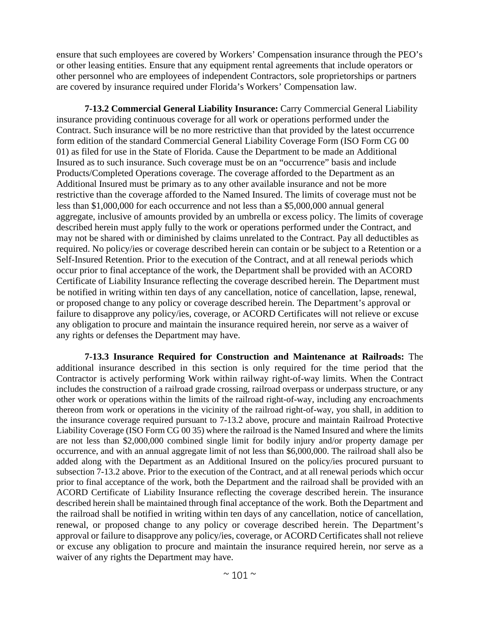ensure that such employees are covered by Workers' Compensation insurance through the PEO's or other leasing entities. Ensure that any equipment rental agreements that include operators or other personnel who are employees of independent Contractors, sole proprietorships or partners are covered by insurance required under Florida's Workers' Compensation law.

**7-13.2 Commercial General Liability Insurance:** Carry Commercial General Liability insurance providing continuous coverage for all work or operations performed under the Contract. Such insurance will be no more restrictive than that provided by the latest occurrence form edition of the standard Commercial General Liability Coverage Form (ISO Form CG 00 01) as filed for use in the State of Florida. Cause the Department to be made an Additional Insured as to such insurance. Such coverage must be on an "occurrence" basis and include Products/Completed Operations coverage. The coverage afforded to the Department as an Additional Insured must be primary as to any other available insurance and not be more restrictive than the coverage afforded to the Named Insured. The limits of coverage must not be less than \$1,000,000 for each occurrence and not less than a \$5,000,000 annual general aggregate, inclusive of amounts provided by an umbrella or excess policy. The limits of coverage described herein must apply fully to the work or operations performed under the Contract, and may not be shared with or diminished by claims unrelated to the Contract. Pay all deductibles as required. No policy/ies or coverage described herein can contain or be subject to a Retention or a Self-Insured Retention. Prior to the execution of the Contract, and at all renewal periods which occur prior to final acceptance of the work, the Department shall be provided with an ACORD Certificate of Liability Insurance reflecting the coverage described herein. The Department must be notified in writing within ten days of any cancellation, notice of cancellation, lapse, renewal, or proposed change to any policy or coverage described herein. The Department's approval or failure to disapprove any policy/ies, coverage, or ACORD Certificates will not relieve or excuse any obligation to procure and maintain the insurance required herein, nor serve as a waiver of any rights or defenses the Department may have.

**7-13.3 Insurance Required for Construction and Maintenance at Railroads:** The additional insurance described in this section is only required for the time period that the Contractor is actively performing Work within railway right-of-way limits. When the Contract includes the construction of a railroad grade crossing, railroad overpass or underpass structure, or any other work or operations within the limits of the railroad right-of-way, including any encroachments thereon from work or operations in the vicinity of the railroad right-of-way, you shall, in addition to the insurance coverage required pursuant to 7-13.2 above, procure and maintain Railroad Protective Liability Coverage (ISO Form CG 00 35) where the railroad is the Named Insured and where the limits are not less than \$2,000,000 combined single limit for bodily injury and/or property damage per occurrence, and with an annual aggregate limit of not less than \$6,000,000. The railroad shall also be added along with the Department as an Additional Insured on the policy/ies procured pursuant to subsection 7-13.2 above. Prior to the execution of the Contract, and at all renewal periods which occur prior to final acceptance of the work, both the Department and the railroad shall be provided with an ACORD Certificate of Liability Insurance reflecting the coverage described herein. The insurance described herein shall be maintained through final acceptance of the work. Both the Department and the railroad shall be notified in writing within ten days of any cancellation, notice of cancellation, renewal, or proposed change to any policy or coverage described herein. The Department's approval or failure to disapprove any policy/ies, coverage, or ACORD Certificates shall not relieve or excuse any obligation to procure and maintain the insurance required herein, nor serve as a waiver of any rights the Department may have.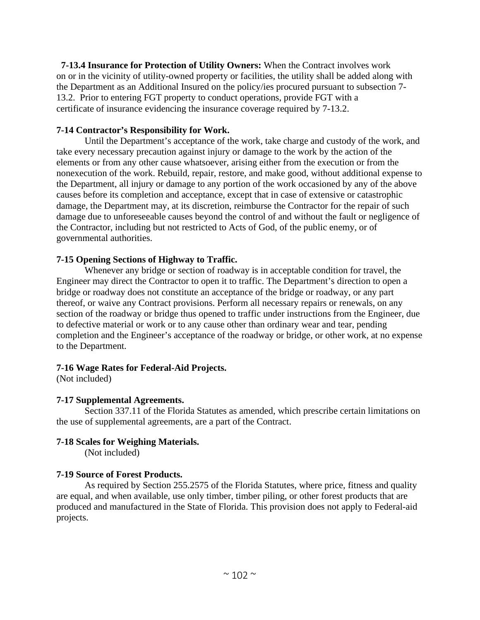**7-13.4 Insurance for Protection of Utility Owners:** When the Contract involves work on or in the vicinity of utility-owned property or facilities, the utility shall be added along with the Department as an Additional Insured on the policy/ies procured pursuant to subsection 7- 13.2. Prior to entering FGT property to conduct operations, provide FGT with a certificate of insurance evidencing the insurance coverage required by 7-13.2.

#### **7-14 Contractor's Responsibility for Work.**

Until the Department's acceptance of the work, take charge and custody of the work, and take every necessary precaution against injury or damage to the work by the action of the elements or from any other cause whatsoever, arising either from the execution or from the nonexecution of the work. Rebuild, repair, restore, and make good, without additional expense to the Department, all injury or damage to any portion of the work occasioned by any of the above causes before its completion and acceptance, except that in case of extensive or catastrophic damage, the Department may, at its discretion, reimburse the Contractor for the repair of such damage due to unforeseeable causes beyond the control of and without the fault or negligence of the Contractor, including but not restricted to Acts of God, of the public enemy, or of governmental authorities.

#### **7-15 Opening Sections of Highway to Traffic.**

Whenever any bridge or section of roadway is in acceptable condition for travel, the Engineer may direct the Contractor to open it to traffic. The Department's direction to open a bridge or roadway does not constitute an acceptance of the bridge or roadway, or any part thereof, or waive any Contract provisions. Perform all necessary repairs or renewals, on any section of the roadway or bridge thus opened to traffic under instructions from the Engineer, due to defective material or work or to any cause other than ordinary wear and tear, pending completion and the Engineer's acceptance of the roadway or bridge, or other work, at no expense to the Department.

## **7-16 Wage Rates for Federal-Aid Projects.**

(Not included)

## **7-17 Supplemental Agreements.**

Section 337.11 of the Florida Statutes as amended, which prescribe certain limitations on the use of supplemental agreements, are a part of the Contract.

## **7-18 Scales for Weighing Materials.**

(Not included)

## **7-19 Source of Forest Products.**

As required by Section 255.2575 of the Florida Statutes, where price, fitness and quality are equal, and when available, use only timber, timber piling, or other forest products that are produced and manufactured in the State of Florida. This provision does not apply to Federal-aid projects.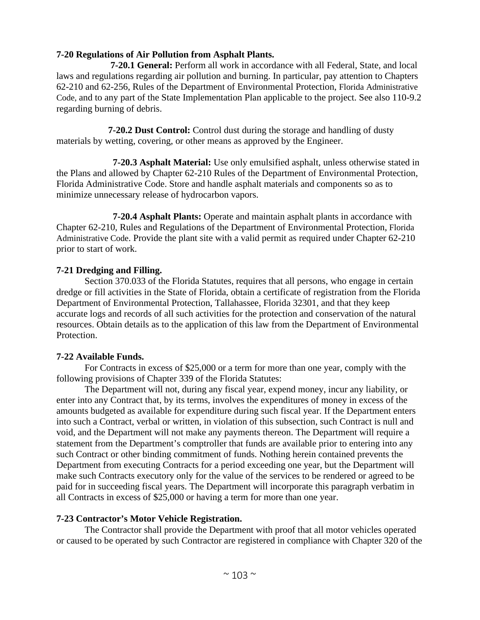# **7-20 Regulations of Air Pollution from Asphalt Plants.**

 **7-20.1 General:** Perform all work in accordance with all Federal, State, and local laws and regulations regarding air pollution and burning. In particular, pay attention to Chapters 62-210 and 62-256, Rules of the Department of Environmental Protection, Florida Administrative Code, and to any part of the State Implementation Plan applicable to the project. See also 110-9.2 regarding burning of debris.

**7-20.2 Dust Control:** Control dust during the storage and handling of dusty materials by wetting, covering, or other means as approved by the Engineer.

 **7-20.3 Asphalt Material:** Use only emulsified asphalt, unless otherwise stated in the Plans and allowed by Chapter 62-210 Rules of the Department of Environmental Protection, Florida Administrative Code. Store and handle asphalt materials and components so as to minimize unnecessary release of hydrocarbon vapors.

 **7-20.4 Asphalt Plants:** Operate and maintain asphalt plants in accordance with Chapter 62-210, Rules and Regulations of the Department of Environmental Protection, Florida Administrative Code. Provide the plant site with a valid permit as required under Chapter 62-210 prior to start of work.

## **7-21 Dredging and Filling.**

Section 370.033 of the Florida Statutes, requires that all persons, who engage in certain dredge or fill activities in the State of Florida, obtain a certificate of registration from the Florida Department of Environmental Protection, Tallahassee, Florida 32301, and that they keep accurate logs and records of all such activities for the protection and conservation of the natural resources. Obtain details as to the application of this law from the Department of Environmental Protection.

## **7-22 Available Funds.**

For Contracts in excess of \$25,000 or a term for more than one year, comply with the following provisions of Chapter 339 of the Florida Statutes:

The Department will not, during any fiscal year, expend money, incur any liability, or enter into any Contract that, by its terms, involves the expenditures of money in excess of the amounts budgeted as available for expenditure during such fiscal year. If the Department enters into such a Contract, verbal or written, in violation of this subsection, such Contract is null and void, and the Department will not make any payments thereon. The Department will require a statement from the Department's comptroller that funds are available prior to entering into any such Contract or other binding commitment of funds. Nothing herein contained prevents the Department from executing Contracts for a period exceeding one year, but the Department will make such Contracts executory only for the value of the services to be rendered or agreed to be paid for in succeeding fiscal years. The Department will incorporate this paragraph verbatim in all Contracts in excess of \$25,000 or having a term for more than one year.

## **7-23 Contractor's Motor Vehicle Registration.**

The Contractor shall provide the Department with proof that all motor vehicles operated or caused to be operated by such Contractor are registered in compliance with Chapter 320 of the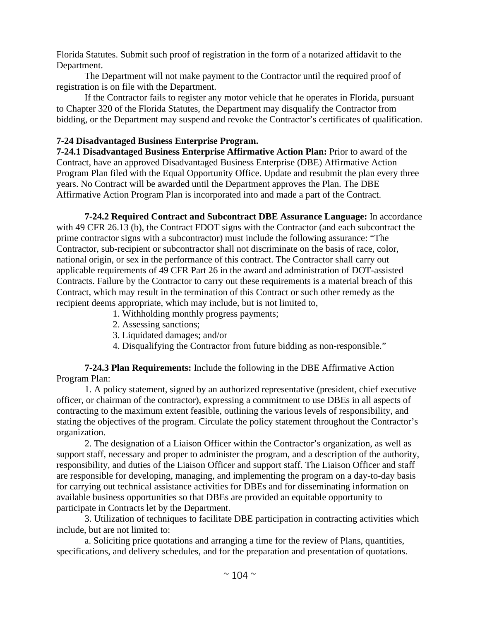Florida Statutes. Submit such proof of registration in the form of a notarized affidavit to the Department.

The Department will not make payment to the Contractor until the required proof of registration is on file with the Department.

If the Contractor fails to register any motor vehicle that he operates in Florida, pursuant to Chapter 320 of the Florida Statutes, the Department may disqualify the Contractor from bidding, or the Department may suspend and revoke the Contractor's certificates of qualification.

## **7-24 Disadvantaged Business Enterprise Program.**

**7-24.1 Disadvantaged Business Enterprise Affirmative Action Plan:** Prior to award of the Contract, have an approved Disadvantaged Business Enterprise (DBE) Affirmative Action Program Plan filed with the Equal Opportunity Office. Update and resubmit the plan every three years. No Contract will be awarded until the Department approves the Plan. The DBE Affirmative Action Program Plan is incorporated into and made a part of the Contract.

**7-24.2 Required Contract and Subcontract DBE Assurance Language:** In accordance with 49 CFR 26.13 (b), the Contract FDOT signs with the Contractor (and each subcontract the prime contractor signs with a subcontractor) must include the following assurance: "The Contractor, sub-recipient or subcontractor shall not discriminate on the basis of race, color, national origin, or sex in the performance of this contract. The Contractor shall carry out applicable requirements of 49 CFR Part 26 in the award and administration of DOT-assisted Contracts. Failure by the Contractor to carry out these requirements is a material breach of this Contract, which may result in the termination of this Contract or such other remedy as the recipient deems appropriate, which may include, but is not limited to,

- 1. Withholding monthly progress payments;
- 2. Assessing sanctions;
- 3. Liquidated damages; and/or
- 4. Disqualifying the Contractor from future bidding as non-responsible."

**7-24.3 Plan Requirements:** Include the following in the DBE Affirmative Action Program Plan:

1. A policy statement, signed by an authorized representative (president, chief executive officer, or chairman of the contractor), expressing a commitment to use DBEs in all aspects of contracting to the maximum extent feasible, outlining the various levels of responsibility, and stating the objectives of the program. Circulate the policy statement throughout the Contractor's organization.

2. The designation of a Liaison Officer within the Contractor's organization, as well as support staff, necessary and proper to administer the program, and a description of the authority, responsibility, and duties of the Liaison Officer and support staff. The Liaison Officer and staff are responsible for developing, managing, and implementing the program on a day-to-day basis for carrying out technical assistance activities for DBEs and for disseminating information on available business opportunities so that DBEs are provided an equitable opportunity to participate in Contracts let by the Department.

3. Utilization of techniques to facilitate DBE participation in contracting activities which include, but are not limited to:

a. Soliciting price quotations and arranging a time for the review of Plans, quantities, specifications, and delivery schedules, and for the preparation and presentation of quotations.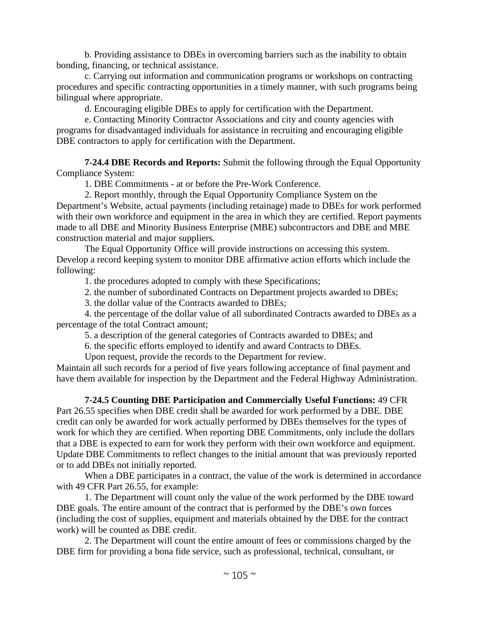b. Providing assistance to DBEs in overcoming barriers such as the inability to obtain bonding, financing, or technical assistance.

c. Carrying out information and communication programs or workshops on contracting procedures and specific contracting opportunities in a timely manner, with such programs being bilingual where appropriate.

d. Encouraging eligible DBEs to apply for certification with the Department.

e. Contacting Minority Contractor Associations and city and county agencies with programs for disadvantaged individuals for assistance in recruiting and encouraging eligible DBE contractors to apply for certification with the Department.

**7-24.4 DBE Records and Reports:** Submit the following through the Equal Opportunity Compliance System:

1. DBE Commitments - at or before the Pre-Work Conference.

2. Report monthly, through the Equal Opportunity Compliance System on the Department's Website, actual payments (including retainage) made to DBEs for work performed with their own workforce and equipment in the area in which they are certified. Report payments made to all DBE and Minority Business Enterprise (MBE) subcontractors and DBE and MBE construction material and major suppliers.

The Equal Opportunity Office will provide instructions on accessing this system. Develop a record keeping system to monitor DBE affirmative action efforts which include the following:

1. the procedures adopted to comply with these Specifications;

2. the number of subordinated Contracts on Department projects awarded to DBEs;

3. the dollar value of the Contracts awarded to DBEs;

4. the percentage of the dollar value of all subordinated Contracts awarded to DBEs as a percentage of the total Contract amount;

5. a description of the general categories of Contracts awarded to DBEs; and

6. the specific efforts employed to identify and award Contracts to DBEs.

Upon request, provide the records to the Department for review.

Maintain all such records for a period of five years following acceptance of final payment and have them available for inspection by the Department and the Federal Highway Administration.

**7-24.5 Counting DBE Participation and Commercially Useful Functions:** 49 CFR Part 26.55 specifies when DBE credit shall be awarded for work performed by a DBE. DBE credit can only be awarded for work actually performed by DBEs themselves for the types of work for which they are certified. When reporting DBE Commitments, only include the dollars that a DBE is expected to earn for work they perform with their own workforce and equipment. Update DBE Commitments to reflect changes to the initial amount that was previously reported or to add DBEs not initially reported.

When a DBE participates in a contract, the value of the work is determined in accordance with 49 CFR Part 26.55, for example:

1. The Department will count only the value of the work performed by the DBE toward DBE goals. The entire amount of the contract that is performed by the DBE's own forces (including the cost of supplies, equipment and materials obtained by the DBE for the contract work) will be counted as DBE credit.

2. The Department will count the entire amount of fees or commissions charged by the DBE firm for providing a bona fide service, such as professional, technical, consultant, or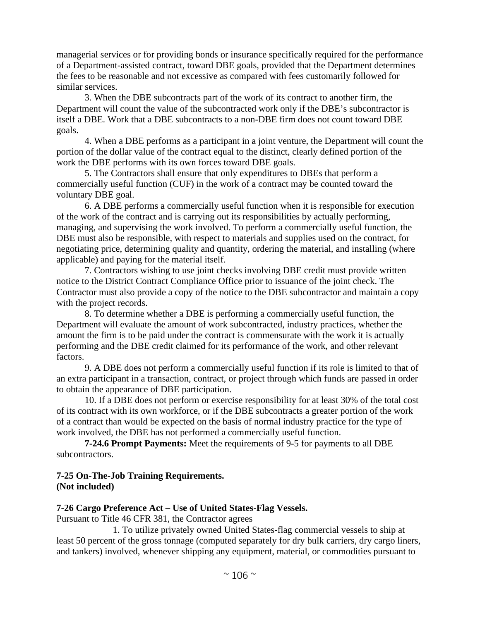managerial services or for providing bonds or insurance specifically required for the performance of a Department-assisted contract, toward DBE goals, provided that the Department determines the fees to be reasonable and not excessive as compared with fees customarily followed for similar services.

3. When the DBE subcontracts part of the work of its contract to another firm, the Department will count the value of the subcontracted work only if the DBE's subcontractor is itself a DBE. Work that a DBE subcontracts to a non-DBE firm does not count toward DBE goals.

4. When a DBE performs as a participant in a joint venture, the Department will count the portion of the dollar value of the contract equal to the distinct, clearly defined portion of the work the DBE performs with its own forces toward DBE goals.

5. The Contractors shall ensure that only expenditures to DBEs that perform a commercially useful function (CUF) in the work of a contract may be counted toward the voluntary DBE goal.

6. A DBE performs a commercially useful function when it is responsible for execution of the work of the contract and is carrying out its responsibilities by actually performing, managing, and supervising the work involved. To perform a commercially useful function, the DBE must also be responsible, with respect to materials and supplies used on the contract, for negotiating price, determining quality and quantity, ordering the material, and installing (where applicable) and paying for the material itself.

7. Contractors wishing to use joint checks involving DBE credit must provide written notice to the District Contract Compliance Office prior to issuance of the joint check. The Contractor must also provide a copy of the notice to the DBE subcontractor and maintain a copy with the project records.

8. To determine whether a DBE is performing a commercially useful function, the Department will evaluate the amount of work subcontracted, industry practices, whether the amount the firm is to be paid under the contract is commensurate with the work it is actually performing and the DBE credit claimed for its performance of the work, and other relevant factors.

9. A DBE does not perform a commercially useful function if its role is limited to that of an extra participant in a transaction, contract, or project through which funds are passed in order to obtain the appearance of DBE participation.

10. If a DBE does not perform or exercise responsibility for at least 30% of the total cost of its contract with its own workforce, or if the DBE subcontracts a greater portion of the work of a contract than would be expected on the basis of normal industry practice for the type of work involved, the DBE has not performed a commercially useful function.

**7-24.6 Prompt Payments:** Meet the requirements of 9-5 for payments to all DBE subcontractors.

# **7-25 On-The-Job Training Requirements. (Not included)**

# **7-26 Cargo Preference Act – Use of United States-Flag Vessels.**

Pursuant to Title 46 CFR 381, the Contractor agrees

1. To utilize privately owned United States-flag commercial vessels to ship at least 50 percent of the gross tonnage (computed separately for dry bulk carriers, dry cargo liners, and tankers) involved, whenever shipping any equipment, material, or commodities pursuant to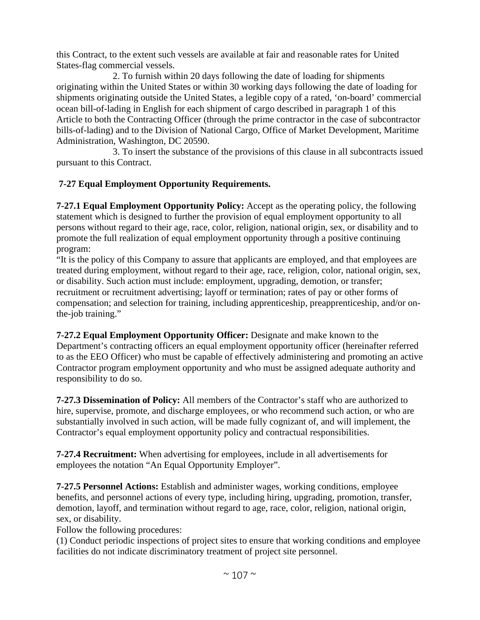this Contract, to the extent such vessels are available at fair and reasonable rates for United States-flag commercial vessels.

2. To furnish within 20 days following the date of loading for shipments originating within the United States or within 30 working days following the date of loading for shipments originating outside the United States, a legible copy of a rated, 'on-board' commercial ocean bill-of-lading in English for each shipment of cargo described in paragraph 1 of this Article to both the Contracting Officer (through the prime contractor in the case of subcontractor bills-of-lading) and to the Division of National Cargo, Office of Market Development, Maritime Administration, Washington, DC 20590.

3. To insert the substance of the provisions of this clause in all subcontracts issued pursuant to this Contract.

# **7-27 Equal Employment Opportunity Requirements.**

**7-27.1 Equal Employment Opportunity Policy:** Accept as the operating policy, the following statement which is designed to further the provision of equal employment opportunity to all persons without regard to their age, race, color, religion, national origin, sex, or disability and to promote the full realization of equal employment opportunity through a positive continuing program:

"It is the policy of this Company to assure that applicants are employed, and that employees are treated during employment, without regard to their age, race, religion, color, national origin, sex, or disability. Such action must include: employment, upgrading, demotion, or transfer; recruitment or recruitment advertising; layoff or termination; rates of pay or other forms of compensation; and selection for training, including apprenticeship, preapprenticeship, and/or onthe-job training."

**7-27.2 Equal Employment Opportunity Officer:** Designate and make known to the Department's contracting officers an equal employment opportunity officer (hereinafter referred to as the EEO Officer) who must be capable of effectively administering and promoting an active Contractor program employment opportunity and who must be assigned adequate authority and responsibility to do so.

**7-27.3 Dissemination of Policy:** All members of the Contractor's staff who are authorized to hire, supervise, promote, and discharge employees, or who recommend such action, or who are substantially involved in such action, will be made fully cognizant of, and will implement, the Contractor's equal employment opportunity policy and contractual responsibilities.

**7-27.4 Recruitment:** When advertising for employees, include in all advertisements for employees the notation "An Equal Opportunity Employer".

**7-27.5 Personnel Actions:** Establish and administer wages, working conditions, employee benefits, and personnel actions of every type, including hiring, upgrading, promotion, transfer, demotion, layoff, and termination without regard to age, race, color, religion, national origin, sex, or disability.

Follow the following procedures:

(1) Conduct periodic inspections of project sites to ensure that working conditions and employee facilities do not indicate discriminatory treatment of project site personnel.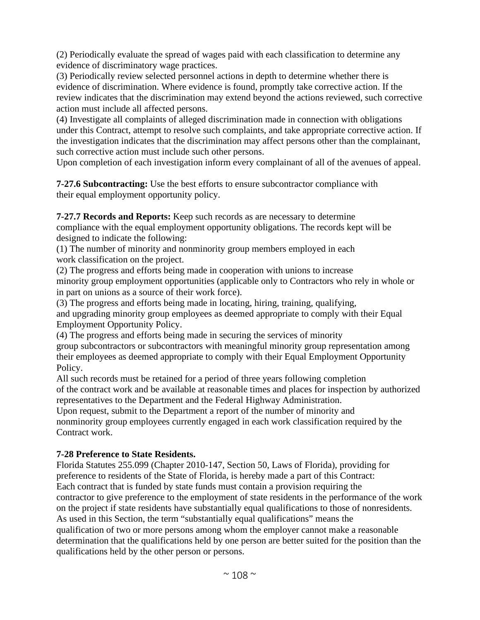(2) Periodically evaluate the spread of wages paid with each classification to determine any evidence of discriminatory wage practices.

(3) Periodically review selected personnel actions in depth to determine whether there is evidence of discrimination. Where evidence is found, promptly take corrective action. If the review indicates that the discrimination may extend beyond the actions reviewed, such corrective action must include all affected persons.

(4) Investigate all complaints of alleged discrimination made in connection with obligations under this Contract, attempt to resolve such complaints, and take appropriate corrective action. If the investigation indicates that the discrimination may affect persons other than the complainant, such corrective action must include such other persons.

Upon completion of each investigation inform every complainant of all of the avenues of appeal.

**7-27.6 Subcontracting:** Use the best efforts to ensure subcontractor compliance with their equal employment opportunity policy.

**7-27.7 Records and Reports:** Keep such records as are necessary to determine

compliance with the equal employment opportunity obligations. The records kept will be designed to indicate the following:

(1) The number of minority and nonminority group members employed in each work classification on the project.

(2) The progress and efforts being made in cooperation with unions to increase minority group employment opportunities (applicable only to Contractors who rely in whole or in part on unions as a source of their work force).

(3) The progress and efforts being made in locating, hiring, training, qualifying, and upgrading minority group employees as deemed appropriate to comply with their Equal Employment Opportunity Policy.

(4) The progress and efforts being made in securing the services of minority

group subcontractors or subcontractors with meaningful minority group representation among their employees as deemed appropriate to comply with their Equal Employment Opportunity Policy.

All such records must be retained for a period of three years following completion of the contract work and be available at reasonable times and places for inspection by authorized representatives to the Department and the Federal Highway Administration.

Upon request, submit to the Department a report of the number of minority and nonminority group employees currently engaged in each work classification required by the Contract work.

# **7-28 Preference to State Residents.**

Florida Statutes 255.099 (Chapter 2010-147, Section 50, Laws of Florida), providing for preference to residents of the State of Florida, is hereby made a part of this Contract: Each contract that is funded by state funds must contain a provision requiring the contractor to give preference to the employment of state residents in the performance of the work on the project if state residents have substantially equal qualifications to those of nonresidents. As used in this Section, the term "substantially equal qualifications" means the qualification of two or more persons among whom the employer cannot make a reasonable determination that the qualifications held by one person are better suited for the position than the qualifications held by the other person or persons.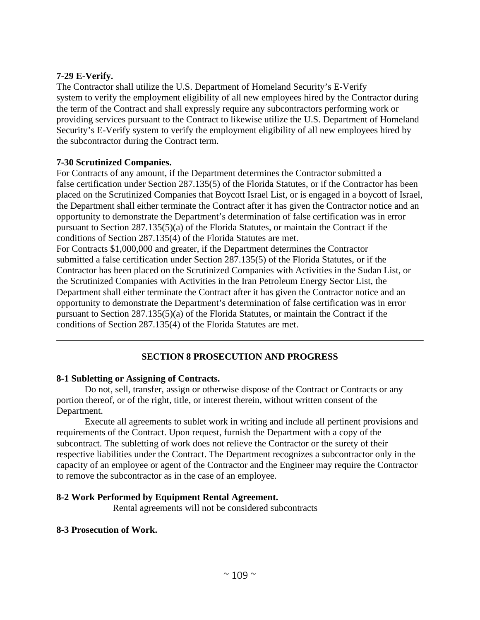## **7-29 E-Verify.**

The Contractor shall utilize the U.S. Department of Homeland Security's E-Verify system to verify the employment eligibility of all new employees hired by the Contractor during the term of the Contract and shall expressly require any subcontractors performing work or providing services pursuant to the Contract to likewise utilize the U.S. Department of Homeland Security's E-Verify system to verify the employment eligibility of all new employees hired by the subcontractor during the Contract term.

# **7-30 Scrutinized Companies.**

For Contracts of any amount, if the Department determines the Contractor submitted a false certification under Section 287.135(5) of the Florida Statutes, or if the Contractor has been placed on the Scrutinized Companies that Boycott Israel List, or is engaged in a boycott of Israel, the Department shall either terminate the Contract after it has given the Contractor notice and an opportunity to demonstrate the Department's determination of false certification was in error pursuant to Section 287.135(5)(a) of the Florida Statutes, or maintain the Contract if the conditions of Section 287.135(4) of the Florida Statutes are met. For Contracts \$1,000,000 and greater, if the Department determines the Contractor submitted a false certification under Section 287.135(5) of the Florida Statutes, or if the Contractor has been placed on the Scrutinized Companies with Activities in the Sudan List, or

the Scrutinized Companies with Activities in the Iran Petroleum Energy Sector List, the Department shall either terminate the Contract after it has given the Contractor notice and an opportunity to demonstrate the Department's determination of false certification was in error pursuant to Section 287.135(5)(a) of the Florida Statutes, or maintain the Contract if the conditions of Section 287.135(4) of the Florida Statutes are met.

# **SECTION 8 PROSECUTION AND PROGRESS**

## **8-1 Subletting or Assigning of Contracts.**

Do not, sell, transfer, assign or otherwise dispose of the Contract or Contracts or any portion thereof, or of the right, title, or interest therein, without written consent of the Department.

Execute all agreements to sublet work in writing and include all pertinent provisions and requirements of the Contract. Upon request, furnish the Department with a copy of the subcontract. The subletting of work does not relieve the Contractor or the surety of their respective liabilities under the Contract. The Department recognizes a subcontractor only in the capacity of an employee or agent of the Contractor and the Engineer may require the Contractor to remove the subcontractor as in the case of an employee.

## **8-2 Work Performed by Equipment Rental Agreement.**

Rental agreements will not be considered subcontracts

## **8-3 Prosecution of Work.**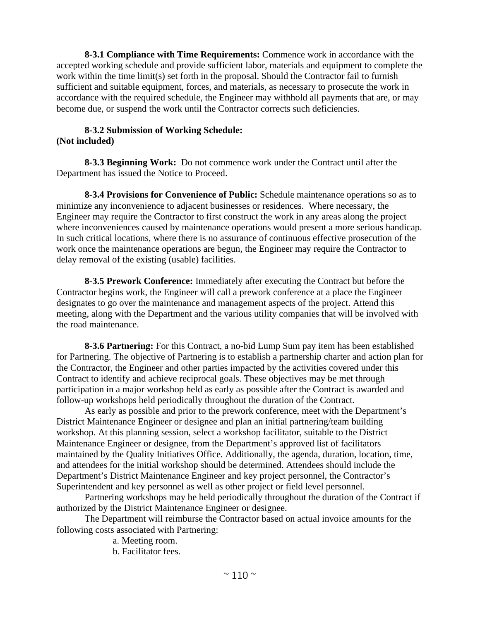**8-3.1 Compliance with Time Requirements:** Commence work in accordance with the accepted working schedule and provide sufficient labor, materials and equipment to complete the work within the time limit(s) set forth in the proposal. Should the Contractor fail to furnish sufficient and suitable equipment, forces, and materials, as necessary to prosecute the work in accordance with the required schedule, the Engineer may withhold all payments that are, or may become due, or suspend the work until the Contractor corrects such deficiencies.

### **8-3.2 Submission of Working Schedule: (Not included)**

**8-3.3 Beginning Work:** Do not commence work under the Contract until after the Department has issued the Notice to Proceed.

**8-3.4 Provisions for Convenience of Public:** Schedule maintenance operations so as to minimize any inconvenience to adjacent businesses or residences. Where necessary, the Engineer may require the Contractor to first construct the work in any areas along the project where inconveniences caused by maintenance operations would present a more serious handicap. In such critical locations, where there is no assurance of continuous effective prosecution of the work once the maintenance operations are begun, the Engineer may require the Contractor to delay removal of the existing (usable) facilities.

**8-3.5 Prework Conference:** Immediately after executing the Contract but before the Contractor begins work, the Engineer will call a prework conference at a place the Engineer designates to go over the maintenance and management aspects of the project. Attend this meeting, along with the Department and the various utility companies that will be involved with the road maintenance.

**8-3.6 Partnering:** For this Contract, a no-bid Lump Sum pay item has been established for Partnering. The objective of Partnering is to establish a partnership charter and action plan for the Contractor, the Engineer and other parties impacted by the activities covered under this Contract to identify and achieve reciprocal goals. These objectives may be met through participation in a major workshop held as early as possible after the Contract is awarded and follow-up workshops held periodically throughout the duration of the Contract.

As early as possible and prior to the prework conference, meet with the Department's District Maintenance Engineer or designee and plan an initial partnering/team building workshop. At this planning session, select a workshop facilitator, suitable to the District Maintenance Engineer or designee, from the Department's approved list of facilitators maintained by the Quality Initiatives Office. Additionally, the agenda, duration, location, time, and attendees for the initial workshop should be determined. Attendees should include the Department's District Maintenance Engineer and key project personnel, the Contractor's Superintendent and key personnel as well as other project or field level personnel.

Partnering workshops may be held periodically throughout the duration of the Contract if authorized by the District Maintenance Engineer or designee.

The Department will reimburse the Contractor based on actual invoice amounts for the following costs associated with Partnering:

a. Meeting room.

b. Facilitator fees.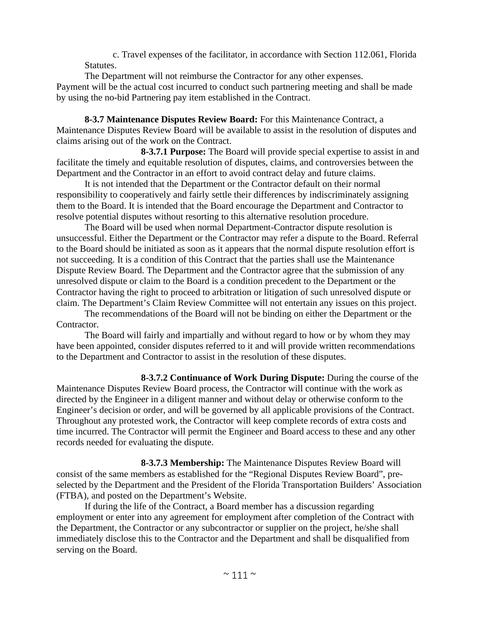c. Travel expenses of the facilitator, in accordance with Section 112.061, Florida Statutes.

The Department will not reimburse the Contractor for any other expenses. Payment will be the actual cost incurred to conduct such partnering meeting and shall be made by using the no-bid Partnering pay item established in the Contract.

**8-3.7 Maintenance Disputes Review Board:** For this Maintenance Contract, a Maintenance Disputes Review Board will be available to assist in the resolution of disputes and claims arising out of the work on the Contract.

**8-3.7.1 Purpose:** The Board will provide special expertise to assist in and facilitate the timely and equitable resolution of disputes, claims, and controversies between the Department and the Contractor in an effort to avoid contract delay and future claims.

It is not intended that the Department or the Contractor default on their normal responsibility to cooperatively and fairly settle their differences by indiscriminately assigning them to the Board. It is intended that the Board encourage the Department and Contractor to resolve potential disputes without resorting to this alternative resolution procedure.

The Board will be used when normal Department-Contractor dispute resolution is unsuccessful. Either the Department or the Contractor may refer a dispute to the Board. Referral to the Board should be initiated as soon as it appears that the normal dispute resolution effort is not succeeding. It is a condition of this Contract that the parties shall use the Maintenance Dispute Review Board. The Department and the Contractor agree that the submission of any unresolved dispute or claim to the Board is a condition precedent to the Department or the Contractor having the right to proceed to arbitration or litigation of such unresolved dispute or claim. The Department's Claim Review Committee will not entertain any issues on this project.

The recommendations of the Board will not be binding on either the Department or the Contractor.

The Board will fairly and impartially and without regard to how or by whom they may have been appointed, consider disputes referred to it and will provide written recommendations to the Department and Contractor to assist in the resolution of these disputes.

**8-3.7.2 Continuance of Work During Dispute:** During the course of the Maintenance Disputes Review Board process, the Contractor will continue with the work as directed by the Engineer in a diligent manner and without delay or otherwise conform to the Engineer's decision or order, and will be governed by all applicable provisions of the Contract. Throughout any protested work, the Contractor will keep complete records of extra costs and time incurred. The Contractor will permit the Engineer and Board access to these and any other records needed for evaluating the dispute.

**8-3.7.3 Membership:** The Maintenance Disputes Review Board will consist of the same members as established for the "Regional Disputes Review Board", preselected by the Department and the President of the Florida Transportation Builders' Association (FTBA), and posted on the Department's Website.

If during the life of the Contract, a Board member has a discussion regarding employment or enter into any agreement for employment after completion of the Contract with the Department, the Contractor or any subcontractor or supplier on the project, he/she shall immediately disclose this to the Contractor and the Department and shall be disqualified from serving on the Board.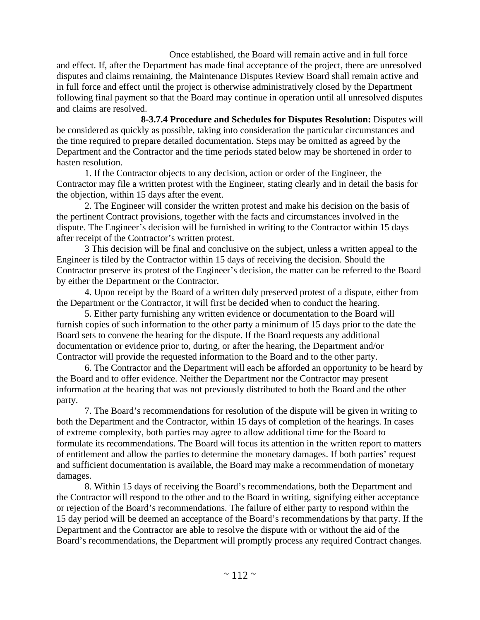Once established, the Board will remain active and in full force and effect. If, after the Department has made final acceptance of the project, there are unresolved disputes and claims remaining, the Maintenance Disputes Review Board shall remain active and in full force and effect until the project is otherwise administratively closed by the Department following final payment so that the Board may continue in operation until all unresolved disputes and claims are resolved.

**8-3.7.4 Procedure and Schedules for Disputes Resolution:** Disputes will be considered as quickly as possible, taking into consideration the particular circumstances and the time required to prepare detailed documentation. Steps may be omitted as agreed by the Department and the Contractor and the time periods stated below may be shortened in order to hasten resolution.

1. If the Contractor objects to any decision, action or order of the Engineer, the Contractor may file a written protest with the Engineer, stating clearly and in detail the basis for the objection, within 15 days after the event.

2. The Engineer will consider the written protest and make his decision on the basis of the pertinent Contract provisions, together with the facts and circumstances involved in the dispute. The Engineer's decision will be furnished in writing to the Contractor within 15 days after receipt of the Contractor's written protest.

3 This decision will be final and conclusive on the subject, unless a written appeal to the Engineer is filed by the Contractor within 15 days of receiving the decision. Should the Contractor preserve its protest of the Engineer's decision, the matter can be referred to the Board by either the Department or the Contractor.

4. Upon receipt by the Board of a written duly preserved protest of a dispute, either from the Department or the Contractor, it will first be decided when to conduct the hearing.

5. Either party furnishing any written evidence or documentation to the Board will furnish copies of such information to the other party a minimum of 15 days prior to the date the Board sets to convene the hearing for the dispute. If the Board requests any additional documentation or evidence prior to, during, or after the hearing, the Department and/or Contractor will provide the requested information to the Board and to the other party.

6. The Contractor and the Department will each be afforded an opportunity to be heard by the Board and to offer evidence. Neither the Department nor the Contractor may present information at the hearing that was not previously distributed to both the Board and the other party.

7. The Board's recommendations for resolution of the dispute will be given in writing to both the Department and the Contractor, within 15 days of completion of the hearings. In cases of extreme complexity, both parties may agree to allow additional time for the Board to formulate its recommendations. The Board will focus its attention in the written report to matters of entitlement and allow the parties to determine the monetary damages. If both parties' request and sufficient documentation is available, the Board may make a recommendation of monetary damages.

8. Within 15 days of receiving the Board's recommendations, both the Department and the Contractor will respond to the other and to the Board in writing, signifying either acceptance or rejection of the Board's recommendations. The failure of either party to respond within the 15 day period will be deemed an acceptance of the Board's recommendations by that party. If the Department and the Contractor are able to resolve the dispute with or without the aid of the Board's recommendations, the Department will promptly process any required Contract changes.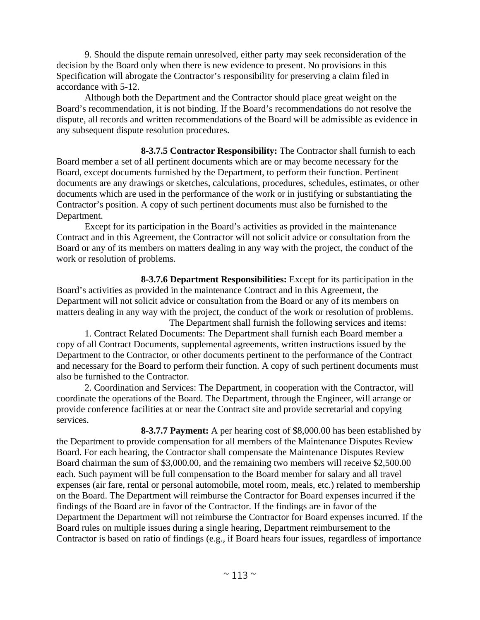9. Should the dispute remain unresolved, either party may seek reconsideration of the decision by the Board only when there is new evidence to present. No provisions in this Specification will abrogate the Contractor's responsibility for preserving a claim filed in accordance with 5-12.

Although both the Department and the Contractor should place great weight on the Board's recommendation, it is not binding. If the Board's recommendations do not resolve the dispute, all records and written recommendations of the Board will be admissible as evidence in any subsequent dispute resolution procedures.

**8-3.7.5 Contractor Responsibility:** The Contractor shall furnish to each Board member a set of all pertinent documents which are or may become necessary for the Board, except documents furnished by the Department, to perform their function. Pertinent documents are any drawings or sketches, calculations, procedures, schedules, estimates, or other documents which are used in the performance of the work or in justifying or substantiating the Contractor's position. A copy of such pertinent documents must also be furnished to the Department.

Except for its participation in the Board's activities as provided in the maintenance Contract and in this Agreement, the Contractor will not solicit advice or consultation from the Board or any of its members on matters dealing in any way with the project, the conduct of the work or resolution of problems.

**8-3.7.6 Department Responsibilities:** Except for its participation in the Board's activities as provided in the maintenance Contract and in this Agreement, the Department will not solicit advice or consultation from the Board or any of its members on matters dealing in any way with the project, the conduct of the work or resolution of problems.

The Department shall furnish the following services and items: 1. Contract Related Documents: The Department shall furnish each Board member a copy of all Contract Documents, supplemental agreements, written instructions issued by the Department to the Contractor, or other documents pertinent to the performance of the Contract and necessary for the Board to perform their function. A copy of such pertinent documents must also be furnished to the Contractor.

2. Coordination and Services: The Department, in cooperation with the Contractor, will coordinate the operations of the Board. The Department, through the Engineer, will arrange or provide conference facilities at or near the Contract site and provide secretarial and copying services.

**8-3.7.7 Payment:** A per hearing cost of \$8,000.00 has been established by the Department to provide compensation for all members of the Maintenance Disputes Review Board. For each hearing, the Contractor shall compensate the Maintenance Disputes Review Board chairman the sum of \$3,000.00, and the remaining two members will receive \$2,500.00 each. Such payment will be full compensation to the Board member for salary and all travel expenses (air fare, rental or personal automobile, motel room, meals, etc.) related to membership on the Board. The Department will reimburse the Contractor for Board expenses incurred if the findings of the Board are in favor of the Contractor. If the findings are in favor of the Department the Department will not reimburse the Contractor for Board expenses incurred. If the Board rules on multiple issues during a single hearing, Department reimbursement to the Contractor is based on ratio of findings (e.g., if Board hears four issues, regardless of importance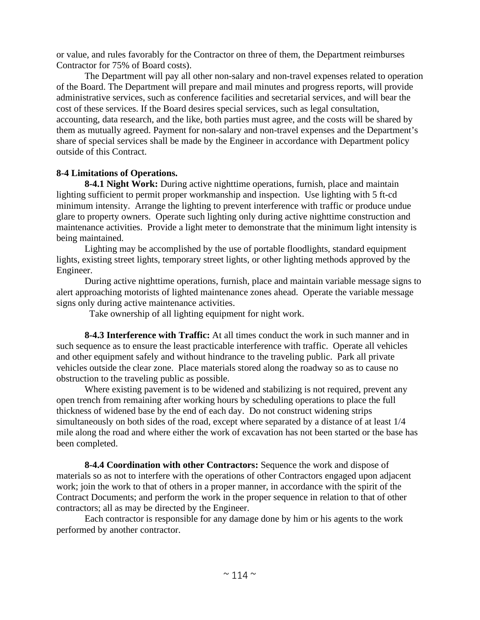or value, and rules favorably for the Contractor on three of them, the Department reimburses Contractor for 75% of Board costs).

The Department will pay all other non-salary and non-travel expenses related to operation of the Board. The Department will prepare and mail minutes and progress reports, will provide administrative services, such as conference facilities and secretarial services, and will bear the cost of these services. If the Board desires special services, such as legal consultation, accounting, data research, and the like, both parties must agree, and the costs will be shared by them as mutually agreed. Payment for non-salary and non-travel expenses and the Department's share of special services shall be made by the Engineer in accordance with Department policy outside of this Contract.

# **8-4 Limitations of Operations.**

**8-4.1 Night Work:** During active nighttime operations, furnish, place and maintain lighting sufficient to permit proper workmanship and inspection. Use lighting with 5 ft-cd minimum intensity. Arrange the lighting to prevent interference with traffic or produce undue glare to property owners. Operate such lighting only during active nighttime construction and maintenance activities. Provide a light meter to demonstrate that the minimum light intensity is being maintained.

Lighting may be accomplished by the use of portable floodlights, standard equipment lights, existing street lights, temporary street lights, or other lighting methods approved by the Engineer.

During active nighttime operations, furnish, place and maintain variable message signs to alert approaching motorists of lighted maintenance zones ahead. Operate the variable message signs only during active maintenance activities.

Take ownership of all lighting equipment for night work.

**8-4.3 Interference with Traffic:** At all times conduct the work in such manner and in such sequence as to ensure the least practicable interference with traffic. Operate all vehicles and other equipment safely and without hindrance to the traveling public. Park all private vehicles outside the clear zone. Place materials stored along the roadway so as to cause no obstruction to the traveling public as possible.

Where existing pavement is to be widened and stabilizing is not required, prevent any open trench from remaining after working hours by scheduling operations to place the full thickness of widened base by the end of each day. Do not construct widening strips simultaneously on both sides of the road, except where separated by a distance of at least 1/4 mile along the road and where either the work of excavation has not been started or the base has been completed.

**8-4.4 Coordination with other Contractors:** Sequence the work and dispose of materials so as not to interfere with the operations of other Contractors engaged upon adjacent work; join the work to that of others in a proper manner, in accordance with the spirit of the Contract Documents; and perform the work in the proper sequence in relation to that of other contractors; all as may be directed by the Engineer.

Each contractor is responsible for any damage done by him or his agents to the work performed by another contractor.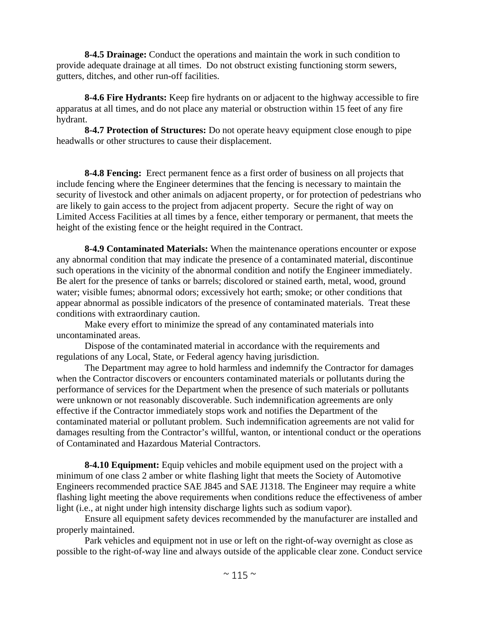**8-4.5 Drainage:** Conduct the operations and maintain the work in such condition to provide adequate drainage at all times. Do not obstruct existing functioning storm sewers, gutters, ditches, and other run-off facilities.

**8-4.6 Fire Hydrants:** Keep fire hydrants on or adjacent to the highway accessible to fire apparatus at all times, and do not place any material or obstruction within 15 feet of any fire hydrant.

**8-4.7 Protection of Structures:** Do not operate heavy equipment close enough to pipe headwalls or other structures to cause their displacement.

**8-4.8 Fencing:** Erect permanent fence as a first order of business on all projects that include fencing where the Engineer determines that the fencing is necessary to maintain the security of livestock and other animals on adjacent property, or for protection of pedestrians who are likely to gain access to the project from adjacent property. Secure the right of way on Limited Access Facilities at all times by a fence, either temporary or permanent, that meets the height of the existing fence or the height required in the Contract.

**8-4.9 Contaminated Materials:** When the maintenance operations encounter or expose any abnormal condition that may indicate the presence of a contaminated material, discontinue such operations in the vicinity of the abnormal condition and notify the Engineer immediately. Be alert for the presence of tanks or barrels; discolored or stained earth, metal, wood, ground water; visible fumes; abnormal odors; excessively hot earth; smoke; or other conditions that appear abnormal as possible indicators of the presence of contaminated materials. Treat these conditions with extraordinary caution.

Make every effort to minimize the spread of any contaminated materials into uncontaminated areas.

Dispose of the contaminated material in accordance with the requirements and regulations of any Local, State, or Federal agency having jurisdiction.

The Department may agree to hold harmless and indemnify the Contractor for damages when the Contractor discovers or encounters contaminated materials or pollutants during the performance of services for the Department when the presence of such materials or pollutants were unknown or not reasonably discoverable. Such indemnification agreements are only effective if the Contractor immediately stops work and notifies the Department of the contaminated material or pollutant problem. Such indemnification agreements are not valid for damages resulting from the Contractor's willful, wanton, or intentional conduct or the operations of Contaminated and Hazardous Material Contractors.

**8-4.10 Equipment:** Equip vehicles and mobile equipment used on the project with a minimum of one class 2 amber or white flashing light that meets the Society of Automotive Engineers recommended practice SAE J845 and SAE J1318. The Engineer may require a white flashing light meeting the above requirements when conditions reduce the effectiveness of amber light (i.e., at night under high intensity discharge lights such as sodium vapor).

Ensure all equipment safety devices recommended by the manufacturer are installed and properly maintained.

Park vehicles and equipment not in use or left on the right-of-way overnight as close as possible to the right-of-way line and always outside of the applicable clear zone. Conduct service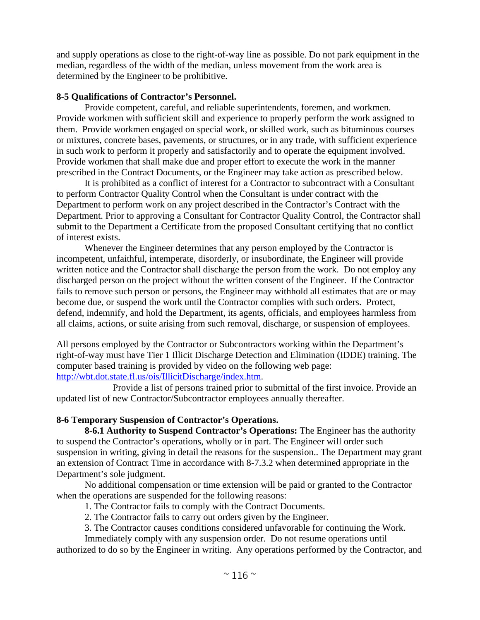and supply operations as close to the right-of-way line as possible. Do not park equipment in the median, regardless of the width of the median, unless movement from the work area is determined by the Engineer to be prohibitive.

## **8-5 Qualifications of Contractor's Personnel.**

Provide competent, careful, and reliable superintendents, foremen, and workmen. Provide workmen with sufficient skill and experience to properly perform the work assigned to them. Provide workmen engaged on special work, or skilled work, such as bituminous courses or mixtures, concrete bases, pavements, or structures, or in any trade, with sufficient experience in such work to perform it properly and satisfactorily and to operate the equipment involved. Provide workmen that shall make due and proper effort to execute the work in the manner prescribed in the Contract Documents, or the Engineer may take action as prescribed below.

It is prohibited as a conflict of interest for a Contractor to subcontract with a Consultant to perform Contractor Quality Control when the Consultant is under contract with the Department to perform work on any project described in the Contractor's Contract with the Department. Prior to approving a Consultant for Contractor Quality Control, the Contractor shall submit to the Department a Certificate from the proposed Consultant certifying that no conflict of interest exists.

Whenever the Engineer determines that any person employed by the Contractor is incompetent, unfaithful, intemperate, disorderly, or insubordinate, the Engineer will provide written notice and the Contractor shall discharge the person from the work. Do not employ any discharged person on the project without the written consent of the Engineer. If the Contractor fails to remove such person or persons, the Engineer may withhold all estimates that are or may become due, or suspend the work until the Contractor complies with such orders. Protect, defend, indemnify, and hold the Department, its agents, officials, and employees harmless from all claims, actions, or suite arising from such removal, discharge, or suspension of employees.

All persons employed by the Contractor or Subcontractors working within the Department's right-of-way must have Tier 1 Illicit Discharge Detection and Elimination (IDDE) training. The computer based training is provided by video on the following web page: http://wbt.dot.state.fl.us/ois/IllicitDischarge/index.htm.

Provide a list of persons trained prior to submittal of the first invoice. Provide an updated list of new Contractor/Subcontractor employees annually thereafter.

## **8-6 Temporary Suspension of Contractor's Operations.**

**8-6.1 Authority to Suspend Contractor's Operations:** The Engineer has the authority to suspend the Contractor's operations, wholly or in part. The Engineer will order such suspension in writing, giving in detail the reasons for the suspension.. The Department may grant an extension of Contract Time in accordance with 8-7.3.2 when determined appropriate in the Department's sole judgment.

No additional compensation or time extension will be paid or granted to the Contractor when the operations are suspended for the following reasons:

1. The Contractor fails to comply with the Contract Documents.

2. The Contractor fails to carry out orders given by the Engineer.

3. The Contractor causes conditions considered unfavorable for continuing the Work.

Immediately comply with any suspension order. Do not resume operations until authorized to do so by the Engineer in writing. Any operations performed by the Contractor, and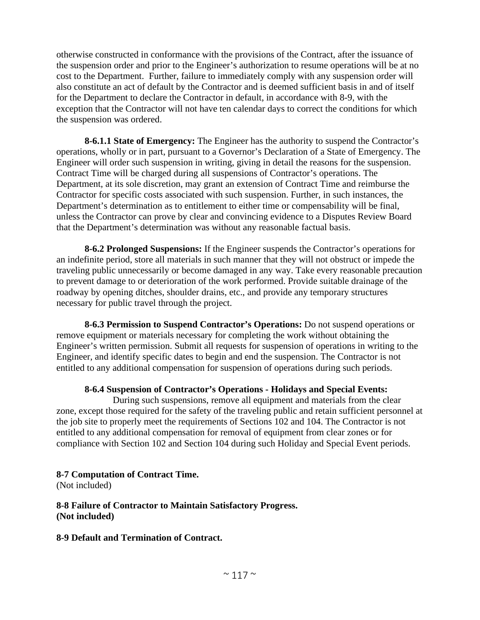otherwise constructed in conformance with the provisions of the Contract, after the issuance of the suspension order and prior to the Engineer's authorization to resume operations will be at no cost to the Department. Further, failure to immediately comply with any suspension order will also constitute an act of default by the Contractor and is deemed sufficient basis in and of itself for the Department to declare the Contractor in default, in accordance with 8-9, with the exception that the Contractor will not have ten calendar days to correct the conditions for which the suspension was ordered.

**8-6.1.1 State of Emergency:** The Engineer has the authority to suspend the Contractor's operations, wholly or in part, pursuant to a Governor's Declaration of a State of Emergency. The Engineer will order such suspension in writing, giving in detail the reasons for the suspension. Contract Time will be charged during all suspensions of Contractor's operations. The Department, at its sole discretion, may grant an extension of Contract Time and reimburse the Contractor for specific costs associated with such suspension. Further, in such instances, the Department's determination as to entitlement to either time or compensability will be final, unless the Contractor can prove by clear and convincing evidence to a Disputes Review Board that the Department's determination was without any reasonable factual basis.

**8-6.2 Prolonged Suspensions:** If the Engineer suspends the Contractor's operations for an indefinite period, store all materials in such manner that they will not obstruct or impede the traveling public unnecessarily or become damaged in any way. Take every reasonable precaution to prevent damage to or deterioration of the work performed. Provide suitable drainage of the roadway by opening ditches, shoulder drains, etc., and provide any temporary structures necessary for public travel through the project.

**8-6.3 Permission to Suspend Contractor's Operations:** Do not suspend operations or remove equipment or materials necessary for completing the work without obtaining the Engineer's written permission. Submit all requests for suspension of operations in writing to the Engineer, and identify specific dates to begin and end the suspension. The Contractor is not entitled to any additional compensation for suspension of operations during such periods.

## **8-6.4 Suspension of Contractor's Operations - Holidays and Special Events:**

During such suspensions, remove all equipment and materials from the clear zone, except those required for the safety of the traveling public and retain sufficient personnel at the job site to properly meet the requirements of Sections 102 and 104. The Contractor is not entitled to any additional compensation for removal of equipment from clear zones or for compliance with Section 102 and Section 104 during such Holiday and Special Event periods.

## **8-7 Computation of Contract Time.**

(Not included)

**8-8 Failure of Contractor to Maintain Satisfactory Progress. (Not included)** 

## **8-9 Default and Termination of Contract.**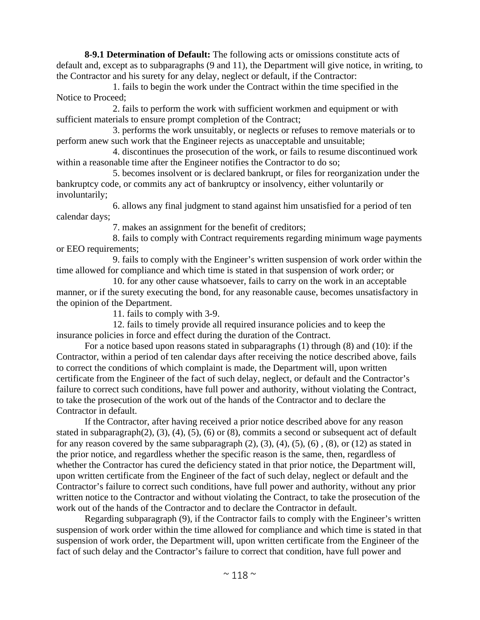**8-9.1 Determination of Default:** The following acts or omissions constitute acts of default and, except as to subparagraphs (9 and 11), the Department will give notice, in writing, to the Contractor and his surety for any delay, neglect or default, if the Contractor:

1. fails to begin the work under the Contract within the time specified in the Notice to Proceed;

2. fails to perform the work with sufficient workmen and equipment or with sufficient materials to ensure prompt completion of the Contract;

3. performs the work unsuitably, or neglects or refuses to remove materials or to perform anew such work that the Engineer rejects as unacceptable and unsuitable;

4. discontinues the prosecution of the work, or fails to resume discontinued work within a reasonable time after the Engineer notifies the Contractor to do so;

5. becomes insolvent or is declared bankrupt, or files for reorganization under the bankruptcy code, or commits any act of bankruptcy or insolvency, either voluntarily or involuntarily;

6. allows any final judgment to stand against him unsatisfied for a period of ten calendar days;

7. makes an assignment for the benefit of creditors;

8. fails to comply with Contract requirements regarding minimum wage payments or EEO requirements;

9. fails to comply with the Engineer's written suspension of work order within the time allowed for compliance and which time is stated in that suspension of work order; or

10. for any other cause whatsoever, fails to carry on the work in an acceptable manner, or if the surety executing the bond, for any reasonable cause, becomes unsatisfactory in the opinion of the Department.

11. fails to comply with 3-9.

12. fails to timely provide all required insurance policies and to keep the insurance policies in force and effect during the duration of the Contract.

For a notice based upon reasons stated in subparagraphs (1) through (8) and (10): if the Contractor, within a period of ten calendar days after receiving the notice described above, fails to correct the conditions of which complaint is made, the Department will, upon written certificate from the Engineer of the fact of such delay, neglect, or default and the Contractor's failure to correct such conditions, have full power and authority, without violating the Contract, to take the prosecution of the work out of the hands of the Contractor and to declare the Contractor in default.

If the Contractor, after having received a prior notice described above for any reason stated in subparagraph $(2)$ ,  $(3)$ ,  $(4)$ ,  $(5)$ ,  $(6)$  or  $(8)$ , commits a second or subsequent act of default for any reason covered by the same subparagraph  $(2)$ ,  $(3)$ ,  $(4)$ ,  $(5)$ ,  $(6)$ ,  $(8)$ , or  $(12)$  as stated in the prior notice, and regardless whether the specific reason is the same, then, regardless of whether the Contractor has cured the deficiency stated in that prior notice, the Department will, upon written certificate from the Engineer of the fact of such delay, neglect or default and the Contractor's failure to correct such conditions, have full power and authority, without any prior written notice to the Contractor and without violating the Contract, to take the prosecution of the work out of the hands of the Contractor and to declare the Contractor in default.

Regarding subparagraph (9), if the Contractor fails to comply with the Engineer's written suspension of work order within the time allowed for compliance and which time is stated in that suspension of work order, the Department will, upon written certificate from the Engineer of the fact of such delay and the Contractor's failure to correct that condition, have full power and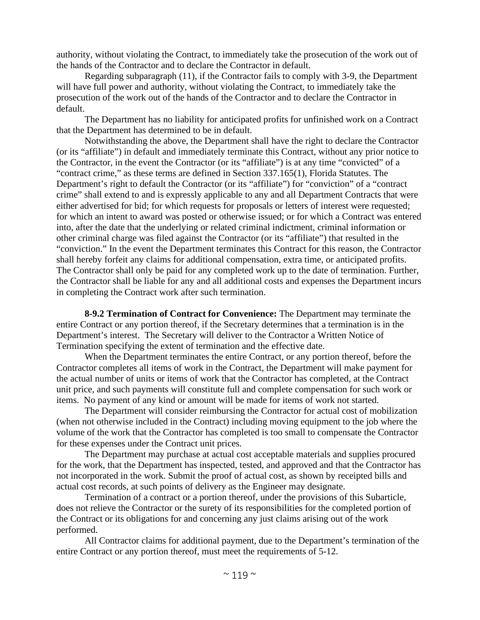authority, without violating the Contract, to immediately take the prosecution of the work out of the hands of the Contractor and to declare the Contractor in default.

Regarding subparagraph (11), if the Contractor fails to comply with 3-9, the Department will have full power and authority, without violating the Contract, to immediately take the prosecution of the work out of the hands of the Contractor and to declare the Contractor in default.

The Department has no liability for anticipated profits for unfinished work on a Contract that the Department has determined to be in default.

Notwithstanding the above, the Department shall have the right to declare the Contractor (or its "affiliate") in default and immediately terminate this Contract, without any prior notice to the Contractor, in the event the Contractor (or its "affiliate") is at any time "convicted" of a "contract crime," as these terms are defined in Section 337.165(1), Florida Statutes. The Department's right to default the Contractor (or its "affiliate") for "conviction" of a "contract crime" shall extend to and is expressly applicable to any and all Department Contracts that were either advertised for bid; for which requests for proposals or letters of interest were requested; for which an intent to award was posted or otherwise issued; or for which a Contract was entered into, after the date that the underlying or related criminal indictment, criminal information or other criminal charge was filed against the Contractor (or its "affiliate") that resulted in the "conviction." In the event the Department terminates this Contract for this reason, the Contractor shall hereby forfeit any claims for additional compensation, extra time, or anticipated profits. The Contractor shall only be paid for any completed work up to the date of termination. Further, the Contractor shall be liable for any and all additional costs and expenses the Department incurs in completing the Contract work after such termination.

**8-9.2 Termination of Contract for Convenience:** The Department may terminate the entire Contract or any portion thereof, if the Secretary determines that a termination is in the Department's interest. The Secretary will deliver to the Contractor a Written Notice of Termination specifying the extent of termination and the effective date.

When the Department terminates the entire Contract, or any portion thereof, before the Contractor completes all items of work in the Contract, the Department will make payment for the actual number of units or items of work that the Contractor has completed, at the Contract unit price, and such payments will constitute full and complete compensation for such work or items. No payment of any kind or amount will be made for items of work not started.

The Department will consider reimbursing the Contractor for actual cost of mobilization (when not otherwise included in the Contract) including moving equipment to the job where the volume of the work that the Contractor has completed is too small to compensate the Contractor for these expenses under the Contract unit prices.

The Department may purchase at actual cost acceptable materials and supplies procured for the work, that the Department has inspected, tested, and approved and that the Contractor has not incorporated in the work. Submit the proof of actual cost, as shown by receipted bills and actual cost records, at such points of delivery as the Engineer may designate.

Termination of a contract or a portion thereof, under the provisions of this Subarticle, does not relieve the Contractor or the surety of its responsibilities for the completed portion of the Contract or its obligations for and concerning any just claims arising out of the work performed.

All Contractor claims for additional payment, due to the Department's termination of the entire Contract or any portion thereof, must meet the requirements of 5-12.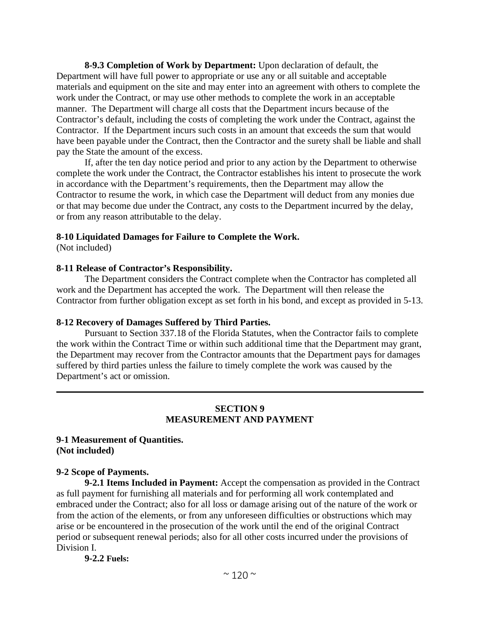**8-9.3 Completion of Work by Department:** Upon declaration of default, the Department will have full power to appropriate or use any or all suitable and acceptable materials and equipment on the site and may enter into an agreement with others to complete the work under the Contract, or may use other methods to complete the work in an acceptable manner. The Department will charge all costs that the Department incurs because of the Contractor's default, including the costs of completing the work under the Contract, against the Contractor. If the Department incurs such costs in an amount that exceeds the sum that would have been payable under the Contract, then the Contractor and the surety shall be liable and shall pay the State the amount of the excess.

If, after the ten day notice period and prior to any action by the Department to otherwise complete the work under the Contract, the Contractor establishes his intent to prosecute the work in accordance with the Department's requirements, then the Department may allow the Contractor to resume the work, in which case the Department will deduct from any monies due or that may become due under the Contract, any costs to the Department incurred by the delay, or from any reason attributable to the delay.

### **8-10 Liquidated Damages for Failure to Complete the Work.**

(Not included)

### **8-11 Release of Contractor's Responsibility.**

The Department considers the Contract complete when the Contractor has completed all work and the Department has accepted the work. The Department will then release the Contractor from further obligation except as set forth in his bond, and except as provided in 5-13.

### **8-12 Recovery of Damages Suffered by Third Parties.**

Pursuant to Section 337.18 of the Florida Statutes, when the Contractor fails to complete the work within the Contract Time or within such additional time that the Department may grant, the Department may recover from the Contractor amounts that the Department pays for damages suffered by third parties unless the failure to timely complete the work was caused by the Department's act or omission.

### **SECTION 9 MEASUREMENT AND PAYMENT**

### **9-1 Measurement of Quantities. (Not included)**

### **9-2 Scope of Payments.**

**9-2.1 Items Included in Payment:** Accept the compensation as provided in the Contract as full payment for furnishing all materials and for performing all work contemplated and embraced under the Contract; also for all loss or damage arising out of the nature of the work or from the action of the elements, or from any unforeseen difficulties or obstructions which may arise or be encountered in the prosecution of the work until the end of the original Contract period or subsequent renewal periods; also for all other costs incurred under the provisions of Division I.

**9-2.2 Fuels:**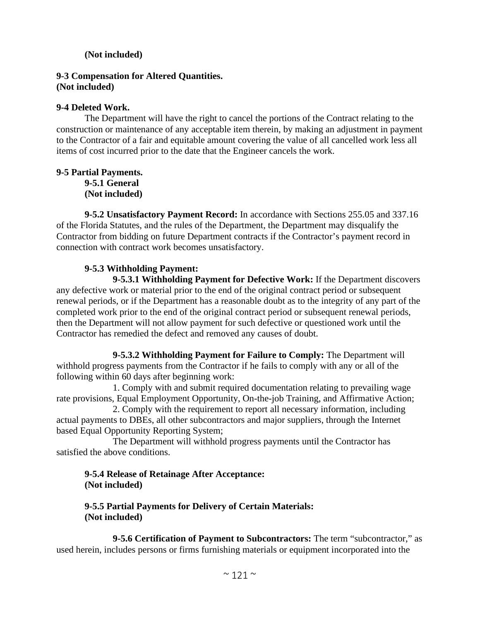## **(Not included)**

### **9-3 Compensation for Altered Quantities. (Not included)**

### **9-4 Deleted Work.**

The Department will have the right to cancel the portions of the Contract relating to the construction or maintenance of any acceptable item therein, by making an adjustment in payment to the Contractor of a fair and equitable amount covering the value of all cancelled work less all items of cost incurred prior to the date that the Engineer cancels the work.

## **9-5 Partial Payments. 9-5.1 General (Not included)**

**9-5.2 Unsatisfactory Payment Record:** In accordance with Sections 255.05 and 337.16 of the Florida Statutes, and the rules of the Department, the Department may disqualify the Contractor from bidding on future Department contracts if the Contractor's payment record in connection with contract work becomes unsatisfactory.

## **9-5.3 Withholding Payment:**

**9-5.3.1 Withholding Payment for Defective Work:** If the Department discovers any defective work or material prior to the end of the original contract period or subsequent renewal periods, or if the Department has a reasonable doubt as to the integrity of any part of the completed work prior to the end of the original contract period or subsequent renewal periods, then the Department will not allow payment for such defective or questioned work until the Contractor has remedied the defect and removed any causes of doubt.

**9-5.3.2 Withholding Payment for Failure to Comply:** The Department will withhold progress payments from the Contractor if he fails to comply with any or all of the following within 60 days after beginning work:

1. Comply with and submit required documentation relating to prevailing wage rate provisions, Equal Employment Opportunity, On-the-job Training, and Affirmative Action;

2. Comply with the requirement to report all necessary information, including actual payments to DBEs, all other subcontractors and major suppliers, through the Internet based Equal Opportunity Reporting System;

The Department will withhold progress payments until the Contractor has satisfied the above conditions.

## **9-5.4 Release of Retainage After Acceptance: (Not included)**

## **9-5.5 Partial Payments for Delivery of Certain Materials: (Not included)**

**9-5.6 Certification of Payment to Subcontractors:** The term "subcontractor," as used herein, includes persons or firms furnishing materials or equipment incorporated into the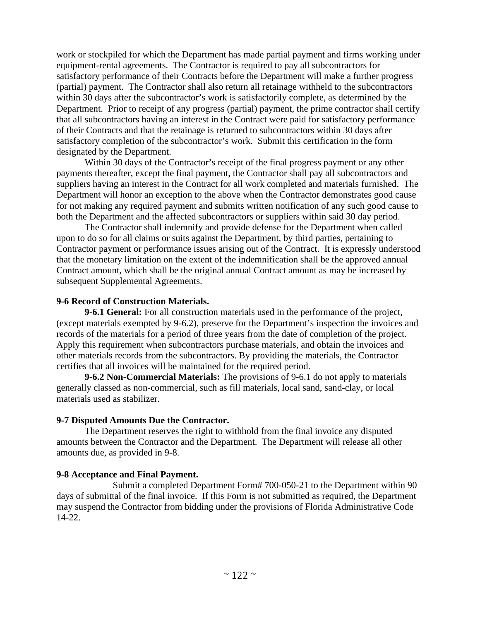work or stockpiled for which the Department has made partial payment and firms working under equipment-rental agreements. The Contractor is required to pay all subcontractors for satisfactory performance of their Contracts before the Department will make a further progress (partial) payment. The Contractor shall also return all retainage withheld to the subcontractors within 30 days after the subcontractor's work is satisfactorily complete, as determined by the Department. Prior to receipt of any progress (partial) payment, the prime contractor shall certify that all subcontractors having an interest in the Contract were paid for satisfactory performance of their Contracts and that the retainage is returned to subcontractors within 30 days after satisfactory completion of the subcontractor's work. Submit this certification in the form designated by the Department.

Within 30 days of the Contractor's receipt of the final progress payment or any other payments thereafter, except the final payment, the Contractor shall pay all subcontractors and suppliers having an interest in the Contract for all work completed and materials furnished. The Department will honor an exception to the above when the Contractor demonstrates good cause for not making any required payment and submits written notification of any such good cause to both the Department and the affected subcontractors or suppliers within said 30 day period.

The Contractor shall indemnify and provide defense for the Department when called upon to do so for all claims or suits against the Department, by third parties, pertaining to Contractor payment or performance issues arising out of the Contract. It is expressly understood that the monetary limitation on the extent of the indemnification shall be the approved annual Contract amount, which shall be the original annual Contract amount as may be increased by subsequent Supplemental Agreements.

### **9-6 Record of Construction Materials.**

**9-6.1 General:** For all construction materials used in the performance of the project, (except materials exempted by 9-6.2), preserve for the Department's inspection the invoices and records of the materials for a period of three years from the date of completion of the project. Apply this requirement when subcontractors purchase materials, and obtain the invoices and other materials records from the subcontractors. By providing the materials, the Contractor certifies that all invoices will be maintained for the required period.

**9-6.2 Non-Commercial Materials:** The provisions of 9-6.1 do not apply to materials generally classed as non-commercial, such as fill materials, local sand, sand-clay, or local materials used as stabilizer.

## **9-7 Disputed Amounts Due the Contractor.**

The Department reserves the right to withhold from the final invoice any disputed amounts between the Contractor and the Department. The Department will release all other amounts due, as provided in 9-8.

## **9-8 Acceptance and Final Payment.**

Submit a completed Department Form# 700-050-21 to the Department within 90 days of submittal of the final invoice. If this Form is not submitted as required, the Department may suspend the Contractor from bidding under the provisions of Florida Administrative Code 14-22.